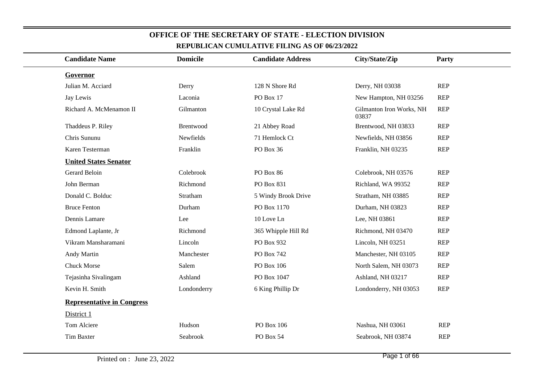| <b>REFUBLICAN COMOLATIVE FILING AS OF 00/23/2022</b> |                 |                          |                                   |            |  |  |  |  |
|------------------------------------------------------|-----------------|--------------------------|-----------------------------------|------------|--|--|--|--|
| <b>Candidate Name</b>                                | <b>Domicile</b> | <b>Candidate Address</b> | City/State/Zip                    | Party      |  |  |  |  |
| Governor                                             |                 |                          |                                   |            |  |  |  |  |
| Julian M. Acciard                                    | Derry           | 128 N Shore Rd           | Derry, NH 03038                   | <b>REP</b> |  |  |  |  |
| Jay Lewis                                            | Laconia         | PO Box 17                | New Hampton, NH 03256             | <b>REP</b> |  |  |  |  |
| Richard A. McMenamon II                              | Gilmanton       | 10 Crystal Lake Rd       | Gilmanton Iron Works, NH<br>03837 | <b>REP</b> |  |  |  |  |
| Thaddeus P. Riley                                    | Brentwood       | 21 Abbey Road            | Brentwood, NH 03833               | <b>REP</b> |  |  |  |  |
| Chris Sununu                                         | Newfields       | 71 Hemlock Ct            | Newfields, NH 03856               | <b>REP</b> |  |  |  |  |
| Karen Testerman                                      | Franklin        | PO Box 36                | Franklin, NH 03235                | <b>REP</b> |  |  |  |  |
| <b>United States Senator</b>                         |                 |                          |                                   |            |  |  |  |  |
| Gerard Beloin                                        | Colebrook       | PO Box 86                | Colebrook, NH 03576               | <b>REP</b> |  |  |  |  |
| John Berman                                          | Richmond        | PO Box 831               | Richland, WA 99352                | <b>REP</b> |  |  |  |  |
| Donald C. Bolduc                                     | Stratham        | 5 Windy Brook Drive      | Stratham, NH 03885                | <b>REP</b> |  |  |  |  |
| <b>Bruce Fenton</b>                                  | Durham          | PO Box 1170              | Durham, NH 03823                  | REP        |  |  |  |  |
| Dennis Lamare                                        | Lee             | 10 Love Ln               | Lee, NH 03861                     | <b>REP</b> |  |  |  |  |
| Edmond Laplante, Jr                                  | Richmond        | 365 Whipple Hill Rd      | Richmond, NH 03470                | <b>REP</b> |  |  |  |  |
| Vikram Mansharamani                                  | Lincoln         | PO Box 932               | Lincoln, NH 03251                 | <b>REP</b> |  |  |  |  |
| Andy Martin                                          | Manchester      | PO Box 742               | Manchester, NH 03105              | <b>REP</b> |  |  |  |  |
| <b>Chuck Morse</b>                                   | Salem           | PO Box 106               | North Salem, NH 03073             | <b>REP</b> |  |  |  |  |
| Tejasinha Sivalingam                                 | Ashland         | PO Box 1047              | Ashland, NH 03217                 | <b>REP</b> |  |  |  |  |
| Kevin H. Smith                                       | Londonderry     | 6 King Phillip Dr        | Londonderry, NH 03053             | <b>REP</b> |  |  |  |  |
| <b>Representative in Congress</b>                    |                 |                          |                                   |            |  |  |  |  |
| District 1                                           |                 |                          |                                   |            |  |  |  |  |
| Tom Alciere                                          | Hudson          | PO Box 106               | Nashua, NH 03061                  | <b>REP</b> |  |  |  |  |
| <b>Tim Baxter</b>                                    | Seabrook        | PO Box 54                | Seabrook, NH 03874                | <b>REP</b> |  |  |  |  |
|                                                      |                 |                          |                                   |            |  |  |  |  |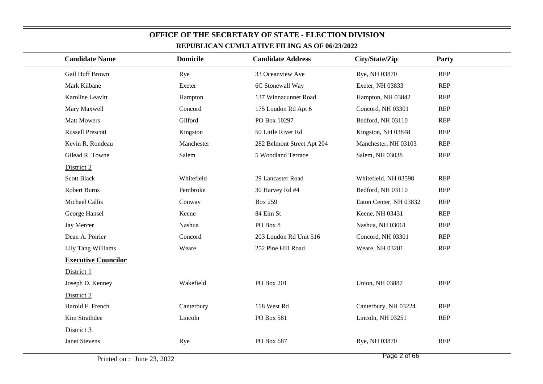| кеі оренда сомонаті уе гіпічу дэ ог фі <i>дзіров</i> |                 |                            |                        |            |  |
|------------------------------------------------------|-----------------|----------------------------|------------------------|------------|--|
| <b>Candidate Name</b>                                | <b>Domicile</b> | <b>Candidate Address</b>   | City/State/Zip         | Party      |  |
| Gail Huff Brown                                      | Rye             | 33 Oceanview Ave           | Rye, NH 03870          | <b>REP</b> |  |
| Mark Kilbane                                         | Exeter          | 6C Stonewall Way           | Exeter, NH 03833       | <b>REP</b> |  |
| Karoline Leavitt                                     | Hampton         | 137 Winnacunnet Road       | Hampton, NH 03842      | <b>REP</b> |  |
| Mary Maxwell                                         | Concord         | 175 Loudon Rd Apt 6        | Concord, NH 03301      | <b>REP</b> |  |
| <b>Matt Mowers</b>                                   | Gilford         | PO Box 10297               | Bedford, NH 03110      | <b>REP</b> |  |
| <b>Russell Prescott</b>                              | Kingston        | 50 Little River Rd         | Kingston, NH 03848     | REP        |  |
| Kevin R. Rondeau                                     | Manchester      | 282 Belmont Street Apt 204 | Manchester, NH 03103   | <b>REP</b> |  |
| Gilead R. Towne                                      | Salem           | 5 Woodland Terrace         | Salem, NH 03038        | <b>REP</b> |  |
| District 2                                           |                 |                            |                        |            |  |
| <b>Scott Black</b>                                   | Whitefield      | 29 Lancaster Road          | Whitefield, NH 03598   | <b>REP</b> |  |
| <b>Robert Burns</b>                                  | Pembroke        | 30 Harvey Rd #4            | Bedford, NH 03110      | <b>REP</b> |  |
| Michael Callis                                       | Conway          | <b>Box 259</b>             | Eaton Center, NH 03832 | REP        |  |
| George Hansel                                        | Keene           | 84 Elm St                  | Keene, NH 03431        | REP        |  |
| Jay Mercer                                           | Nashua          | PO Box 8                   | Nashua, NH 03061       | <b>REP</b> |  |
| Dean A. Poirier                                      | Concord         | 203 Loudon Rd Unit 516     | Concord, NH 03301      | <b>REP</b> |  |
| Lily Tang Williams                                   | Weare           | 252 Pine Hill Road         | Weare, NH 03281        | REP        |  |
| <b>Executive Councilor</b>                           |                 |                            |                        |            |  |
| District 1                                           |                 |                            |                        |            |  |
| Joseph D. Kenney                                     | Wakefield       | <b>PO Box 201</b>          | <b>Union, NH 03887</b> | REP        |  |
| District 2                                           |                 |                            |                        |            |  |
| Harold F. French                                     | Canterbury      | 118 West Rd                | Canterbury, NH 03224   | <b>REP</b> |  |
| Kim Strathdee                                        | Lincoln         | PO Box 581                 | Lincoln, NH 03251      | <b>REP</b> |  |
| District 3                                           |                 |                            |                        |            |  |
| <b>Janet Stevens</b>                                 | Rye             | PO Box 687                 | Rye, NH 03870          | REP        |  |
|                                                      |                 |                            |                        |            |  |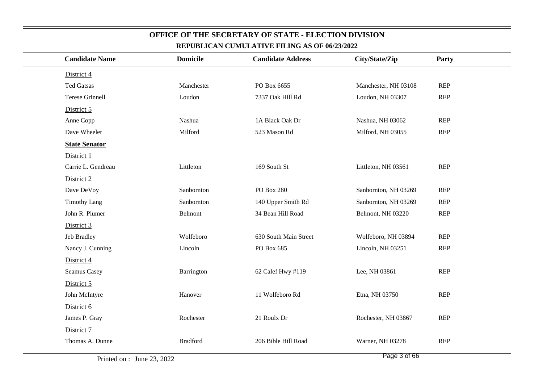| <b>Candidate Name</b>  | <b>Domicile</b> | <b>Candidate Address</b> | City/State/Zip       | Party      |
|------------------------|-----------------|--------------------------|----------------------|------------|
| District 4             |                 |                          |                      |            |
| <b>Ted Gatsas</b>      | Manchester      | PO Box 6655              | Manchester, NH 03108 | <b>REP</b> |
| <b>Terese Grinnell</b> | Loudon          | 7337 Oak Hill Rd         | Loudon, NH 03307     | <b>REP</b> |
| District 5             |                 |                          |                      |            |
| Anne Copp              | Nashua          | 1A Black Oak Dr          | Nashua, NH 03062     | <b>REP</b> |
| Dave Wheeler           | Milford         | 523 Mason Rd             | Milford, NH 03055    | <b>REP</b> |
| <b>State Senator</b>   |                 |                          |                      |            |
| District 1             |                 |                          |                      |            |
| Carrie L. Gendreau     | Littleton       | 169 South St             | Littleton, NH 03561  | <b>REP</b> |
| District 2             |                 |                          |                      |            |
| Dave DeVoy             | Sanbornton      | <b>PO Box 280</b>        | Sanbornton, NH 03269 | <b>REP</b> |
| <b>Timothy Lang</b>    | Sanbornton      | 140 Upper Smith Rd       | Sanbornton, NH 03269 | <b>REP</b> |
| John R. Plumer         | Belmont         | 34 Bean Hill Road        | Belmont, NH 03220    | <b>REP</b> |
| District 3             |                 |                          |                      |            |
| Jeb Bradley            | Wolfeboro       | 630 South Main Street    | Wolfeboro, NH 03894  | <b>REP</b> |
| Nancy J. Cunning       | Lincoln         | PO Box 685               | Lincoln, NH 03251    | <b>REP</b> |
| District 4             |                 |                          |                      |            |
| <b>Seamus Casey</b>    | Barrington      | 62 Calef Hwy #119        | Lee, NH 03861        | <b>REP</b> |
| District 5             |                 |                          |                      |            |
| John McIntyre          | Hanover         | 11 Wolfeboro Rd          | Etna, NH 03750       | <b>REP</b> |
| District 6             |                 |                          |                      |            |
| James P. Gray          | Rochester       | 21 Roulx Dr              | Rochester, NH 03867  | <b>REP</b> |
| District 7             |                 |                          |                      |            |
| Thomas A. Dunne        | <b>Bradford</b> | 206 Bible Hill Road      | Warner, NH 03278     | <b>REP</b> |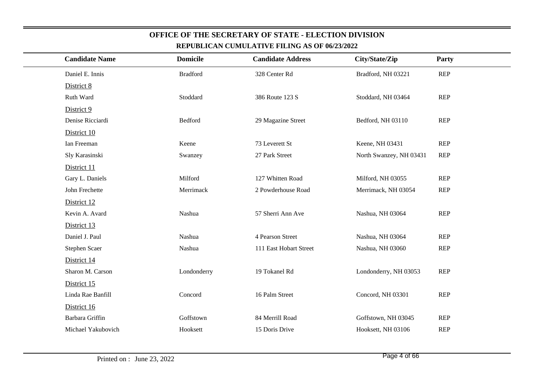| <b>Candidate Name</b> | <b>Domicile</b> | <b>Candidate Address</b> | City/State/Zip          | Party      |
|-----------------------|-----------------|--------------------------|-------------------------|------------|
| Daniel E. Innis       | <b>Bradford</b> | 328 Center Rd            | Bradford, NH 03221      | <b>REP</b> |
| District 8            |                 |                          |                         |            |
| Ruth Ward             | Stoddard        | 386 Route 123 S          | Stoddard, NH 03464      | <b>REP</b> |
| District 9            |                 |                          |                         |            |
| Denise Ricciardi      | Bedford         | 29 Magazine Street       | Bedford, NH 03110       | <b>REP</b> |
| District 10           |                 |                          |                         |            |
| Ian Freeman           | Keene           | 73 Leverett St           | Keene, NH 03431         | <b>REP</b> |
| Sly Karasinski        | Swanzey         | 27 Park Street           | North Swanzey, NH 03431 | <b>REP</b> |
| District 11           |                 |                          |                         |            |
| Gary L. Daniels       | Milford         | 127 Whitten Road         | Milford, NH 03055       | <b>REP</b> |
| John Frechette        | Merrimack       | 2 Powderhouse Road       | Merrimack, NH 03054     | <b>REP</b> |
| District 12           |                 |                          |                         |            |
| Kevin A. Avard        | Nashua          | 57 Sherri Ann Ave        | Nashua, NH 03064        | <b>REP</b> |
| District 13           |                 |                          |                         |            |
| Daniel J. Paul        | Nashua          | 4 Pearson Street         | Nashua, NH 03064        | <b>REP</b> |
| Stephen Scaer         | Nashua          | 111 East Hobart Street   | Nashua, NH 03060        | <b>REP</b> |
| District 14           |                 |                          |                         |            |
| Sharon M. Carson      | Londonderry     | 19 Tokanel Rd            | Londonderry, NH 03053   | <b>REP</b> |
| District 15           |                 |                          |                         |            |
| Linda Rae Banfill     | Concord         | 16 Palm Street           | Concord, NH 03301       | <b>REP</b> |
| District 16           |                 |                          |                         |            |
| Barbara Griffin       | Goffstown       | 84 Merrill Road          | Goffstown, NH 03045     | <b>REP</b> |
| Michael Yakubovich    | Hooksett        | 15 Doris Drive           | Hooksett, NH 03106      | <b>REP</b> |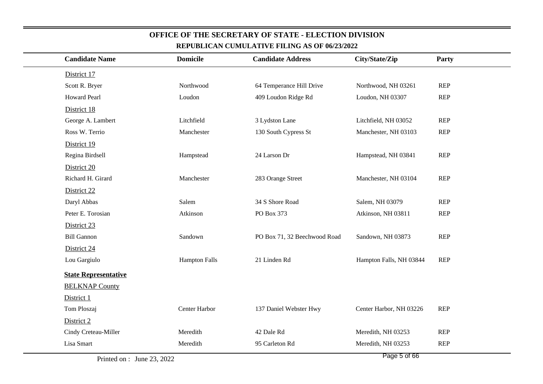| <b>Candidate Name</b>       | <b>Domicile</b>      | <b>Candidate Address</b>     | City/State/Zip          | Party      |
|-----------------------------|----------------------|------------------------------|-------------------------|------------|
| District 17                 |                      |                              |                         |            |
| Scott R. Bryer              | Northwood            | 64 Temperance Hill Drive     | Northwood, NH 03261     | <b>REP</b> |
| <b>Howard Pearl</b>         | Loudon               | 409 Loudon Ridge Rd          | Loudon, NH 03307        | <b>REP</b> |
| District 18                 |                      |                              |                         |            |
| George A. Lambert           | Litchfield           | 3 Lydston Lane               | Litchfield, NH 03052    | <b>REP</b> |
| Ross W. Terrio              | Manchester           | 130 South Cypress St         | Manchester, NH 03103    | <b>REP</b> |
| District 19                 |                      |                              |                         |            |
| Regina Birdsell             | Hampstead            | 24 Larson Dr                 | Hampstead, NH 03841     | <b>REP</b> |
| District 20                 |                      |                              |                         |            |
| Richard H. Girard           | Manchester           | 283 Orange Street            | Manchester, NH 03104    | <b>REP</b> |
| District 22                 |                      |                              |                         |            |
| Daryl Abbas                 | Salem                | 34 S Shore Road              | Salem, NH 03079         | <b>REP</b> |
| Peter E. Torosian           | Atkinson             | PO Box 373                   | Atkinson, NH 03811      | <b>REP</b> |
| District 23                 |                      |                              |                         |            |
| <b>Bill Gannon</b>          | Sandown              | PO Box 71, 32 Beechwood Road | Sandown, NH 03873       | <b>REP</b> |
| District 24                 |                      |                              |                         |            |
| Lou Gargiulo                | <b>Hampton Falls</b> | 21 Linden Rd                 | Hampton Falls, NH 03844 | <b>REP</b> |
| <b>State Representative</b> |                      |                              |                         |            |
| <b>BELKNAP County</b>       |                      |                              |                         |            |
| District 1                  |                      |                              |                         |            |
| Tom Ploszaj                 | Center Harbor        | 137 Daniel Webster Hwy       | Center Harbor, NH 03226 | <b>REP</b> |
| District 2                  |                      |                              |                         |            |
| Cindy Creteau-Miller        | Meredith             | 42 Dale Rd                   | Meredith, NH 03253      | <b>REP</b> |
| Lisa Smart                  | Meredith             | 95 Carleton Rd               | Meredith, NH 03253      | <b>REP</b> |
|                             |                      |                              |                         |            |

Printed on : June 23, 2022

Page 5 of 66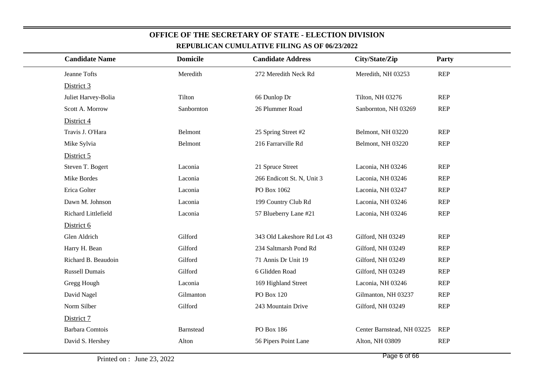| <b>Candidate Name</b>  | <b>Domicile</b>  | <b>Candidate Address</b>    | City/State/Zip             | Party      |
|------------------------|------------------|-----------------------------|----------------------------|------------|
| Jeanne Tofts           | Meredith         | 272 Meredith Neck Rd        | Meredith, NH 03253         | <b>REP</b> |
| District 3             |                  |                             |                            |            |
| Juliet Harvey-Bolia    | Tilton           | 66 Dunlop Dr                | Tilton, NH 03276           | <b>REP</b> |
| Scott A. Morrow        | Sanbornton       | 26 Plummer Road             | Sanbornton, NH 03269       | <b>REP</b> |
| District 4             |                  |                             |                            |            |
| Travis J. O'Hara       | Belmont          | 25 Spring Street #2         | Belmont, NH 03220          | <b>REP</b> |
| Mike Sylvia            | Belmont          | 216 Farrarville Rd          | Belmont, NH 03220          | <b>REP</b> |
| District 5             |                  |                             |                            |            |
| Steven T. Bogert       | Laconia          | 21 Spruce Street            | Laconia, NH 03246          | <b>REP</b> |
| Mike Bordes            | Laconia          | 266 Endicott St. N, Unit 3  | Laconia, NH 03246          | <b>REP</b> |
| Erica Golter           | Laconia          | PO Box 1062                 | Laconia, NH 03247          | <b>REP</b> |
| Dawn M. Johnson        | Laconia          | 199 Country Club Rd         | Laconia, NH 03246          | <b>REP</b> |
| Richard Littlefield    | Laconia          | 57 Blueberry Lane #21       | Laconia, NH 03246          | <b>REP</b> |
| District 6             |                  |                             |                            |            |
| Glen Aldrich           | Gilford          | 343 Old Lakeshore Rd Lot 43 | Gilford, NH 03249          | <b>REP</b> |
| Harry H. Bean          | Gilford          | 234 Saltmarsh Pond Rd       | Gilford, NH 03249          | <b>REP</b> |
| Richard B. Beaudoin    | Gilford          | 71 Annis Dr Unit 19         | Gilford, NH 03249          | <b>REP</b> |
| <b>Russell Dumais</b>  | Gilford          | 6 Glidden Road              | Gilford, NH 03249          | <b>REP</b> |
| Gregg Hough            | Laconia          | 169 Highland Street         | Laconia, NH 03246          | <b>REP</b> |
| David Nagel            | Gilmanton        | PO Box 120                  | Gilmanton, NH 03237        | <b>REP</b> |
| Norm Silber            | Gilford          | 243 Mountain Drive          | Gilford, NH 03249          | <b>REP</b> |
| District 7             |                  |                             |                            |            |
| <b>Barbara Comtois</b> | <b>Barnstead</b> | PO Box 186                  | Center Barnstead, NH 03225 | <b>REP</b> |
| David S. Hershey       | Alton            | 56 Pipers Point Lane        | Alton, NH 03809            | <b>REP</b> |
|                        |                  |                             |                            |            |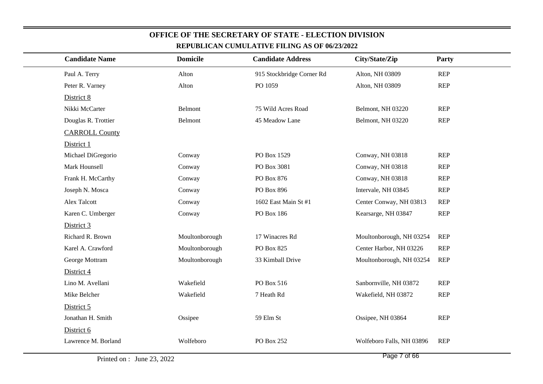|                       |                 | <u>KEFUDLIUAN UUMULATIVE FILING AS OF 00/23/2022</u> |                           |            |
|-----------------------|-----------------|------------------------------------------------------|---------------------------|------------|
| <b>Candidate Name</b> | <b>Domicile</b> | <b>Candidate Address</b>                             | City/State/Zip            | Party      |
| Paul A. Terry         | Alton           | 915 Stockbridge Corner Rd                            | Alton, NH 03809           | <b>REP</b> |
| Peter R. Varney       | Alton           | PO 1059                                              | Alton, NH 03809           | <b>REP</b> |
| District 8            |                 |                                                      |                           |            |
| Nikki McCarter        | Belmont         | 75 Wild Acres Road                                   | Belmont, NH 03220         | <b>REP</b> |
| Douglas R. Trottier   | Belmont         | 45 Meadow Lane                                       | Belmont, NH 03220         | <b>REP</b> |
| <b>CARROLL County</b> |                 |                                                      |                           |            |
| District 1            |                 |                                                      |                           |            |
| Michael DiGregorio    | Conway          | PO Box 1529                                          | Conway, NH 03818          | <b>REP</b> |
| Mark Hounsell         | Conway          | PO Box 3081                                          | Conway, NH 03818          | <b>REP</b> |
| Frank H. McCarthy     | Conway          | PO Box 876                                           | Conway, NH 03818          | <b>REP</b> |
| Joseph N. Mosca       | Conway          | PO Box 896                                           | Intervale, NH 03845       | <b>REP</b> |
| <b>Alex Talcott</b>   | Conway          | 1602 East Main St #1                                 | Center Conway, NH 03813   | <b>REP</b> |
| Karen C. Umberger     | Conway          | PO Box 186                                           | Kearsarge, NH 03847       | <b>REP</b> |
| District 3            |                 |                                                      |                           |            |
| Richard R. Brown      | Moultonborough  | 17 Winacres Rd                                       | Moultonborough, NH 03254  | <b>REP</b> |
| Karel A. Crawford     | Moultonborough  | PO Box 825                                           | Center Harbor, NH 03226   | <b>REP</b> |
| George Mottram        | Moultonborough  | 33 Kimball Drive                                     | Moultonborough, NH 03254  | <b>REP</b> |
| District 4            |                 |                                                      |                           |            |
| Lino M. Avellani      | Wakefield       | PO Box 516                                           | Sanbornville, NH 03872    | <b>REP</b> |
| Mike Belcher          | Wakefield       | 7 Heath Rd                                           | Wakefield, NH 03872       | <b>REP</b> |
| District 5            |                 |                                                      |                           |            |
| Jonathan H. Smith     | Ossipee         | 59 Elm St                                            | Ossipee, NH 03864         | <b>REP</b> |
| District 6            |                 |                                                      |                           |            |
| Lawrence M. Borland   | Wolfeboro       | PO Box 252                                           | Wolfeboro Falls, NH 03896 | <b>REP</b> |
|                       |                 |                                                      |                           |            |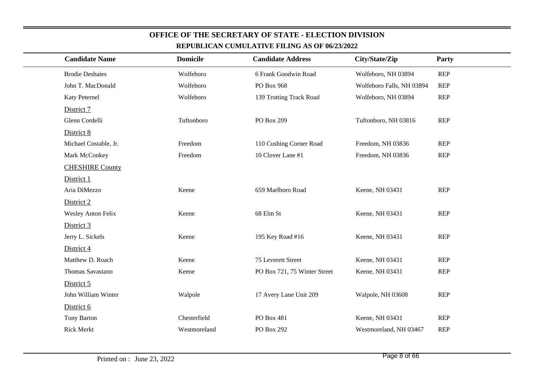| REPUBLICAN CUMULATIVE FILING AS OF 06/23/2022 |                 |                              |                           |              |  |
|-----------------------------------------------|-----------------|------------------------------|---------------------------|--------------|--|
| <b>Candidate Name</b>                         | <b>Domicile</b> | <b>Candidate Address</b>     | City/State/Zip            | <b>Party</b> |  |
| <b>Brodie Deshaies</b>                        | Wolfeboro       | 6 Frank Goodwin Road         | Wolfeboro, NH 03894       | <b>REP</b>   |  |
| John T. MacDonald                             | Wolfeboro       | PO Box 968                   | Wolfeboro Falls, NH 03894 | <b>REP</b>   |  |
| Katy Peternel                                 | Wolfeboro       | 139 Trotting Track Road      | Wolfeboro, NH 03894       | <b>REP</b>   |  |
| District 7                                    |                 |                              |                           |              |  |
| Glenn Cordelli                                | Tuftonboro      | PO Box 209                   | Tuftonboro, NH 03816      | <b>REP</b>   |  |
| District 8                                    |                 |                              |                           |              |  |
| Michael Costable, Jr.                         | Freedom         | 110 Cushing Corner Road      | Freedom, NH 03836         | <b>REP</b>   |  |
| Mark McConkey                                 | Freedom         | 10 Clover Lane #1            | Freedom, NH 03836         | <b>REP</b>   |  |
| <b>CHESHIRE County</b>                        |                 |                              |                           |              |  |
| District 1                                    |                 |                              |                           |              |  |
| Aria DiMezzo                                  | Keene           | 659 Marlboro Road            | Keene, NH 03431           | <b>REP</b>   |  |
| District 2                                    |                 |                              |                           |              |  |
| <b>Wesley Anton Felix</b>                     | Keene           | 68 Elm St                    | Keene, NH 03431           | <b>REP</b>   |  |
| District 3                                    |                 |                              |                           |              |  |
| Jerry L. Sickels                              | Keene           | 195 Key Road #16             | Keene, NH 03431           | <b>REP</b>   |  |
| District 4                                    |                 |                              |                           |              |  |
| Matthew D. Roach                              | Keene           | 75 Leverett Street           | Keene, NH 03431           | <b>REP</b>   |  |
| Thomas Savastano                              | Keene           | PO Box 721, 75 Winter Street | Keene, NH 03431           | <b>REP</b>   |  |
| District 5                                    |                 |                              |                           |              |  |
| John William Winter                           | Walpole         | 17 Avery Lane Unit 209       | Walpole, NH 03608         | <b>REP</b>   |  |
| District 6                                    |                 |                              |                           |              |  |
| Tony Barton                                   | Chesterfield    | PO Box 481                   | Keene, NH 03431           | <b>REP</b>   |  |
| <b>Rick Merkt</b>                             | Westmoreland    | PO Box 292                   | Westmoreland, NH 03467    | <b>REP</b>   |  |

**OFFICE OF THE SECRETARY OF STATE - ELECTION DIVISION**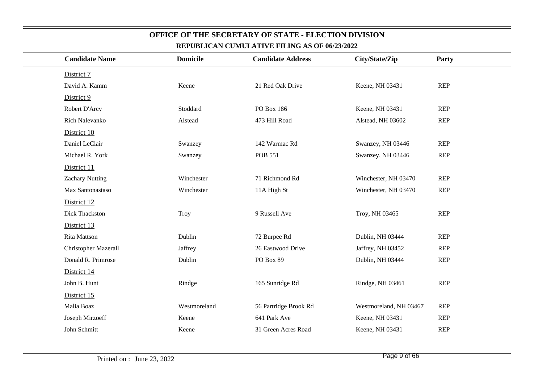| <b>Candidate Name</b>  | <b>Domicile</b> | <b>Candidate Address</b> | City/State/Zip         | Party      |
|------------------------|-----------------|--------------------------|------------------------|------------|
| District 7             |                 |                          |                        |            |
| David A. Kamm          | Keene           | 21 Red Oak Drive         | Keene, NH 03431        | <b>REP</b> |
| District 9             |                 |                          |                        |            |
| Robert D'Arcy          | Stoddard        | PO Box 186               | Keene, NH 03431        | <b>REP</b> |
| Rich Nalevanko         | Alstead         | 473 Hill Road            | Alstead, NH 03602      | <b>REP</b> |
| District 10            |                 |                          |                        |            |
| Daniel LeClair         | Swanzey         | 142 Warmac Rd            | Swanzey, NH 03446      | REP        |
| Michael R. York        | Swanzey         | <b>POB 551</b>           | Swanzey, NH 03446      | <b>REP</b> |
| District 11            |                 |                          |                        |            |
| <b>Zachary Nutting</b> | Winchester      | 71 Richmond Rd           | Winchester, NH 03470   | <b>REP</b> |
| Max Santonastaso       | Winchester      | 11A High St              | Winchester, NH 03470   | <b>REP</b> |
| District 12            |                 |                          |                        |            |
| Dick Thackston         | <b>Troy</b>     | 9 Russell Ave            | Troy, NH 03465         | <b>REP</b> |
| District 13            |                 |                          |                        |            |
| <b>Rita Mattson</b>    | Dublin          | 72 Burpee Rd             | Dublin, NH 03444       | <b>REP</b> |
| Christopher Mazerall   | Jaffrey         | 26 Eastwood Drive        | Jaffrey, NH 03452      | <b>REP</b> |
| Donald R. Primrose     | Dublin          | PO Box 89                | Dublin, NH 03444       | <b>REP</b> |
| District 14            |                 |                          |                        |            |
| John B. Hunt           | Rindge          | 165 Sunridge Rd          | Rindge, NH 03461       | <b>REP</b> |
| District 15            |                 |                          |                        |            |
| Malia Boaz             | Westmoreland    | 56 Partridge Brook Rd    | Westmoreland, NH 03467 | <b>REP</b> |
| Joseph Mirzoeff        | Keene           | 641 Park Ave             | Keene, NH 03431        | <b>REP</b> |
| John Schmitt           | Keene           | 31 Green Acres Road      | Keene, NH 03431        | <b>REP</b> |
|                        |                 |                          |                        |            |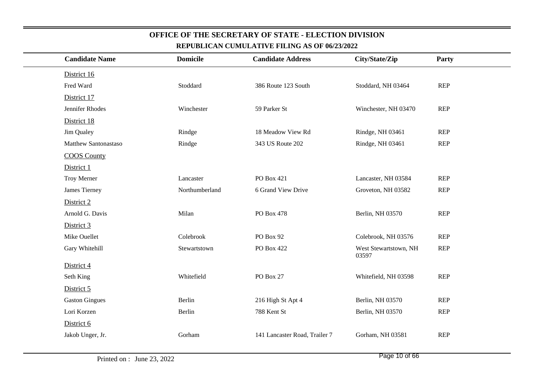| <b>Candidate Name</b> | <b>Domicile</b> | <b>Candidate Address</b>      | City/State/Zip                 | Party      |
|-----------------------|-----------------|-------------------------------|--------------------------------|------------|
| District 16           |                 |                               |                                |            |
| Fred Ward             | Stoddard        | 386 Route 123 South           | Stoddard, NH 03464             | <b>REP</b> |
| District 17           |                 |                               |                                |            |
| Jennifer Rhodes       | Winchester      | 59 Parker St                  | Winchester, NH 03470           | <b>REP</b> |
| District 18           |                 |                               |                                |            |
| Jim Qualey            | Rindge          | 18 Meadow View Rd             | Rindge, NH 03461               | <b>REP</b> |
| Matthew Santonastaso  | Rindge          | 343 US Route 202              | Rindge, NH 03461               | <b>REP</b> |
| <b>COOS</b> County    |                 |                               |                                |            |
| District 1            |                 |                               |                                |            |
| Troy Merner           | Lancaster       | PO Box 421                    | Lancaster, NH 03584            | <b>REP</b> |
| James Tierney         | Northumberland  | 6 Grand View Drive            | Groveton, NH 03582             | <b>REP</b> |
| District 2            |                 |                               |                                |            |
| Arnold G. Davis       | Milan           | PO Box 478                    | Berlin, NH 03570               | <b>REP</b> |
| District 3            |                 |                               |                                |            |
| Mike Ouellet          | Colebrook       | PO Box 92                     | Colebrook, NH 03576            | <b>REP</b> |
| Gary Whitehill        | Stewartstown    | PO Box 422                    | West Stewartstown, NH<br>03597 | <b>REP</b> |
| District 4            |                 |                               |                                |            |
| Seth King             | Whitefield      | PO Box 27                     | Whitefield, NH 03598           | <b>REP</b> |
| District 5            |                 |                               |                                |            |
| <b>Gaston Gingues</b> | Berlin          | 216 High St Apt 4             | Berlin, NH 03570               | <b>REP</b> |
| Lori Korzen           | Berlin          | 788 Kent St                   | Berlin, NH 03570               | <b>REP</b> |
| District 6            |                 |                               |                                |            |
| Jakob Unger, Jr.      | Gorham          | 141 Lancaster Road, Trailer 7 | Gorham, NH 03581               | <b>REP</b> |
|                       |                 |                               |                                |            |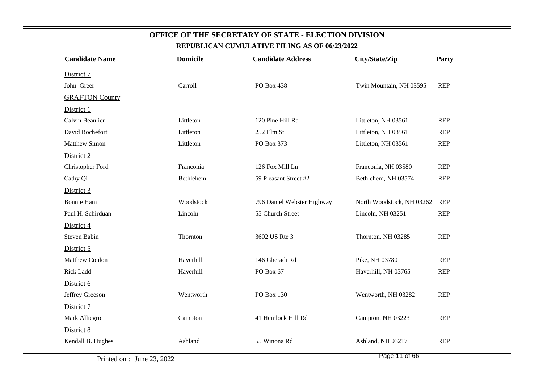| <u>KEFUDLIUAN UUMULATIVE FILING AS OF 00/25/2022</u> |                 |                            |                           |            |  |  |  |
|------------------------------------------------------|-----------------|----------------------------|---------------------------|------------|--|--|--|
| <b>Candidate Name</b>                                | <b>Domicile</b> | <b>Candidate Address</b>   | City/State/Zip            | Party      |  |  |  |
| District 7                                           |                 |                            |                           |            |  |  |  |
| John Greer                                           | Carroll         | PO Box 438                 | Twin Mountain, NH 03595   | <b>REP</b> |  |  |  |
| <b>GRAFTON County</b>                                |                 |                            |                           |            |  |  |  |
| District 1                                           |                 |                            |                           |            |  |  |  |
| Calvin Beaulier                                      | Littleton       | 120 Pine Hill Rd           | Littleton, NH 03561       | <b>REP</b> |  |  |  |
| David Rochefort                                      | Littleton       | 252 Elm St                 | Littleton, NH 03561       | <b>REP</b> |  |  |  |
| <b>Matthew Simon</b>                                 | Littleton       | PO Box 373                 | Littleton, NH 03561       | <b>REP</b> |  |  |  |
| District 2                                           |                 |                            |                           |            |  |  |  |
| Christopher Ford                                     | Franconia       | 126 Fox Mill Ln            | Franconia, NH 03580       | <b>REP</b> |  |  |  |
| Cathy Qi                                             | Bethlehem       | 59 Pleasant Street #2      | Bethlehem, NH 03574       | <b>REP</b> |  |  |  |
| District 3                                           |                 |                            |                           |            |  |  |  |
| <b>Bonnie Ham</b>                                    | Woodstock       | 796 Daniel Webster Highway | North Woodstock, NH 03262 | REP        |  |  |  |
| Paul H. Schirduan                                    | Lincoln         | 55 Church Street           | Lincoln, NH 03251         | <b>REP</b> |  |  |  |
| District 4                                           |                 |                            |                           |            |  |  |  |
| Steven Babin                                         | Thornton        | 3602 US Rte 3              | Thornton, NH 03285        | REP        |  |  |  |
| District 5                                           |                 |                            |                           |            |  |  |  |
| <b>Matthew Coulon</b>                                | Haverhill       | 146 Gheradi Rd             | Pike, NH 03780            | <b>REP</b> |  |  |  |
| Rick Ladd                                            | Haverhill       | PO Box 67                  | Haverhill, NH 03765       | REP        |  |  |  |
| District 6                                           |                 |                            |                           |            |  |  |  |
| Jeffrey Greeson                                      | Wentworth       | PO Box 130                 | Wentworth, NH 03282       | <b>REP</b> |  |  |  |
| District 7                                           |                 |                            |                           |            |  |  |  |
| Mark Alliegro                                        | Campton         | 41 Hemlock Hill Rd         | Campton, NH 03223         | <b>REP</b> |  |  |  |
| District 8                                           |                 |                            |                           |            |  |  |  |
| Kendall B. Hughes                                    | Ashland         | 55 Winona Rd               | Ashland, NH 03217         | <b>REP</b> |  |  |  |
|                                                      |                 |                            |                           |            |  |  |  |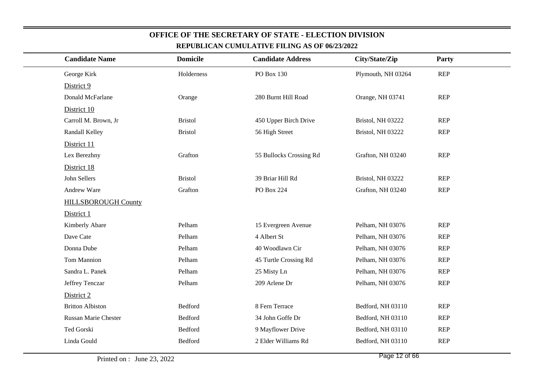| <b>Candidate Name</b>      | <b>Domicile</b> | <b>Candidate Address</b> | City/State/Zip     | Party      |  |
|----------------------------|-----------------|--------------------------|--------------------|------------|--|
| George Kirk                | Holderness      | PO Box 130               | Plymouth, NH 03264 | <b>REP</b> |  |
| District 9                 |                 |                          |                    |            |  |
| Donald McFarlane           | Orange          | 280 Burnt Hill Road      | Orange, NH 03741   | <b>REP</b> |  |
| District 10                |                 |                          |                    |            |  |
| Carroll M. Brown, Jr       | <b>Bristol</b>  | 450 Upper Birch Drive    | Bristol, NH 03222  | <b>REP</b> |  |
| Randall Kelley             | <b>Bristol</b>  | 56 High Street           | Bristol, NH 03222  | <b>REP</b> |  |
| District 11                |                 |                          |                    |            |  |
| Lex Berezhny               | Grafton         | 55 Bullocks Crossing Rd  | Grafton, NH 03240  | <b>REP</b> |  |
| District 18                |                 |                          |                    |            |  |
| John Sellers               | <b>Bristol</b>  | 39 Briar Hill Rd         | Bristol, NH 03222  | <b>REP</b> |  |
| Andrew Ware                | Grafton         | PO Box 224               | Grafton, NH 03240  | <b>REP</b> |  |
| <b>HILLSBOROUGH County</b> |                 |                          |                    |            |  |
| District 1                 |                 |                          |                    |            |  |
| Kimberly Abare             | Pelham          | 15 Evergreen Avenue      | Pelham, NH 03076   | <b>REP</b> |  |
| Dave Cate                  | Pelham          | 4 Albert St              | Pelham, NH 03076   | <b>REP</b> |  |
| Donna Dube                 | Pelham          | 40 Woodlawn Cir          | Pelham, NH 03076   | <b>REP</b> |  |
| <b>Tom Mannion</b>         | Pelham          | 45 Turtle Crossing Rd    | Pelham, NH 03076   | <b>REP</b> |  |
| Sandra L. Panek            | Pelham          | 25 Misty Ln              | Pelham, NH 03076   | <b>REP</b> |  |
| Jeffrey Tenczar            | Pelham          | 209 Arlene Dr            | Pelham, NH 03076   | <b>REP</b> |  |
| District 2                 |                 |                          |                    |            |  |
| <b>Britton Albiston</b>    | Bedford         | 8 Fern Terrace           | Bedford, NH 03110  | <b>REP</b> |  |
| Russan Marie Chester       | Bedford         | 34 John Goffe Dr         | Bedford, NH 03110  | <b>REP</b> |  |
| Ted Gorski                 | Bedford         | 9 Mayflower Drive        | Bedford, NH 03110  | <b>REP</b> |  |
| Linda Gould                | Bedford         | 2 Elder Williams Rd      | Bedford, NH 03110  | <b>REP</b> |  |
|                            |                 |                          |                    |            |  |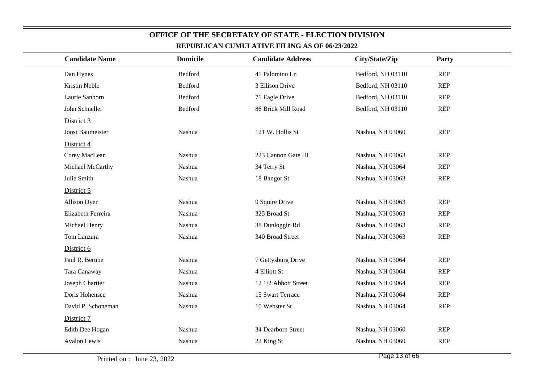| <u>KEFUDLIUAN UUMULATIVE FILING AS OF 90/25/2922</u> |                 |                          |                   |            |  |  |
|------------------------------------------------------|-----------------|--------------------------|-------------------|------------|--|--|
| <b>Candidate Name</b>                                | <b>Domicile</b> | <b>Candidate Address</b> | City/State/Zip    | Party      |  |  |
| Dan Hynes                                            | <b>Bedford</b>  | 41 Palomino Ln           | Bedford, NH 03110 | <b>REP</b> |  |  |
| Kristin Noble                                        | Bedford         | 3 Ellison Drive          | Bedford, NH 03110 | <b>REP</b> |  |  |
| Laurie Sanborn                                       | Bedford         | 71 Eagle Drive           | Bedford, NH 03110 | <b>REP</b> |  |  |
| John Schneller                                       | <b>Bedford</b>  | 86 Brick Mill Road       | Bedford, NH 03110 | <b>REP</b> |  |  |
| District 3                                           |                 |                          |                   |            |  |  |
| Joost Baumeister                                     | Nashua          | 121 W. Hollis St         | Nashua, NH 03060  | <b>REP</b> |  |  |
| District 4                                           |                 |                          |                   |            |  |  |
| Corey MacLean                                        | Nashua          | 223 Cannon Gate III      | Nashua, NH 03063  | <b>REP</b> |  |  |
| Michael McCarthy                                     | Nashua          | 34 Terry St              | Nashua, NH 03064  | <b>REP</b> |  |  |
| Julie Smith                                          | Nashua          | 18 Bangor St             | Nashua, NH 03063  | <b>REP</b> |  |  |
| District 5                                           |                 |                          |                   |            |  |  |
| <b>Allison Dyer</b>                                  | Nashua          | 9 Squire Drive           | Nashua, NH 03063  | <b>REP</b> |  |  |
| Elizabeth Ferreira                                   | Nashua          | 325 Broad St             | Nashua, NH 03063  | <b>REP</b> |  |  |
| Michael Henry                                        | Nashua          | 38 Dunloggin Rd          | Nashua, NH 03063  | <b>REP</b> |  |  |
| Tom Lanzara                                          | Nashua          | 340 Broad Street         | Nashua, NH 03063  | <b>REP</b> |  |  |
| District 6                                           |                 |                          |                   |            |  |  |
| Paul R. Berube                                       | Nashua          | 7 Gettysburg Drive       | Nashua, NH 03064  | <b>REP</b> |  |  |
| Tara Canaway                                         | Nashua          | 4 Elliott St             | Nashua, NH 03064  | <b>REP</b> |  |  |
| Joseph Chartier                                      | Nashua          | 12 1/2 Abbott Street     | Nashua, NH 03064  | <b>REP</b> |  |  |
| Doris Hohensee                                       | Nashua          | 15 Swart Terrace         | Nashua, NH 03064  | <b>REP</b> |  |  |
| David P. Schoneman                                   | Nashua          | 10 Webster St            | Nashua, NH 03064  | <b>REP</b> |  |  |
| District 7                                           |                 |                          |                   |            |  |  |
| Edith Dee Hogan                                      | Nashua          | 34 Dearborn Street       | Nashua, NH 03060  | <b>REP</b> |  |  |
| Avalon Lewis                                         | Nashua          | 22 King St               | Nashua, NH 03060  | <b>REP</b> |  |  |
|                                                      |                 |                          |                   |            |  |  |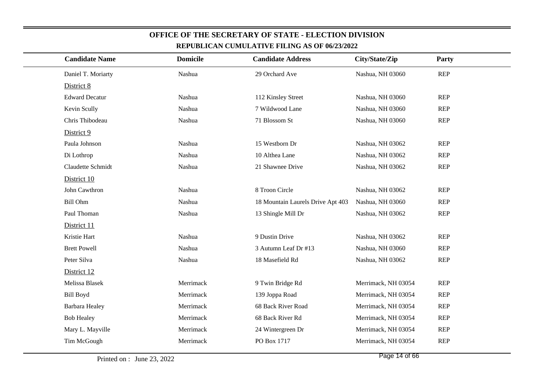| <b>Candidate Name</b> | <b>Domicile</b> | <b>Candidate Address</b>          | City/State/Zip      | Party      |
|-----------------------|-----------------|-----------------------------------|---------------------|------------|
| Daniel T. Moriarty    | Nashua          | 29 Orchard Ave                    | Nashua, NH 03060    | <b>REP</b> |
| District 8            |                 |                                   |                     |            |
| <b>Edward Decatur</b> | Nashua          | 112 Kinsley Street                | Nashua, NH 03060    | <b>REP</b> |
| Kevin Scully          | Nashua          | 7 Wildwood Lane                   | Nashua, NH 03060    | <b>REP</b> |
| Chris Thibodeau       | Nashua          | 71 Blossom St                     | Nashua, NH 03060    | <b>REP</b> |
| District 9            |                 |                                   |                     |            |
| Paula Johnson         | Nashua          | 15 Westborn Dr                    | Nashua, NH 03062    | <b>REP</b> |
| Di Lothrop            | Nashua          | 10 Althea Lane                    | Nashua, NH 03062    | <b>REP</b> |
| Claudette Schmidt     | Nashua          | 21 Shawnee Drive                  | Nashua, NH 03062    | <b>REP</b> |
| District 10           |                 |                                   |                     |            |
| John Cawthron         | Nashua          | 8 Troon Circle                    | Nashua, NH 03062    | <b>REP</b> |
| <b>Bill Ohm</b>       | Nashua          | 18 Mountain Laurels Drive Apt 403 | Nashua, NH 03060    | <b>REP</b> |
| Paul Thoman           | Nashua          | 13 Shingle Mill Dr                | Nashua, NH 03062    | <b>REP</b> |
| District 11           |                 |                                   |                     |            |
| Kristie Hart          | Nashua          | 9 Dustin Drive                    | Nashua, NH 03062    | <b>REP</b> |
| <b>Brett Powell</b>   | Nashua          | 3 Autumn Leaf Dr #13              | Nashua, NH 03060    | <b>REP</b> |
| Peter Silva           | Nashua          | 18 Masefield Rd                   | Nashua, NH 03062    | <b>REP</b> |
| District 12           |                 |                                   |                     |            |
| Melissa Blasek        | Merrimack       | 9 Twin Bridge Rd                  | Merrimack, NH 03054 | <b>REP</b> |
| <b>Bill Boyd</b>      | Merrimack       | 139 Joppa Road                    | Merrimack, NH 03054 | <b>REP</b> |
| Barbara Healey        | Merrimack       | 68 Back River Road                | Merrimack, NH 03054 | <b>REP</b> |
| <b>Bob Healey</b>     | Merrimack       | 68 Back River Rd                  | Merrimack, NH 03054 | <b>REP</b> |
| Mary L. Mayville      | Merrimack       | 24 Wintergreen Dr                 | Merrimack, NH 03054 | <b>REP</b> |
| Tim McGough           | Merrimack       | PO Box 1717                       | Merrimack, NH 03054 | <b>REP</b> |
|                       |                 |                                   |                     |            |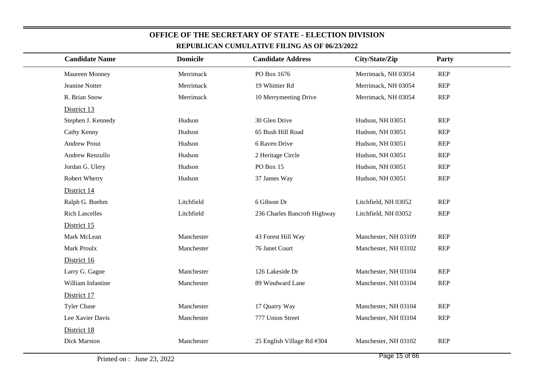| <b>Candidate Name</b> | <b>Domicile</b> | <b>Candidate Address</b>     | City/State/Zip       | Party      |
|-----------------------|-----------------|------------------------------|----------------------|------------|
| Maureen Mooney        | Merrimack       | PO Box 1676                  | Merrimack, NH 03054  | <b>REP</b> |
| Jeanine Notter        | Merrimack       | 19 Whittier Rd               | Merrimack, NH 03054  | <b>REP</b> |
| R. Brian Snow         | Merrimack       | 10 Merrymeeting Drive        | Merrimack, NH 03054  | <b>REP</b> |
| District 13           |                 |                              |                      |            |
| Stephen J. Kennedy    | Hudson          | 30 Glen Drive                | Hudson, NH 03051     | <b>REP</b> |
| Cathy Kenny           | Hudson          | 65 Bush Hill Road            | Hudson, NH 03051     | <b>REP</b> |
| <b>Andrew Prout</b>   | Hudson          | 6 Raven Drive                | Hudson, NH 03051     | <b>REP</b> |
| Andrew Renzullo       | Hudson          | 2 Heritage Circle            | Hudson, NH 03051     | <b>REP</b> |
| Jordan G. Ulery       | Hudson          | PO Box 15                    | Hudson, NH 03051     | <b>REP</b> |
| Robert Wherry         | Hudson          | 37 James Way                 | Hudson, NH 03051     | <b>REP</b> |
| District 14           |                 |                              |                      |            |
| Ralph G. Boehm        | Litchfield      | 6 Gibson Dr                  | Litchfield, NH 03052 | <b>REP</b> |
| <b>Rich Lascelles</b> | Litchfield      | 236 Charles Bancroft Highway | Litchfield, NH 03052 | <b>REP</b> |
| District 15           |                 |                              |                      |            |
| Mark McLean           | Manchester      | 43 Forest Hill Way           | Manchester, NH 03109 | <b>REP</b> |
| Mark Proulx           | Manchester      | 76 Janet Court               | Manchester, NH 03102 | <b>REP</b> |
| District 16           |                 |                              |                      |            |
| Larry G. Gagne        | Manchester      | 126 Lakeside Dr              | Manchester, NH 03104 | <b>REP</b> |
| William Infantine     | Manchester      | 89 Windward Lane             | Manchester, NH 03104 | <b>REP</b> |
| District 17           |                 |                              |                      |            |
| <b>Tyler Chase</b>    | Manchester      | 17 Quarry Way                | Manchester, NH 03104 | <b>REP</b> |
| Lee Xavier Davis      | Manchester      | 777 Union Street             | Manchester, NH 03104 | <b>REP</b> |
| District 18           |                 |                              |                      |            |
| Dick Marston          | Manchester      | 25 English Village Rd #304   | Manchester, NH 03102 | <b>REP</b> |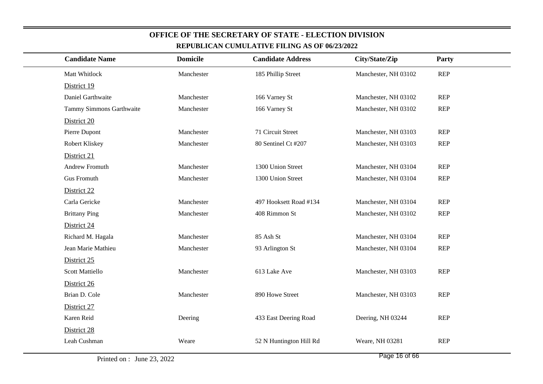| <b>Candidate Name</b>    | <b>Domicile</b> | <b>Candidate Address</b> | City/State/Zip       | Party      |
|--------------------------|-----------------|--------------------------|----------------------|------------|
| Matt Whitlock            | Manchester      | 185 Phillip Street       | Manchester, NH 03102 | <b>REP</b> |
| District 19              |                 |                          |                      |            |
| Daniel Garthwaite        | Manchester      | 166 Varney St            | Manchester, NH 03102 | <b>REP</b> |
| Tammy Simmons Garthwaite | Manchester      | 166 Varney St            | Manchester, NH 03102 | <b>REP</b> |
| District 20              |                 |                          |                      |            |
| Pierre Dupont            | Manchester      | 71 Circuit Street        | Manchester, NH 03103 | <b>REP</b> |
| Robert Kliskey           | Manchester      | 80 Sentinel Ct #207      | Manchester, NH 03103 | <b>REP</b> |
| District 21              |                 |                          |                      |            |
| Andrew Fromuth           | Manchester      | 1300 Union Street        | Manchester, NH 03104 | <b>REP</b> |
| <b>Gus Fromuth</b>       | Manchester      | 1300 Union Street        | Manchester, NH 03104 | <b>REP</b> |
| District 22              |                 |                          |                      |            |
| Carla Gericke            | Manchester      | 497 Hooksett Road #134   | Manchester, NH 03104 | <b>REP</b> |
| <b>Brittany Ping</b>     | Manchester      | 408 Rimmon St            | Manchester, NH 03102 | <b>REP</b> |
| District 24              |                 |                          |                      |            |
| Richard M. Hagala        | Manchester      | 85 Ash St                | Manchester, NH 03104 | <b>REP</b> |
| Jean Marie Mathieu       | Manchester      | 93 Arlington St          | Manchester, NH 03104 | <b>REP</b> |
| District 25              |                 |                          |                      |            |
| Scott Mattiello          | Manchester      | 613 Lake Ave             | Manchester, NH 03103 | <b>REP</b> |
| District 26              |                 |                          |                      |            |
| Brian D. Cole            | Manchester      | 890 Howe Street          | Manchester, NH 03103 | <b>REP</b> |
| District 27              |                 |                          |                      |            |
| Karen Reid               | Deering         | 433 East Deering Road    | Deering, NH 03244    | <b>REP</b> |
| District 28              |                 |                          |                      |            |
| Leah Cushman             | Weare           | 52 N Huntington Hill Rd  | Weare, NH 03281      | <b>REP</b> |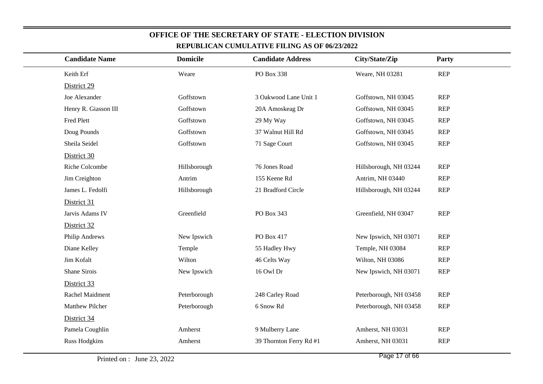| <b>Candidate Name</b> | <b>Domicile</b> | <b>Candidate Address</b> | City/State/Zip         | Party      |
|-----------------------|-----------------|--------------------------|------------------------|------------|
| Keith Erf             | Weare           | PO Box 338               | Weare, NH 03281        | <b>REP</b> |
| District 29           |                 |                          |                        |            |
| Joe Alexander         | Goffstown       | 3 Oakwood Lane Unit 1    | Goffstown, NH 03045    | <b>REP</b> |
| Henry R. Giasson III  | Goffstown       | 20A Amoskeag Dr          | Goffstown, NH 03045    | <b>REP</b> |
| Fred Plett            | Goffstown       | 29 My Way                | Goffstown, NH 03045    | <b>REP</b> |
| Doug Pounds           | Goffstown       | 37 Walnut Hill Rd        | Goffstown, NH 03045    | <b>REP</b> |
| Sheila Seidel         | Goffstown       | 71 Sage Court            | Goffstown, NH 03045    | <b>REP</b> |
| District 30           |                 |                          |                        |            |
| Riche Colcombe        | Hillsborough    | 76 Jones Road            | Hillsborough, NH 03244 | <b>REP</b> |
| Jim Creighton         | Antrim          | 155 Keene Rd             | Antrim, NH 03440       | <b>REP</b> |
| James L. Fedolfi      | Hillsborough    | 21 Bradford Circle       | Hillsborough, NH 03244 | <b>REP</b> |
| District 31           |                 |                          |                        |            |
| Jarvis Adams IV       | Greenfield      | PO Box 343               | Greenfield, NH 03047   | <b>REP</b> |
| District 32           |                 |                          |                        |            |
| Philip Andrews        | New Ipswich     | PO Box 417               | New Ipswich, NH 03071  | <b>REP</b> |
| Diane Kelley          | Temple          | 55 Hadley Hwy            | Temple, NH 03084       | <b>REP</b> |
| Jim Kofalt            | Wilton          | 46 Celts Way             | Wilton, NH 03086       | <b>REP</b> |
| Shane Sirois          | New Ipswich     | 16 Owl Dr                | New Ipswich, NH 03071  | <b>REP</b> |
| District 33           |                 |                          |                        |            |
| Rachel Maidment       | Peterborough    | 248 Carley Road          | Peterborough, NH 03458 | <b>REP</b> |
| Matthew Pilcher       | Peterborough    | 6 Snow Rd                | Peterborough, NH 03458 | <b>REP</b> |
| District 34           |                 |                          |                        |            |
| Pamela Coughlin       | Amherst         | 9 Mulberry Lane          | Amherst, NH 03031      | <b>REP</b> |
| <b>Russ Hodgkins</b>  | Amherst         | 39 Thornton Ferry Rd #1  | Amherst, NH 03031      | <b>REP</b> |
|                       |                 |                          |                        |            |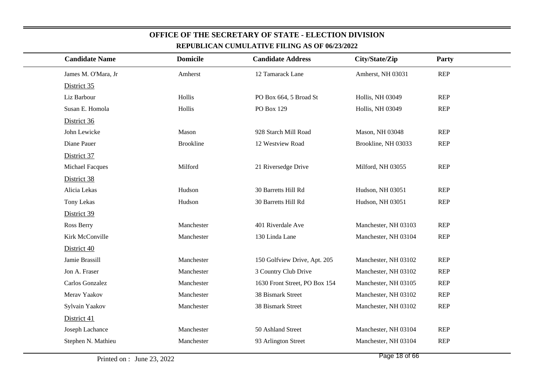| <b>Candidate Name</b>  | <b>Domicile</b>  | <b>Candidate Address</b>      | City/State/Zip          | Party      |  |
|------------------------|------------------|-------------------------------|-------------------------|------------|--|
| James M. O'Mara, Jr    | Amherst          | 12 Tamarack Lane              | Amherst, NH 03031       | <b>REP</b> |  |
| District 35            |                  |                               |                         |            |  |
| Liz Barbour            | Hollis           | PO Box 664, 5 Broad St        | <b>Hollis, NH 03049</b> | <b>REP</b> |  |
| Susan E. Homola        | Hollis           | PO Box 129                    | Hollis, NH 03049        | <b>REP</b> |  |
| District 36            |                  |                               |                         |            |  |
| John Lewicke           | Mason            | 928 Starch Mill Road          | Mason, NH 03048         | <b>REP</b> |  |
| Diane Pauer            | <b>Brookline</b> | 12 Westview Road              | Brookline, NH 03033     | <b>REP</b> |  |
| District 37            |                  |                               |                         |            |  |
| <b>Michael Facques</b> | Milford          | 21 Riversedge Drive           | Milford, NH 03055       | <b>REP</b> |  |
| District 38            |                  |                               |                         |            |  |
| Alicia Lekas           | Hudson           | 30 Barretts Hill Rd           | Hudson, NH 03051        | <b>REP</b> |  |
| Tony Lekas             | Hudson           | 30 Barretts Hill Rd           | Hudson, NH 03051        | <b>REP</b> |  |
| District 39            |                  |                               |                         |            |  |
| Ross Berry             | Manchester       | 401 Riverdale Ave             | Manchester, NH 03103    | <b>REP</b> |  |
| Kirk McConville        | Manchester       | 130 Linda Lane                | Manchester, NH 03104    | <b>REP</b> |  |
| District 40            |                  |                               |                         |            |  |
| Jamie Brassill         | Manchester       | 150 Golfview Drive, Apt. 205  | Manchester, NH 03102    | <b>REP</b> |  |
| Jon A. Fraser          | Manchester       | 3 Country Club Drive          | Manchester, NH 03102    | <b>REP</b> |  |
| Carlos Gonzalez        | Manchester       | 1630 Front Street, PO Box 154 | Manchester, NH 03105    | <b>REP</b> |  |
| Merav Yaakov           | Manchester       | 38 Bismark Street             | Manchester, NH 03102    | <b>REP</b> |  |
| Sylvain Yaakov         | Manchester       | 38 Bismark Street             | Manchester, NH 03102    | <b>REP</b> |  |
| District 41            |                  |                               |                         |            |  |
| Joseph Lachance        | Manchester       | 50 Ashland Street             | Manchester, NH 03104    | <b>REP</b> |  |
| Stephen N. Mathieu     | Manchester       | 93 Arlington Street           | Manchester, NH 03104    | <b>REP</b> |  |
|                        |                  |                               |                         |            |  |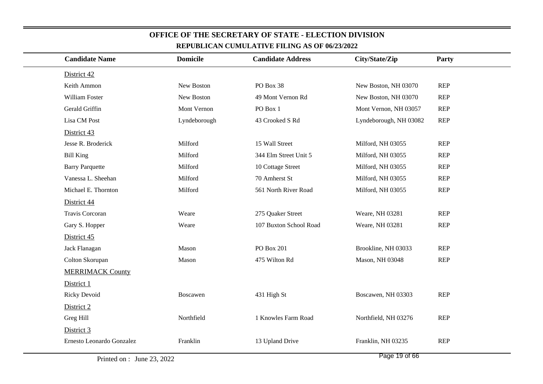| <b>Candidate Name</b>     | <b>Domicile</b> | <b>Candidate Address</b> | City/State/Zip         | Party      |
|---------------------------|-----------------|--------------------------|------------------------|------------|
| District 42               |                 |                          |                        |            |
| Keith Ammon               | New Boston      | PO Box 38                | New Boston, NH 03070   | <b>REP</b> |
| William Foster            | New Boston      | 49 Mont Vernon Rd        | New Boston, NH 03070   | <b>REP</b> |
| Gerald Griffin            | Mont Vernon     | PO Box 1                 | Mont Vernon, NH 03057  | <b>REP</b> |
| Lisa CM Post              | Lyndeborough    | 43 Crooked S Rd          | Lyndeborough, NH 03082 | <b>REP</b> |
| District 43               |                 |                          |                        |            |
| Jesse R. Broderick        | Milford         | 15 Wall Street           | Milford, NH 03055      | <b>REP</b> |
| <b>Bill King</b>          | Milford         | 344 Elm Street Unit 5    | Milford, NH 03055      | <b>REP</b> |
| <b>Barry Parquette</b>    | Milford         | 10 Cottage Street        | Milford, NH 03055      | <b>REP</b> |
| Vanessa L. Sheehan        | Milford         | 70 Amherst St            | Milford, NH 03055      | <b>REP</b> |
| Michael E. Thornton       | Milford         | 561 North River Road     | Milford, NH 03055      | <b>REP</b> |
| District 44               |                 |                          |                        |            |
| Travis Corcoran           | Weare           | 275 Quaker Street        | Weare, NH 03281        | <b>REP</b> |
| Gary S. Hopper            | Weare           | 107 Buxton School Road   | Weare, NH 03281        | <b>REP</b> |
| District 45               |                 |                          |                        |            |
| Jack Flanagan             | Mason           | <b>PO Box 201</b>        | Brookline, NH 03033    | <b>REP</b> |
| Colton Skorupan           | Mason           | 475 Wilton Rd            | Mason, NH 03048        | <b>REP</b> |
| <b>MERRIMACK County</b>   |                 |                          |                        |            |
| District 1                |                 |                          |                        |            |
| <b>Ricky Devoid</b>       | Boscawen        | 431 High St              | Boscawen, NH 03303     | <b>REP</b> |
| District 2                |                 |                          |                        |            |
| Greg Hill                 | Northfield      | 1 Knowles Farm Road      | Northfield, NH 03276   | <b>REP</b> |
| District 3                |                 |                          |                        |            |
| Ernesto Leonardo Gonzalez | Franklin        | 13 Upland Drive          | Franklin, NH 03235     | <b>REP</b> |
|                           |                 |                          | $D_{0.92}$ 10 of $66$  |            |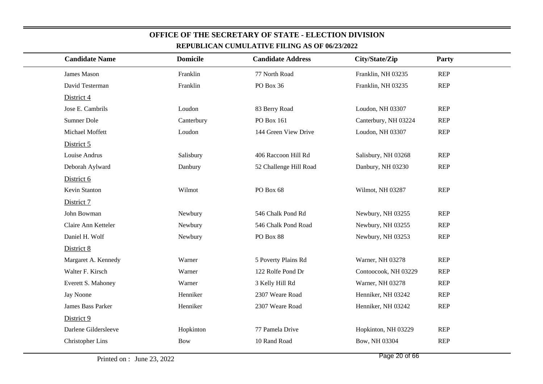| <u>KEI UDLIUAN UUMULATI VE FILING AS OF 00/23/2022</u> |                 |                          |                      |            |  |  |
|--------------------------------------------------------|-----------------|--------------------------|----------------------|------------|--|--|
| <b>Candidate Name</b>                                  | <b>Domicile</b> | <b>Candidate Address</b> | City/State/Zip       | Party      |  |  |
| James Mason                                            | Franklin        | 77 North Road            | Franklin, NH 03235   | <b>REP</b> |  |  |
| David Testerman                                        | Franklin        | PO Box 36                | Franklin, NH 03235   | <b>REP</b> |  |  |
| District 4                                             |                 |                          |                      |            |  |  |
| Jose E. Cambrils                                       | Loudon          | 83 Berry Road            | Loudon, NH 03307     | <b>REP</b> |  |  |
| Sumner Dole                                            | Canterbury      | PO Box 161               | Canterbury, NH 03224 | <b>REP</b> |  |  |
| Michael Moffett                                        | Loudon          | 144 Green View Drive     | Loudon, NH 03307     | <b>REP</b> |  |  |
| District 5                                             |                 |                          |                      |            |  |  |
| Louise Andrus                                          | Salisbury       | 406 Raccoon Hill Rd      | Salisbury, NH 03268  | <b>REP</b> |  |  |
| Deborah Aylward                                        | Danbury         | 52 Challenge Hill Road   | Danbury, NH 03230    | <b>REP</b> |  |  |
| District 6                                             |                 |                          |                      |            |  |  |
| Kevin Stanton                                          | Wilmot          | PO Box 68                | Wilmot, NH 03287     | <b>REP</b> |  |  |
| District 7                                             |                 |                          |                      |            |  |  |
| John Bowman                                            | Newbury         | 546 Chalk Pond Rd        | Newbury, NH 03255    | <b>REP</b> |  |  |
| Claire Ann Ketteler                                    | Newbury         | 546 Chalk Pond Road      | Newbury, NH 03255    | <b>REP</b> |  |  |
| Daniel H. Wolf                                         | Newbury         | PO Box 88                | Newbury, NH 03253    | <b>REP</b> |  |  |
| District 8                                             |                 |                          |                      |            |  |  |
| Margaret A. Kennedy                                    | Warner          | 5 Poverty Plains Rd      | Warner, NH 03278     | <b>REP</b> |  |  |
| Walter F. Kirsch                                       | Warner          | 122 Rolfe Pond Dr        | Contoocook, NH 03229 | <b>REP</b> |  |  |
| Everett S. Mahoney                                     | Warner          | 3 Kelly Hill Rd          | Warner, NH 03278     | <b>REP</b> |  |  |
| Jay Noone                                              | Henniker        | 2307 Weare Road          | Henniker, NH 03242   | <b>REP</b> |  |  |
| <b>James Bass Parker</b>                               | Henniker        | 2307 Weare Road          | Henniker, NH 03242   | <b>REP</b> |  |  |
| District 9                                             |                 |                          |                      |            |  |  |
| Darlene Gildersleeve                                   | Hopkinton       | 77 Pamela Drive          | Hopkinton, NH 03229  | <b>REP</b> |  |  |
| <b>Christopher Lins</b>                                | <b>Bow</b>      | 10 Rand Road             | Bow, NH 03304        | <b>REP</b> |  |  |
|                                                        |                 |                          |                      |            |  |  |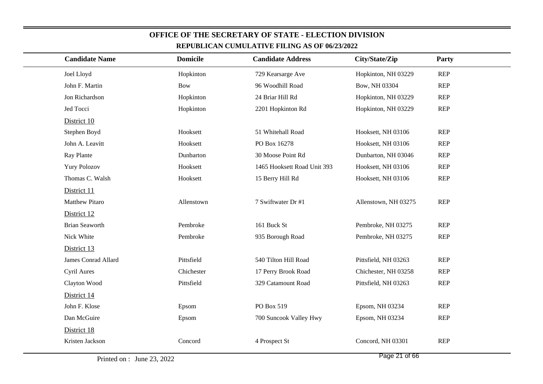| <b>Candidate Name</b> | <b>Domicile</b> | <b>Candidate Address</b>    | City/State/Zip       | Party      |  |
|-----------------------|-----------------|-----------------------------|----------------------|------------|--|
| Joel Lloyd            | Hopkinton       | 729 Kearsarge Ave           | Hopkinton, NH 03229  | <b>REP</b> |  |
| John F. Martin        | <b>Bow</b>      | 96 Woodhill Road            | Bow, NH 03304        | <b>REP</b> |  |
| Jon Richardson        | Hopkinton       | 24 Briar Hill Rd            | Hopkinton, NH 03229  | <b>REP</b> |  |
| Jed Tocci             | Hopkinton       | 2201 Hopkinton Rd           | Hopkinton, NH 03229  | <b>REP</b> |  |
| District 10           |                 |                             |                      |            |  |
| Stephen Boyd          | Hooksett        | 51 Whitehall Road           | Hooksett, NH 03106   | <b>REP</b> |  |
| John A. Leavitt       | Hooksett        | PO Box 16278                | Hooksett, NH 03106   | <b>REP</b> |  |
| Ray Plante            | Dunbarton       | 30 Moose Point Rd           | Dunbarton, NH 03046  | <b>REP</b> |  |
| <b>Yury Polozov</b>   | Hooksett        | 1465 Hooksett Road Unit 393 | Hooksett, NH 03106   | <b>REP</b> |  |
| Thomas C. Walsh       | Hooksett        | 15 Berry Hill Rd            | Hooksett, NH 03106   | <b>REP</b> |  |
| District 11           |                 |                             |                      |            |  |
| <b>Matthew Pitaro</b> | Allenstown      | 7 Swiftwater Dr #1          | Allenstown, NH 03275 | <b>REP</b> |  |
| District 12           |                 |                             |                      |            |  |
| <b>Brian Seaworth</b> | Pembroke        | 161 Buck St                 | Pembroke, NH 03275   | <b>REP</b> |  |
| Nick White            | Pembroke        | 935 Borough Road            | Pembroke, NH 03275   | <b>REP</b> |  |
| District 13           |                 |                             |                      |            |  |
| James Conrad Allard   | Pittsfield      | 540 Tilton Hill Road        | Pittsfield, NH 03263 | <b>REP</b> |  |
| Cyril Aures           | Chichester      | 17 Perry Brook Road         | Chichester, NH 03258 | <b>REP</b> |  |
| Clayton Wood          | Pittsfield      | 329 Catamount Road          | Pittsfield, NH 03263 | <b>REP</b> |  |
| District 14           |                 |                             |                      |            |  |
| John F. Klose         | Epsom           | PO Box 519                  | Epsom, NH 03234      | <b>REP</b> |  |
| Dan McGuire           | Epsom           | 700 Suncook Valley Hwy      | Epsom, NH 03234      | <b>REP</b> |  |
| District 18           |                 |                             |                      |            |  |
| Kristen Jackson       | Concord         | 4 Prospect St               | Concord, NH 03301    | <b>REP</b> |  |
|                       |                 |                             |                      |            |  |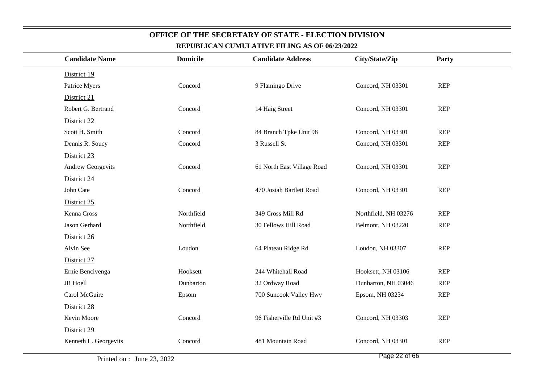| <b>Candidate Name</b> | <b>Domicile</b> | <b>Candidate Address</b>   | City/State/Zip       | <b>Party</b> |
|-----------------------|-----------------|----------------------------|----------------------|--------------|
| District 19           |                 |                            |                      |              |
| Patrice Myers         | Concord         | 9 Flamingo Drive           | Concord, NH 03301    | <b>REP</b>   |
| District 21           |                 |                            |                      |              |
| Robert G. Bertrand    | Concord         | 14 Haig Street             | Concord, NH 03301    | <b>REP</b>   |
| District 22           |                 |                            |                      |              |
| Scott H. Smith        | Concord         | 84 Branch Tpke Unit 98     | Concord, NH 03301    | <b>REP</b>   |
| Dennis R. Soucy       | Concord         | 3 Russell St               | Concord, NH 03301    | <b>REP</b>   |
| District 23           |                 |                            |                      |              |
| Andrew Georgevits     | Concord         | 61 North East Village Road | Concord, NH 03301    | <b>REP</b>   |
| District 24           |                 |                            |                      |              |
| John Cate             | Concord         | 470 Josiah Bartlett Road   | Concord, NH 03301    | <b>REP</b>   |
| District 25           |                 |                            |                      |              |
| Kenna Cross           | Northfield      | 349 Cross Mill Rd          | Northfield, NH 03276 | <b>REP</b>   |
| Jason Gerhard         | Northfield      | 30 Fellows Hill Road       | Belmont, NH 03220    | <b>REP</b>   |
| District 26           |                 |                            |                      |              |
| Alvin See             | Loudon          | 64 Plateau Ridge Rd        | Loudon, NH 03307     | <b>REP</b>   |
| District 27           |                 |                            |                      |              |
| Ernie Bencivenga      | Hooksett        | 244 Whitehall Road         | Hooksett, NH 03106   | <b>REP</b>   |
| JR Hoell              | Dunbarton       | 32 Ordway Road             | Dunbarton, NH 03046  | <b>REP</b>   |
| Carol McGuire         | Epsom           | 700 Suncook Valley Hwy     | Epsom, NH 03234      | <b>REP</b>   |
| District 28           |                 |                            |                      |              |
| Kevin Moore           | Concord         | 96 Fisherville Rd Unit #3  | Concord, NH 03303    | <b>REP</b>   |
| District 29           |                 |                            |                      |              |
| Kenneth L. Georgevits | Concord         | 481 Mountain Road          | Concord, NH 03301    | <b>REP</b>   |
|                       |                 |                            |                      |              |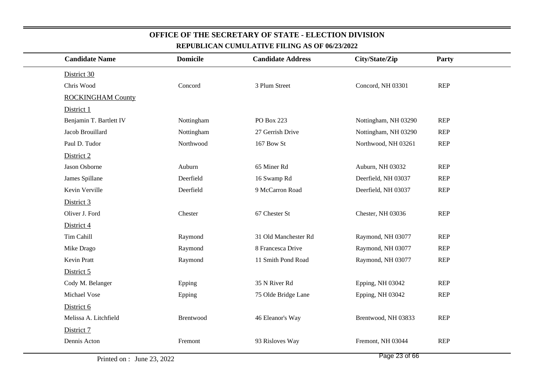| <u>KEI UDLICAN CUMULATIVE FILING AS OF W#3#2022</u> |                 |                          |                      |            |  |  |
|-----------------------------------------------------|-----------------|--------------------------|----------------------|------------|--|--|
| <b>Candidate Name</b>                               | <b>Domicile</b> | <b>Candidate Address</b> | City/State/Zip       | Party      |  |  |
| District 30                                         |                 |                          |                      |            |  |  |
| Chris Wood                                          | Concord         | 3 Plum Street            | Concord, NH 03301    | <b>REP</b> |  |  |
| <b>ROCKINGHAM County</b>                            |                 |                          |                      |            |  |  |
| District 1                                          |                 |                          |                      |            |  |  |
| Benjamin T. Bartlett IV                             | Nottingham      | PO Box 223               | Nottingham, NH 03290 | <b>REP</b> |  |  |
| Jacob Brouillard                                    | Nottingham      | 27 Gerrish Drive         | Nottingham, NH 03290 | <b>REP</b> |  |  |
| Paul D. Tudor                                       | Northwood       | 167 Bow St               | Northwood, NH 03261  | <b>REP</b> |  |  |
| District 2                                          |                 |                          |                      |            |  |  |
| Jason Osborne                                       | Auburn          | 65 Miner Rd              | Auburn, NH 03032     | <b>REP</b> |  |  |
| James Spillane                                      | Deerfield       | 16 Swamp Rd              | Deerfield, NH 03037  | <b>REP</b> |  |  |
| Kevin Verville                                      | Deerfield       | 9 McCarron Road          | Deerfield, NH 03037  | <b>REP</b> |  |  |
| District 3                                          |                 |                          |                      |            |  |  |
| Oliver J. Ford                                      | Chester         | 67 Chester St            | Chester, NH 03036    | <b>REP</b> |  |  |
| District 4                                          |                 |                          |                      |            |  |  |
| Tim Cahill                                          | Raymond         | 31 Old Manchester Rd     | Raymond, NH 03077    | <b>REP</b> |  |  |
| Mike Drago                                          | Raymond         | 8 Francesca Drive        | Raymond, NH 03077    | <b>REP</b> |  |  |
| Kevin Pratt                                         | Raymond         | 11 Smith Pond Road       | Raymond, NH 03077    | <b>REP</b> |  |  |
| District 5                                          |                 |                          |                      |            |  |  |
| Cody M. Belanger                                    | Epping          | 35 N River Rd            | Epping, NH 03042     | <b>REP</b> |  |  |
| Michael Vose                                        | Epping          | 75 Olde Bridge Lane      | Epping, NH 03042     | <b>REP</b> |  |  |
| District 6                                          |                 |                          |                      |            |  |  |
| Melissa A. Litchfield                               | Brentwood       | 46 Eleanor's Way         | Brentwood, NH 03833  | <b>REP</b> |  |  |
| District 7                                          |                 |                          |                      |            |  |  |
| Dennis Acton                                        | Fremont         | 93 Risloves Way          | Fremont, NH 03044    | <b>REP</b> |  |  |
|                                                     |                 |                          |                      |            |  |  |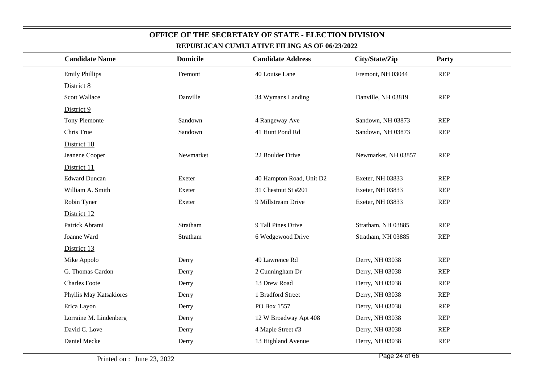| <b>Candidate Name</b>   | <b>Domicile</b> | <b>Candidate Address</b> | City/State/Zip      | Party      |
|-------------------------|-----------------|--------------------------|---------------------|------------|
| <b>Emily Phillips</b>   | Fremont         | 40 Louise Lane           | Fremont, NH 03044   | <b>REP</b> |
| District 8              |                 |                          |                     |            |
| <b>Scott Wallace</b>    | Danville        | 34 Wymans Landing        | Danville, NH 03819  | <b>REP</b> |
| District 9              |                 |                          |                     |            |
| Tony Piemonte           | Sandown         | 4 Rangeway Ave           | Sandown, NH 03873   | <b>REP</b> |
| Chris True              | Sandown         | 41 Hunt Pond Rd          | Sandown, NH 03873   | <b>REP</b> |
| District 10             |                 |                          |                     |            |
| Jeanene Cooper          | Newmarket       | 22 Boulder Drive         | Newmarket, NH 03857 | <b>REP</b> |
| District 11             |                 |                          |                     |            |
| <b>Edward Duncan</b>    | Exeter          | 40 Hampton Road, Unit D2 | Exeter, NH 03833    | <b>REP</b> |
| William A. Smith        | Exeter          | 31 Chestnut St #201      | Exeter, NH 03833    | <b>REP</b> |
| Robin Tyner             | Exeter          | 9 Millstream Drive       | Exeter, NH 03833    | <b>REP</b> |
| District 12             |                 |                          |                     |            |
| Patrick Abrami          | Stratham        | 9 Tall Pines Drive       | Stratham, NH 03885  | <b>REP</b> |
| Joanne Ward             | Stratham        | 6 Wedgewood Drive        | Stratham, NH 03885  | <b>REP</b> |
| District 13             |                 |                          |                     |            |
| Mike Appolo             | Derry           | 49 Lawrence Rd           | Derry, NH 03038     | <b>REP</b> |
| G. Thomas Cardon        | Derry           | 2 Cunningham Dr          | Derry, NH 03038     | <b>REP</b> |
| <b>Charles Foote</b>    | Derry           | 13 Drew Road             | Derry, NH 03038     | <b>REP</b> |
| Phyllis May Katsakiores | Derry           | 1 Bradford Street        | Derry, NH 03038     | <b>REP</b> |
| Erica Layon             | Derry           | PO Box 1557              | Derry, NH 03038     | <b>REP</b> |
| Lorraine M. Lindenberg  | Derry           | 12 W Broadway Apt 408    | Derry, NH 03038     | <b>REP</b> |
| David C. Love           | Derry           | 4 Maple Street #3        | Derry, NH 03038     | <b>REP</b> |
| Daniel Mecke            | Derry           | 13 Highland Avenue       | Derry, NH 03038     | <b>REP</b> |
|                         |                 |                          |                     |            |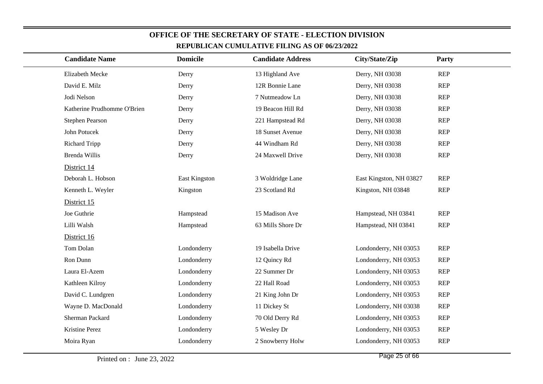| REPUBLICAN CUMULATIVE FILING AS OF 00/23/2022 |                 |                          |                         |            |  |  |  |
|-----------------------------------------------|-----------------|--------------------------|-------------------------|------------|--|--|--|
| <b>Candidate Name</b>                         | <b>Domicile</b> | <b>Candidate Address</b> | City/State/Zip          | Party      |  |  |  |
| Elizabeth Mecke                               | Derry           | 13 Highland Ave          | Derry, NH 03038         | REP        |  |  |  |
| David E. Milz                                 | Derry           | 12R Bonnie Lane          | Derry, NH 03038         | REP        |  |  |  |
| Jodi Nelson                                   | Derry           | 7 Nutmeadow Ln           | Derry, NH 03038         | REP        |  |  |  |
| Katherine Prudhomme O'Brien                   | Derry           | 19 Beacon Hill Rd        | Derry, NH 03038         | REP        |  |  |  |
| Stephen Pearson                               | Derry           | 221 Hampstead Rd         | Derry, NH 03038         | REP        |  |  |  |
| John Potucek                                  | Derry           | 18 Sunset Avenue         | Derry, NH 03038         | <b>REP</b> |  |  |  |
| <b>Richard Tripp</b>                          | Derry           | 44 Windham Rd            | Derry, NH 03038         | REP        |  |  |  |
| Brenda Willis                                 | Derry           | 24 Maxwell Drive         | Derry, NH 03038         | REP        |  |  |  |
| District 14                                   |                 |                          |                         |            |  |  |  |
| Deborah L. Hobson                             | East Kingston   | 3 Woldridge Lane         | East Kingston, NH 03827 | REP        |  |  |  |
| Kenneth L. Weyler                             | Kingston        | 23 Scotland Rd           | Kingston, NH 03848      | REP        |  |  |  |
| District 15                                   |                 |                          |                         |            |  |  |  |
| Joe Guthrie                                   | Hampstead       | 15 Madison Ave           | Hampstead, NH 03841     | REP        |  |  |  |
| Lilli Walsh                                   | Hampstead       | 63 Mills Shore Dr        | Hampstead, NH 03841     | REP        |  |  |  |
| District 16                                   |                 |                          |                         |            |  |  |  |
| Tom Dolan                                     | Londonderry     | 19 Isabella Drive        | Londonderry, NH 03053   | REP        |  |  |  |
| Ron Dunn                                      | Londonderry     | 12 Quincy Rd             | Londonderry, NH 03053   | <b>REP</b> |  |  |  |
| Laura El-Azem                                 | Londonderry     | 22 Summer Dr             | Londonderry, NH 03053   | REP        |  |  |  |
| Kathleen Kilroy                               | Londonderry     | 22 Hall Road             | Londonderry, NH 03053   | <b>REP</b> |  |  |  |
| David C. Lundgren                             | Londonderry     | 21 King John Dr          | Londonderry, NH 03053   | <b>REP</b> |  |  |  |
| Wayne D. MacDonald                            | Londonderry     | 11 Dickey St             | Londonderry, NH 03038   | <b>REP</b> |  |  |  |
| Sherman Packard                               | Londonderry     | 70 Old Derry Rd          | Londonderry, NH 03053   | <b>REP</b> |  |  |  |
| Kristine Perez                                | Londonderry     | 5 Wesley Dr              | Londonderry, NH 03053   | <b>REP</b> |  |  |  |
| Moira Ryan                                    | Londonderry     | 2 Snowberry Holw         | Londonderry, NH 03053   | <b>REP</b> |  |  |  |
|                                               |                 |                          |                         |            |  |  |  |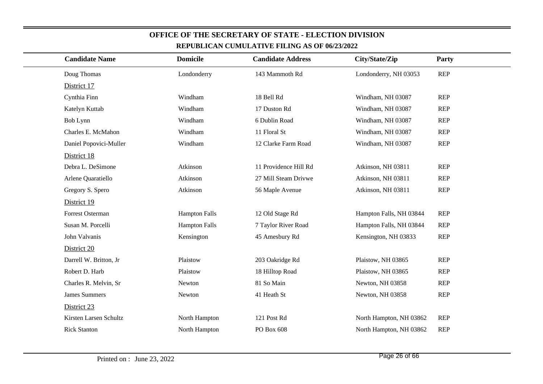| <b>Candidate Name</b>  | <b>Domicile</b>      | <b>Candidate Address</b> | City/State/Zip          | Party      |  |
|------------------------|----------------------|--------------------------|-------------------------|------------|--|
| Doug Thomas            | Londonderry          | 143 Mammoth Rd           | Londonderry, NH 03053   | <b>REP</b> |  |
| District 17            |                      |                          |                         |            |  |
| Cynthia Finn           | Windham              | 18 Bell Rd               | Windham, NH 03087       | <b>REP</b> |  |
| Katelyn Kuttab         | Windham              | 17 Duston Rd             | Windham, NH 03087       | <b>REP</b> |  |
| Bob Lynn               | Windham              | 6 Dublin Road            | Windham, NH 03087       | <b>REP</b> |  |
| Charles E. McMahon     | Windham              | 11 Floral St             | Windham, NH 03087       | <b>REP</b> |  |
| Daniel Popovici-Muller | Windham              | 12 Clarke Farm Road      | Windham, NH 03087       | <b>REP</b> |  |
| District 18            |                      |                          |                         |            |  |
| Debra L. DeSimone      | Atkinson             | 11 Providence Hill Rd    | Atkinson, NH 03811      | <b>REP</b> |  |
| Arlene Quaratiello     | Atkinson             | 27 Mill Steam Drivwe     | Atkinson, NH 03811      | <b>REP</b> |  |
| Gregory S. Spero       | Atkinson             | 56 Maple Avenue          | Atkinson, NH 03811      | <b>REP</b> |  |
| District 19            |                      |                          |                         |            |  |
| Forrest Osterman       | <b>Hampton Falls</b> | 12 Old Stage Rd          | Hampton Falls, NH 03844 | <b>REP</b> |  |
| Susan M. Porcelli      | <b>Hampton Falls</b> | 7 Taylor River Road      | Hampton Falls, NH 03844 | <b>REP</b> |  |
| John Valvanis          | Kensington           | 45 Amesbury Rd           | Kensington, NH 03833    | <b>REP</b> |  |
| District 20            |                      |                          |                         |            |  |
| Darrell W. Britton, Jr | Plaistow             | 203 Oakridge Rd          | Plaistow, NH 03865      | <b>REP</b> |  |
| Robert D. Harb         | Plaistow             | 18 Hilltop Road          | Plaistow, NH 03865      | <b>REP</b> |  |
| Charles R. Melvin, Sr  | Newton               | 81 So Main               | Newton, NH 03858        | <b>REP</b> |  |
| <b>James Summers</b>   | Newton               | 41 Heath St              | Newton, NH 03858        | <b>REP</b> |  |
| District 23            |                      |                          |                         |            |  |
| Kirsten Larsen Schultz | North Hampton        | 121 Post Rd              | North Hampton, NH 03862 | <b>REP</b> |  |
| <b>Rick Stanton</b>    | North Hampton        | PO Box 608               | North Hampton, NH 03862 | <b>REP</b> |  |
|                        |                      |                          |                         |            |  |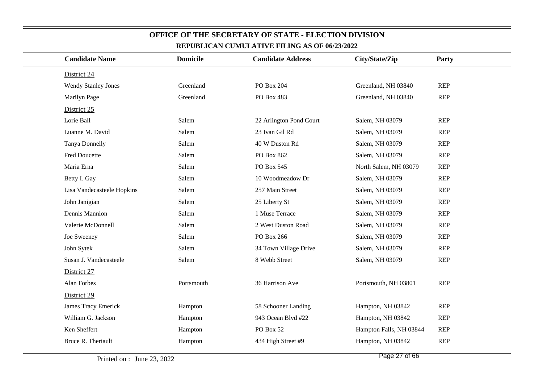| <b>Candidate Name</b>      | <b>Domicile</b> | <b>Candidate Address</b> | City/State/Zip          | Party      |  |
|----------------------------|-----------------|--------------------------|-------------------------|------------|--|
| District 24                |                 |                          |                         |            |  |
| <b>Wendy Stanley Jones</b> | Greenland       | PO Box 204               | Greenland, NH 03840     | <b>REP</b> |  |
| Marilyn Page               | Greenland       | PO Box 483               | Greenland, NH 03840     | <b>REP</b> |  |
| District 25                |                 |                          |                         |            |  |
| Lorie Ball                 | Salem           | 22 Arlington Pond Court  | Salem, NH 03079         | <b>REP</b> |  |
| Luanne M. David            | Salem           | 23 Ivan Gil Rd           | Salem, NH 03079         | <b>REP</b> |  |
| Tanya Donnelly             | Salem           | 40 W Duston Rd           | Salem, NH 03079         | <b>REP</b> |  |
| <b>Fred Doucette</b>       | Salem           | PO Box 862               | Salem, NH 03079         | <b>REP</b> |  |
| Maria Erna                 | Salem           | PO Box 545               | North Salem, NH 03079   | <b>REP</b> |  |
| Betty I. Gay               | Salem           | 10 Woodmeadow Dr         | Salem, NH 03079         | <b>REP</b> |  |
| Lisa Vandecasteele Hopkins | Salem           | 257 Main Street          | Salem, NH 03079         | <b>REP</b> |  |
| John Janigian              | Salem           | 25 Liberty St            | Salem, NH 03079         | <b>REP</b> |  |
| Dennis Mannion             | Salem           | 1 Muse Terrace           | Salem, NH 03079         | <b>REP</b> |  |
| Valerie McDonnell          | Salem           | 2 West Duston Road       | Salem, NH 03079         | <b>REP</b> |  |
| Joe Sweeney                | Salem           | PO Box 266               | Salem, NH 03079         | <b>REP</b> |  |
| John Sytek                 | Salem           | 34 Town Village Drive    | Salem, NH 03079         | <b>REP</b> |  |
| Susan J. Vandecasteele     | Salem           | 8 Webb Street            | Salem, NH 03079         | <b>REP</b> |  |
| District 27                |                 |                          |                         |            |  |
| Alan Forbes                | Portsmouth      | 36 Harrison Ave          | Portsmouth, NH 03801    | <b>REP</b> |  |
| District 29                |                 |                          |                         |            |  |
| <b>James Tracy Emerick</b> | Hampton         | 58 Schooner Landing      | Hampton, NH 03842       | <b>REP</b> |  |
| William G. Jackson         | Hampton         | 943 Ocean Blvd #22       | Hampton, NH 03842       | <b>REP</b> |  |
| Ken Sheffert               | Hampton         | PO Box 52                | Hampton Falls, NH 03844 | <b>REP</b> |  |
| Bruce R. Theriault         | Hampton         | 434 High Street #9       | Hampton, NH 03842       | <b>REP</b> |  |
|                            |                 |                          |                         |            |  |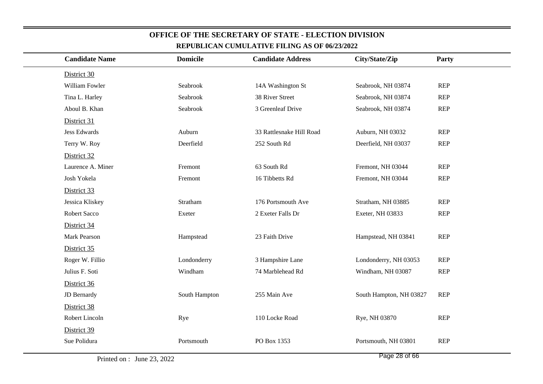| <b>Candidate Name</b> | <b>Domicile</b> | <b>Candidate Address</b> | City/State/Zip          | <b>Party</b> |
|-----------------------|-----------------|--------------------------|-------------------------|--------------|
| District 30           |                 |                          |                         |              |
| William Fowler        | Seabrook        | 14A Washington St        | Seabrook, NH 03874      | <b>REP</b>   |
| Tina L. Harley        | Seabrook        | 38 River Street          | Seabrook, NH 03874      | <b>REP</b>   |
| Aboul B. Khan         | Seabrook        | 3 Greenleaf Drive        | Seabrook, NH 03874      | <b>REP</b>   |
| District 31           |                 |                          |                         |              |
| <b>Jess Edwards</b>   | Auburn          | 33 Rattlesnake Hill Road | Auburn, NH 03032        | <b>REP</b>   |
| Terry W. Roy          | Deerfield       | 252 South Rd             | Deerfield, NH 03037     | <b>REP</b>   |
| District 32           |                 |                          |                         |              |
| Laurence A. Miner     | Fremont         | 63 South Rd              | Fremont, NH 03044       | <b>REP</b>   |
| Josh Yokela           | Fremont         | 16 Tibbetts Rd           | Fremont, NH 03044       | <b>REP</b>   |
| District 33           |                 |                          |                         |              |
| Jessica Kliskey       | Stratham        | 176 Portsmouth Ave       | Stratham, NH 03885      | <b>REP</b>   |
| Robert Sacco          | Exeter          | 2 Exeter Falls Dr        | Exeter, NH 03833        | <b>REP</b>   |
| District 34           |                 |                          |                         |              |
| Mark Pearson          | Hampstead       | 23 Faith Drive           | Hampstead, NH 03841     | <b>REP</b>   |
| District 35           |                 |                          |                         |              |
| Roger W. Fillio       | Londonderry     | 3 Hampshire Lane         | Londonderry, NH 03053   | <b>REP</b>   |
| Julius F. Soti        | Windham         | 74 Marblehead Rd         | Windham, NH 03087       | <b>REP</b>   |
| District 36           |                 |                          |                         |              |
| JD Bernardy           | South Hampton   | 255 Main Ave             | South Hampton, NH 03827 | <b>REP</b>   |
| District 38           |                 |                          |                         |              |
| Robert Lincoln        | Rye             | 110 Locke Road           | Rye, NH 03870           | <b>REP</b>   |
| District 39           |                 |                          |                         |              |
| Sue Polidura          | Portsmouth      | PO Box 1353              | Portsmouth, NH 03801    | <b>REP</b>   |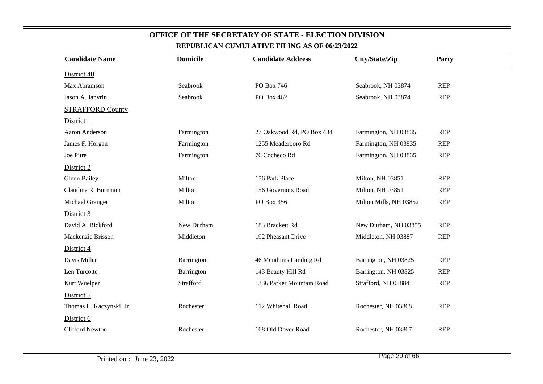| <b>Candidate Name</b>    | <b>Domicile</b> | <b>Candidate Address</b>  | City/State/Zip         | <b>Party</b> |  |  |
|--------------------------|-----------------|---------------------------|------------------------|--------------|--|--|
| District 40              |                 |                           |                        |              |  |  |
| Max Abramson             | Seabrook        | PO Box 746                | Seabrook, NH 03874     | <b>REP</b>   |  |  |
| Jason A. Janvrin         | Seabrook        | PO Box 462                | Seabrook, NH 03874     | <b>REP</b>   |  |  |
| <b>STRAFFORD County</b>  |                 |                           |                        |              |  |  |
| District 1               |                 |                           |                        |              |  |  |
| Aaron Anderson           | Farmington      | 27 Oakwood Rd, PO Box 434 | Farmington, NH 03835   | <b>REP</b>   |  |  |
| James F. Horgan          | Farmington      | 1255 Meaderboro Rd        | Farmington, NH 03835   | <b>REP</b>   |  |  |
| Joe Pitre                | Farmington      | 76 Cocheco Rd             | Farmington, NH 03835   | <b>REP</b>   |  |  |
| District 2               |                 |                           |                        |              |  |  |
| <b>Glenn Bailey</b>      | Milton          | 156 Park Place            | Milton, NH 03851       | <b>REP</b>   |  |  |
| Claudine R. Burnham      | Milton          | 156 Governors Road        | Milton, NH 03851       | <b>REP</b>   |  |  |
| Michael Granger          | Milton          | PO Box 356                | Milton Mills, NH 03852 | <b>REP</b>   |  |  |
| District 3               |                 |                           |                        |              |  |  |
| David A. Bickford        | New Durham      | 183 Brackett Rd           | New Durham, NH 03855   | <b>REP</b>   |  |  |
| Mackenzie Brisson        | Middleton       | 192 Pheasant Drive        | Middleton, NH 03887    | <b>REP</b>   |  |  |
| District 4               |                 |                           |                        |              |  |  |
| Davis Miller             | Barrington      | 46 Mendums Landing Rd     | Barrington, NH 03825   | <b>REP</b>   |  |  |
| Len Turcotte             | Barrington      | 143 Beauty Hill Rd        | Barrington, NH 03825   | <b>REP</b>   |  |  |
| Kurt Wuelper             | Strafford       | 1336 Parker Mountain Road | Strafford, NH 03884    | <b>REP</b>   |  |  |
| District 5               |                 |                           |                        |              |  |  |
| Thomas L. Kaczynski, Jr. | Rochester       | 112 Whitehall Road        | Rochester, NH 03868    | <b>REP</b>   |  |  |
| District 6               |                 |                           |                        |              |  |  |
| <b>Clifford Newton</b>   | Rochester       | 168 Old Dover Road        | Rochester, NH 03867    | <b>REP</b>   |  |  |
|                          |                 |                           |                        |              |  |  |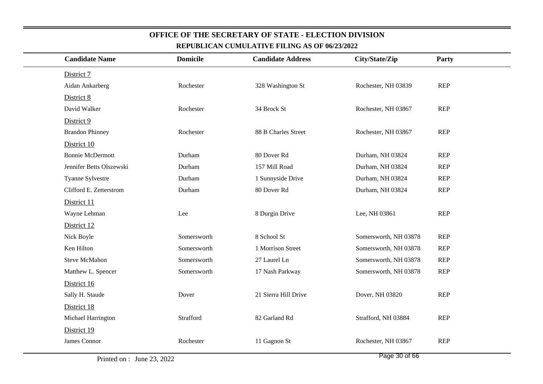| District 7<br>Rochester<br>Aidan Ankarberg<br>328 Washington St<br>Rochester, NH 03839<br>District 8 | <b>REP</b> |
|------------------------------------------------------------------------------------------------------|------------|
|                                                                                                      |            |
|                                                                                                      |            |
|                                                                                                      |            |
| Rochester, NH 03867<br>David Walker<br>Rochester<br>34 Brock St                                      | <b>REP</b> |
| District 9                                                                                           |            |
| <b>Brandon Phinney</b><br>Rochester<br>88 B Charles Street<br>Rochester, NH 03867                    | <b>REP</b> |
| District 10                                                                                          |            |
| <b>Bonnie McDermott</b><br>Durham<br>80 Dover Rd<br>Durham, NH 03824                                 | <b>REP</b> |
| Jennifer Betts Olszewski<br>157 Mill Road<br>Durham, NH 03824<br>Durham                              | <b>REP</b> |
| Tyanne Sylvestre<br>Durham<br>1 Sunnyside Drive<br>Durham, NH 03824                                  | <b>REP</b> |
| Clifford E. Zetterstrom<br>Durham<br>80 Dover Rd<br>Durham, NH 03824                                 | <b>REP</b> |
| District 11                                                                                          |            |
| 8 Durgin Drive<br>Lee, NH 03861<br>Wayne Lehman<br>Lee                                               | <b>REP</b> |
| District 12                                                                                          |            |
| 8 School St<br>Somersworth, NH 03878<br>Nick Boyle<br>Somersworth                                    | <b>REP</b> |
| Ken Hilton<br>Somersworth<br>1 Morrison Street<br>Somersworth, NH 03878                              | <b>REP</b> |
| 27 Laurel Ln<br><b>Steve McMahon</b><br>Somersworth<br>Somersworth, NH 03878                         | <b>REP</b> |
| Matthew L. Spencer<br>17 Nash Parkway<br>Somersworth, NH 03878<br>Somersworth                        | <b>REP</b> |
| District 16                                                                                          |            |
| 21 Sierra Hill Drive<br>Dover, NH 03820<br>Sally H. Staude<br>Dover                                  | <b>REP</b> |
| District 18                                                                                          |            |
| 82 Garland Rd<br>Strafford<br>Strafford, NH 03884<br>Michael Harrington                              | <b>REP</b> |
| District 19                                                                                          |            |
| James Connor<br>Rochester<br>11 Gagnon St<br>Rochester, NH 03867                                     | <b>REP</b> |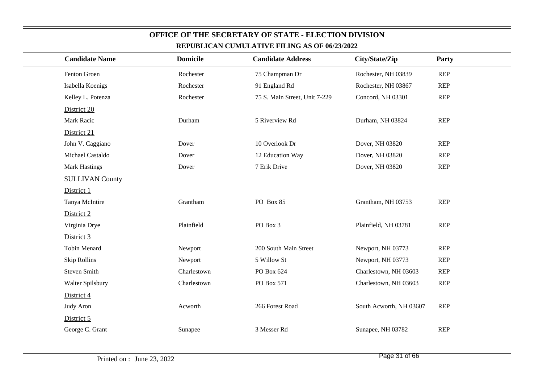| REPUBLICAN CUMULATIVE FILING AS OF 00/23/2022 |                 |                               |                         |            |  |  |  |
|-----------------------------------------------|-----------------|-------------------------------|-------------------------|------------|--|--|--|
| <b>Candidate Name</b>                         | <b>Domicile</b> | <b>Candidate Address</b>      | City/State/Zip          | Party      |  |  |  |
| Fenton Groen                                  | Rochester       | 75 Champman Dr                | Rochester, NH 03839     | REP        |  |  |  |
| Isabella Koenigs                              | Rochester       | 91 England Rd                 | Rochester, NH 03867     | <b>REP</b> |  |  |  |
| Kelley L. Potenza                             | Rochester       | 75 S. Main Street, Unit 7-229 | Concord, NH 03301       | <b>REP</b> |  |  |  |
| District 20                                   |                 |                               |                         |            |  |  |  |
| Mark Racic                                    | Durham          | 5 Riverview Rd                | Durham, NH 03824        | REP        |  |  |  |
| District 21                                   |                 |                               |                         |            |  |  |  |
| John V. Caggiano                              | Dover           | 10 Overlook Dr                | Dover, NH 03820         | <b>REP</b> |  |  |  |
| Michael Castaldo                              | Dover           | 12 Education Way              | Dover, NH 03820         | <b>REP</b> |  |  |  |
| <b>Mark Hastings</b>                          | Dover           | 7 Erik Drive                  | Dover, NH 03820         | REP        |  |  |  |
| <b>SULLIVAN County</b>                        |                 |                               |                         |            |  |  |  |
| District 1                                    |                 |                               |                         |            |  |  |  |
| Tanya McIntire                                | Grantham        | PO Box 85                     | Grantham, NH 03753      | REP        |  |  |  |
| District 2                                    |                 |                               |                         |            |  |  |  |
| Virginia Drye                                 | Plainfield      | PO Box 3                      | Plainfield, NH 03781    | <b>REP</b> |  |  |  |
| District 3                                    |                 |                               |                         |            |  |  |  |
| <b>Tobin Menard</b>                           | Newport         | 200 South Main Street         | Newport, NH 03773       | REP        |  |  |  |
| <b>Skip Rollins</b>                           | Newport         | 5 Willow St                   | Newport, NH 03773       | <b>REP</b> |  |  |  |
| <b>Steven Smith</b>                           | Charlestown     | PO Box 624                    | Charlestown, NH 03603   | <b>REP</b> |  |  |  |
| Walter Spilsbury                              | Charlestown     | PO Box 571                    | Charlestown, NH 03603   | REP        |  |  |  |
| District 4                                    |                 |                               |                         |            |  |  |  |
| Judy Aron                                     | Acworth         | 266 Forest Road               | South Acworth, NH 03607 | <b>REP</b> |  |  |  |
| District 5                                    |                 |                               |                         |            |  |  |  |
| George C. Grant                               | Sunapee         | 3 Messer Rd                   | Sunapee, NH 03782       | REP        |  |  |  |
|                                               |                 |                               |                         |            |  |  |  |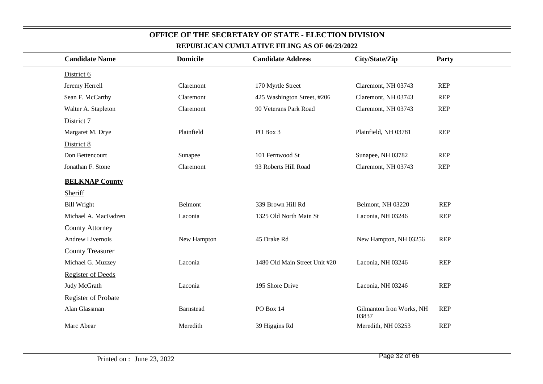| <b>Candidate Name</b>      | <b>Domicile</b> | <b>Candidate Address</b>      | City/State/Zip                    | Party      |
|----------------------------|-----------------|-------------------------------|-----------------------------------|------------|
| District 6                 |                 |                               |                                   |            |
| Jeremy Herrell             | Claremont       | 170 Myrtle Street             | Claremont, NH 03743               | <b>REP</b> |
| Sean F. McCarthy           | Claremont       | 425 Washington Street, #206   | Claremont, NH 03743               | <b>REP</b> |
| Walter A. Stapleton        | Claremont       | 90 Veterans Park Road         | Claremont, NH 03743               | <b>REP</b> |
| District 7                 |                 |                               |                                   |            |
| Margaret M. Drye           | Plainfield      | PO Box 3                      | Plainfield, NH 03781              | <b>REP</b> |
| District 8                 |                 |                               |                                   |            |
| Don Bettencourt            | Sunapee         | 101 Fernwood St               | Sunapee, NH 03782                 | <b>REP</b> |
| Jonathan F. Stone          | Claremont       | 93 Roberts Hill Road          | Claremont, NH 03743               | <b>REP</b> |
| <b>BELKNAP County</b>      |                 |                               |                                   |            |
| <b>Sheriff</b>             |                 |                               |                                   |            |
| <b>Bill Wright</b>         | Belmont         | 339 Brown Hill Rd             | Belmont, NH 03220                 | <b>REP</b> |
| Michael A. MacFadzen       | Laconia         | 1325 Old North Main St        | Laconia, NH 03246                 | <b>REP</b> |
| <b>County Attorney</b>     |                 |                               |                                   |            |
| Andrew Livernois           | New Hampton     | 45 Drake Rd                   | New Hampton, NH 03256             | <b>REP</b> |
| <b>County Treasurer</b>    |                 |                               |                                   |            |
| Michael G. Muzzey          | Laconia         | 1480 Old Main Street Unit #20 | Laconia, NH 03246                 | <b>REP</b> |
| <b>Register of Deeds</b>   |                 |                               |                                   |            |
| Judy McGrath               | Laconia         | 195 Shore Drive               | Laconia, NH 03246                 | <b>REP</b> |
| <b>Register of Probate</b> |                 |                               |                                   |            |
| Alan Glassman              | Barnstead       | PO Box 14                     | Gilmanton Iron Works, NH<br>03837 | <b>REP</b> |
| Marc Abear                 | Meredith        | 39 Higgins Rd                 | Meredith, NH 03253                | <b>REP</b> |
|                            |                 |                               |                                   |            |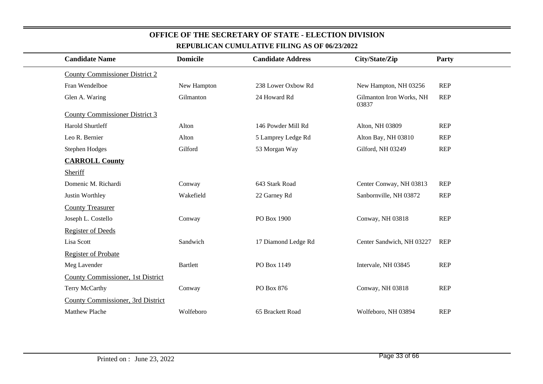| <b>Candidate Name</b>                 | <b>Domicile</b> | <b>Candidate Address</b> | City/State/Zip                    | Party      |  |
|---------------------------------------|-----------------|--------------------------|-----------------------------------|------------|--|
| <b>County Commissioner District 2</b> |                 |                          |                                   |            |  |
| Fran Wendelboe                        | New Hampton     | 238 Lower Oxbow Rd       | New Hampton, NH 03256             | <b>REP</b> |  |
| Glen A. Waring                        | Gilmanton       | 24 Howard Rd             | Gilmanton Iron Works, NH<br>03837 | <b>REP</b> |  |
| <b>County Commissioner District 3</b> |                 |                          |                                   |            |  |
| Harold Shurtleff                      | Alton           | 146 Powder Mill Rd       | Alton, NH 03809                   | <b>REP</b> |  |
| Leo R. Bernier                        | Alton           | 5 Lamprey Ledge Rd       | Alton Bay, NH 03810               | <b>REP</b> |  |
| <b>Stephen Hodges</b>                 | Gilford         | 53 Morgan Way            | Gilford, NH 03249                 | <b>REP</b> |  |
| <b>CARROLL County</b>                 |                 |                          |                                   |            |  |
| Sheriff                               |                 |                          |                                   |            |  |
| Domenic M. Richardi                   | Conway          | 643 Stark Road           | Center Conway, NH 03813           | <b>REP</b> |  |
| Justin Worthley                       | Wakefield       | 22 Garney Rd             | Sanbornville, NH 03872            | <b>REP</b> |  |
| <b>County Treasurer</b>               |                 |                          |                                   |            |  |
| Joseph L. Costello                    | Conway          | PO Box 1900              | Conway, NH 03818                  | <b>REP</b> |  |
| <b>Register of Deeds</b>              |                 |                          |                                   |            |  |
| Lisa Scott                            | Sandwich        | 17 Diamond Ledge Rd      | Center Sandwich, NH 03227         | <b>REP</b> |  |
| <b>Register of Probate</b>            |                 |                          |                                   |            |  |
| Meg Lavender                          | <b>Bartlett</b> | PO Box 1149              | Intervale, NH 03845               | <b>REP</b> |  |
| County Commissioner, 1st District     |                 |                          |                                   |            |  |
| Terry McCarthy                        | Conway          | PO Box 876               | Conway, NH 03818                  | <b>REP</b> |  |
| County Commissioner, 3rd District     |                 |                          |                                   |            |  |
| Matthew Plache                        | Wolfeboro       | 65 Brackett Road         | Wolfeboro, NH 03894               | <b>REP</b> |  |
|                                       |                 |                          |                                   |            |  |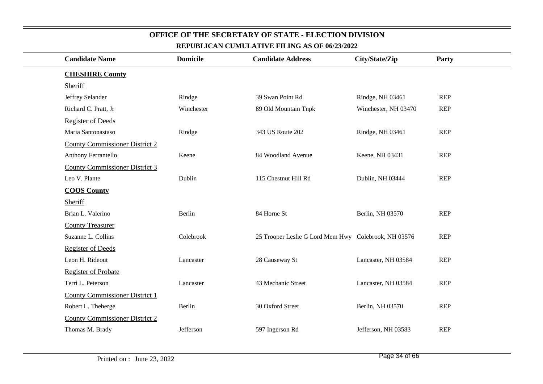| <b>Candidate Name</b>                 | <b>Domicile</b> | <b>Candidate Address</b>                             | City/State/Zip       | <b>Party</b> |
|---------------------------------------|-----------------|------------------------------------------------------|----------------------|--------------|
| <b>CHESHIRE County</b>                |                 |                                                      |                      |              |
| Sheriff                               |                 |                                                      |                      |              |
| Jeffrey Selander                      | Rindge          | 39 Swan Point Rd                                     | Rindge, NH 03461     | <b>REP</b>   |
| Richard C. Pratt, Jr                  | Winchester      | 89 Old Mountain Tnpk                                 | Winchester, NH 03470 | <b>REP</b>   |
| <b>Register of Deeds</b>              |                 |                                                      |                      |              |
| Maria Santonastaso                    | Rindge          | 343 US Route 202                                     | Rindge, NH 03461     | <b>REP</b>   |
| <b>County Commissioner District 2</b> |                 |                                                      |                      |              |
| Anthony Ferrantello                   | Keene           | 84 Woodland Avenue                                   | Keene, NH 03431      | <b>REP</b>   |
| <b>County Commissioner District 3</b> |                 |                                                      |                      |              |
| Leo V. Plante                         | Dublin          | 115 Chestnut Hill Rd                                 | Dublin, NH 03444     | <b>REP</b>   |
| <b>COOS County</b>                    |                 |                                                      |                      |              |
| Sheriff                               |                 |                                                      |                      |              |
| Brian L. Valerino                     | Berlin          | 84 Horne St                                          | Berlin, NH 03570     | <b>REP</b>   |
| <b>County Treasurer</b>               |                 |                                                      |                      |              |
| Suzanne L. Collins                    | Colebrook       | 25 Trooper Leslie G Lord Mem Hwy Colebrook, NH 03576 |                      | <b>REP</b>   |
| <b>Register of Deeds</b>              |                 |                                                      |                      |              |
| Leon H. Rideout                       | Lancaster       | 28 Causeway St                                       | Lancaster, NH 03584  | <b>REP</b>   |
| <b>Register of Probate</b>            |                 |                                                      |                      |              |
| Terri L. Peterson                     | Lancaster       | 43 Mechanic Street                                   | Lancaster, NH 03584  | <b>REP</b>   |
| <b>County Commissioner District 1</b> |                 |                                                      |                      |              |
| Robert L. Theberge                    | Berlin          | 30 Oxford Street                                     | Berlin, NH 03570     | <b>REP</b>   |
| <b>County Commissioner District 2</b> |                 |                                                      |                      |              |
| Thomas M. Brady                       | Jefferson       | 597 Ingerson Rd                                      | Jefferson, NH 03583  | <b>REP</b>   |
|                                       |                 |                                                      |                      |              |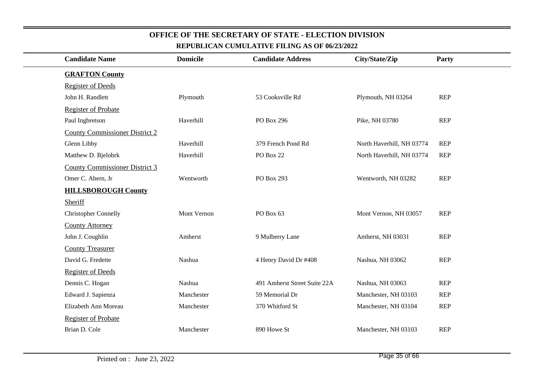| REPUBLICAN CUMULATIVE FILING AS OF 00/ <i>23</i> /2022 |                                       |                 |                              |                           |              |  |  |
|--------------------------------------------------------|---------------------------------------|-----------------|------------------------------|---------------------------|--------------|--|--|
|                                                        | <b>Candidate Name</b>                 | <b>Domicile</b> | <b>Candidate Address</b>     | City/State/Zip            | <b>Party</b> |  |  |
|                                                        | <b>GRAFTON County</b>                 |                 |                              |                           |              |  |  |
|                                                        | <b>Register of Deeds</b>              |                 |                              |                           |              |  |  |
|                                                        | John H. Randlett                      | Plymouth        | 53 Cooksville Rd             | Plymouth, NH 03264        | <b>REP</b>   |  |  |
|                                                        | <b>Register of Probate</b>            |                 |                              |                           |              |  |  |
|                                                        | Paul Ingbretson                       | Haverhill       | PO Box 296                   | Pike, NH 03780            | <b>REP</b>   |  |  |
|                                                        | <b>County Commissioner District 2</b> |                 |                              |                           |              |  |  |
|                                                        | Glenn Libby                           | Haverhill       | 379 French Pond Rd           | North Haverhill, NH 03774 | <b>REP</b>   |  |  |
|                                                        | Matthew D. Bjelobrk                   | Haverhill       | PO Box 22                    | North Haverhill, NH 03774 | <b>REP</b>   |  |  |
|                                                        | <b>County Commissioner District 3</b> |                 |                              |                           |              |  |  |
|                                                        | Omer C. Ahern, Jr                     | Wentworth       | PO Box 293                   | Wentworth, NH 03282       | <b>REP</b>   |  |  |
|                                                        | <b>HILLSBOROUGH County</b>            |                 |                              |                           |              |  |  |
|                                                        | Sheriff                               |                 |                              |                           |              |  |  |
|                                                        | <b>Christopher Connelly</b>           | Mont Vernon     | PO Box 63                    | Mont Vernon, NH 03057     | <b>REP</b>   |  |  |
|                                                        | <b>County Attorney</b>                |                 |                              |                           |              |  |  |
|                                                        | John J. Coughlin                      | Amherst         | 9 Mulberry Lane              | Amherst, NH 03031         | <b>REP</b>   |  |  |
|                                                        | <b>County Treasurer</b>               |                 |                              |                           |              |  |  |
|                                                        | David G. Fredette                     | Nashua          | 4 Henry David Dr #408        | Nashua, NH 03062          | <b>REP</b>   |  |  |
|                                                        | <b>Register of Deeds</b>              |                 |                              |                           |              |  |  |
|                                                        | Dennis C. Hogan                       | Nashua          | 491 Amherst Street Suite 22A | Nashua, NH 03063          | <b>REP</b>   |  |  |
|                                                        | Edward J. Sapienza                    | Manchester      | 59 Memorial Dr               | Manchester, NH 03103      | <b>REP</b>   |  |  |
|                                                        | Elizabeth Ann Moreau                  | Manchester      | 370 Whitford St              | Manchester, NH 03104      | <b>REP</b>   |  |  |
|                                                        | <b>Register of Probate</b>            |                 |                              |                           |              |  |  |
|                                                        | Brian D. Cole                         | Manchester      | 890 Howe St                  | Manchester, NH 03103      | <b>REP</b>   |  |  |
|                                                        |                                       |                 |                              |                           |              |  |  |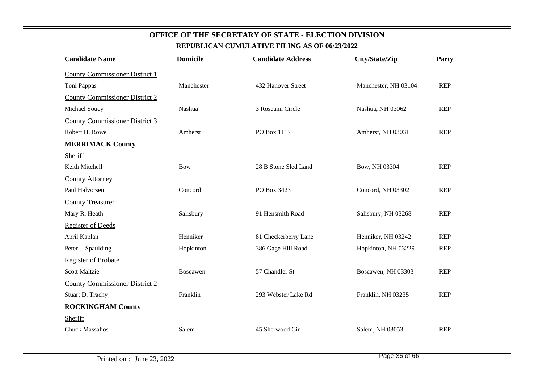| REPUBLICAN CUMULATIVE FILING AS OF 06/23/2022 |                 |                          |                      |            |  |  |  |
|-----------------------------------------------|-----------------|--------------------------|----------------------|------------|--|--|--|
| <b>Candidate Name</b>                         | <b>Domicile</b> | <b>Candidate Address</b> | City/State/Zip       | Party      |  |  |  |
| <b>County Commissioner District 1</b>         |                 |                          |                      |            |  |  |  |
| Toni Pappas                                   | Manchester      | 432 Hanover Street       | Manchester, NH 03104 | <b>REP</b> |  |  |  |
| <b>County Commissioner District 2</b>         |                 |                          |                      |            |  |  |  |
| Michael Soucy                                 | Nashua          | 3 Roseann Circle         | Nashua, NH 03062     | <b>REP</b> |  |  |  |
| <b>County Commissioner District 3</b>         |                 |                          |                      |            |  |  |  |
| Robert H. Rowe                                | Amherst         | PO Box 1117              | Amherst, NH 03031    | <b>REP</b> |  |  |  |
| <b>MERRIMACK County</b>                       |                 |                          |                      |            |  |  |  |
| Sheriff                                       |                 |                          |                      |            |  |  |  |
| Keith Mitchell                                | <b>Bow</b>      | 28 B Stone Sled Land     | Bow, NH 03304        | REP        |  |  |  |
| <b>County Attorney</b>                        |                 |                          |                      |            |  |  |  |
| Paul Halvorsen                                | Concord         | PO Box 3423              | Concord, NH 03302    | <b>REP</b> |  |  |  |
| <b>County Treasurer</b>                       |                 |                          |                      |            |  |  |  |
| Mary R. Heath                                 | Salisbury       | 91 Hensmith Road         | Salisbury, NH 03268  | REP        |  |  |  |
| <b>Register of Deeds</b>                      |                 |                          |                      |            |  |  |  |
| April Kaplan                                  | Henniker        | 81 Checkerberry Lane     | Henniker, NH 03242   | <b>REP</b> |  |  |  |
| Peter J. Spaulding                            | Hopkinton       | 386 Gage Hill Road       | Hopkinton, NH 03229  | <b>REP</b> |  |  |  |
| <b>Register of Probate</b>                    |                 |                          |                      |            |  |  |  |
| <b>Scott Maltzie</b>                          | Boscawen        | 57 Chandler St           | Boscawen, NH 03303   | <b>REP</b> |  |  |  |
| <b>County Commissioner District 2</b>         |                 |                          |                      |            |  |  |  |
| Stuart D. Trachy                              | Franklin        | 293 Webster Lake Rd      | Franklin, NH 03235   | REP        |  |  |  |
| <b>ROCKINGHAM County</b>                      |                 |                          |                      |            |  |  |  |
| Sheriff                                       |                 |                          |                      |            |  |  |  |
| <b>Chuck Massahos</b>                         | Salem           | 45 Sherwood Cir          | Salem, NH 03053      | <b>REP</b> |  |  |  |
|                                               |                 |                          |                      |            |  |  |  |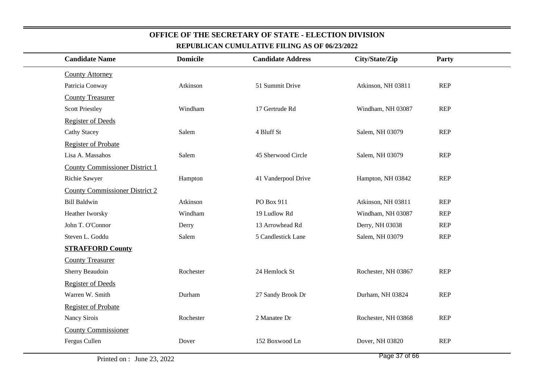| KEI ODERAN COMOLATI VE FILING AD OF <i>00/20/2022</i> |                 |                          |                     |            |  |
|-------------------------------------------------------|-----------------|--------------------------|---------------------|------------|--|
| <b>Candidate Name</b>                                 | <b>Domicile</b> | <b>Candidate Address</b> | City/State/Zip      | Party      |  |
| <b>County Attorney</b>                                |                 |                          |                     |            |  |
| Patricia Conway                                       | Atkinson        | 51 Summit Drive          | Atkinson, NH 03811  | REP        |  |
| <b>County Treasurer</b>                               |                 |                          |                     |            |  |
| <b>Scott Priestley</b>                                | Windham         | 17 Gertrude Rd           | Windham, NH 03087   | <b>REP</b> |  |
| <b>Register of Deeds</b>                              |                 |                          |                     |            |  |
| <b>Cathy Stacey</b>                                   | Salem           | 4 Bluff St               | Salem, NH 03079     | REP        |  |
| <b>Register of Probate</b>                            |                 |                          |                     |            |  |
| Lisa A. Massahos                                      | Salem           | 45 Sherwood Circle       | Salem, NH 03079     | REP        |  |
| <b>County Commissioner District 1</b>                 |                 |                          |                     |            |  |
| Richie Sawyer                                         | Hampton         | 41 Vanderpool Drive      | Hampton, NH 03842   | <b>REP</b> |  |
| <b>County Commissioner District 2</b>                 |                 |                          |                     |            |  |
| <b>Bill Baldwin</b>                                   | Atkinson        | PO Box 911               | Atkinson, NH 03811  | <b>REP</b> |  |
| Heather Iworsky                                       | Windham         | 19 Ludlow Rd             | Windham, NH 03087   | <b>REP</b> |  |
| John T. O'Connor                                      | Derry           | 13 Arrowhead Rd          | Derry, NH 03038     | <b>REP</b> |  |
| Steven L. Goddu                                       | Salem           | 5 Candlestick Lane       | Salem, NH 03079     | <b>REP</b> |  |
| <b>STRAFFORD County</b>                               |                 |                          |                     |            |  |
| <b>County Treasurer</b>                               |                 |                          |                     |            |  |
| Sherry Beaudoin                                       | Rochester       | 24 Hemlock St            | Rochester, NH 03867 | <b>REP</b> |  |
| <b>Register of Deeds</b>                              |                 |                          |                     |            |  |
| Warren W. Smith                                       | Durham          | 27 Sandy Brook Dr        | Durham, NH 03824    | REP        |  |
| <b>Register of Probate</b>                            |                 |                          |                     |            |  |
| Nancy Sirois                                          | Rochester       | 2 Manatee Dr             | Rochester, NH 03868 | <b>REP</b> |  |
| <b>County Commissioner</b>                            |                 |                          |                     |            |  |
| Fergus Cullen                                         | Dover           | 152 Boxwood Ln           | Dover, NH 03820     | <b>REP</b> |  |
|                                                       |                 |                          |                     |            |  |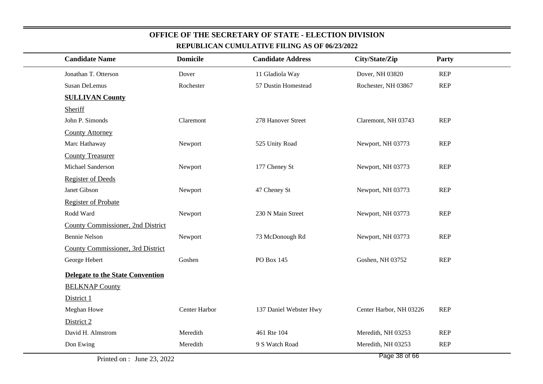| <b>Candidate Name</b>             | <b>Domicile</b> | <b>Candidate Address</b> | City/State/Zip            | Party      |
|-----------------------------------|-----------------|--------------------------|---------------------------|------------|
| Jonathan T. Otterson              | Dover           | 11 Gladiola Way          | Dover, NH 03820           | <b>REP</b> |
| Susan DeLemus                     | Rochester       | 57 Dustin Homestead      | Rochester, NH 03867       | <b>REP</b> |
| <b>SULLIVAN County</b>            |                 |                          |                           |            |
| Sheriff                           |                 |                          |                           |            |
| John P. Simonds                   | Claremont       | 278 Hanover Street       | Claremont, NH 03743       | <b>REP</b> |
| <b>County Attorney</b>            |                 |                          |                           |            |
| Marc Hathaway                     | Newport         | 525 Unity Road           | Newport, NH 03773         | <b>REP</b> |
| <b>County Treasurer</b>           |                 |                          |                           |            |
| Michael Sanderson                 | Newport         | 177 Cheney St            | Newport, NH 03773         | <b>REP</b> |
| <b>Register of Deeds</b>          |                 |                          |                           |            |
| Janet Gibson                      | Newport         | 47 Cheney St             | Newport, NH 03773         | <b>REP</b> |
| <b>Register of Probate</b>        |                 |                          |                           |            |
| Rodd Ward                         | Newport         | 230 N Main Street        | Newport, NH 03773         | <b>REP</b> |
| County Commissioner, 2nd District |                 |                          |                           |            |
| <b>Bennie Nelson</b>              | Newport         | 73 McDonough Rd          | Newport, NH 03773         | <b>REP</b> |
| County Commissioner, 3rd District |                 |                          |                           |            |
| George Hebert                     | Goshen          | PO Box 145               | Goshen, NH 03752          | <b>REP</b> |
| Delegate to the State Convention  |                 |                          |                           |            |
| <b>BELKNAP County</b>             |                 |                          |                           |            |
| District 1                        |                 |                          |                           |            |
| Meghan Howe                       | Center Harbor   | 137 Daniel Webster Hwy   | Center Harbor, NH 03226   | <b>REP</b> |
| District 2                        |                 |                          |                           |            |
| David H. Almstrom                 | Meredith        | 461 Rte 104              | Meredith, NH 03253        | <b>REP</b> |
| Don Ewing                         | Meredith        | 9 S Watch Road           | Meredith, NH 03253        | <b>REP</b> |
|                                   |                 |                          | <b>Dec.</b><br>$20 - 122$ |            |

Page 38 of 66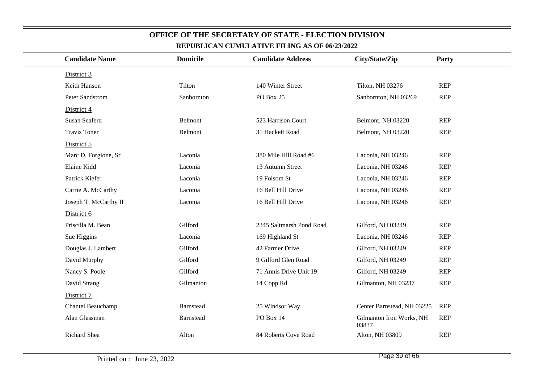| <b>Candidate Name</b> | <b>Domicile</b> | <b>Candidate Address</b> | City/State/Zip                    | Party      |
|-----------------------|-----------------|--------------------------|-----------------------------------|------------|
| District 3            |                 |                          |                                   |            |
| Keith Hanson          | Tilton          | 140 Winter Street        | Tilton, NH 03276                  | <b>REP</b> |
| Peter Sandstrom       | Sanbornton      | PO Box 25                | Sanbornton, NH 03269              | <b>REP</b> |
| District 4            |                 |                          |                                   |            |
| <b>Susan Seaferd</b>  | Belmont         | 523 Harrison Court       | Belmont, NH 03220                 | <b>REP</b> |
| <b>Travis Toner</b>   | Belmont         | 31 Hackett Road          | Belmont, NH 03220                 | <b>REP</b> |
| District 5            |                 |                          |                                   |            |
| Marc D. Forgione, Sr  | Laconia         | 380 Mile Hill Road #6    | Laconia, NH 03246                 | <b>REP</b> |
| Elaine Kidd           | Laconia         | 13 Autumn Street         | Laconia, NH 03246                 | <b>REP</b> |
| Patrick Kiefer        | Laconia         | 19 Folsom St             | Laconia, NH 03246                 | <b>REP</b> |
| Carrie A. McCarthy    | Laconia         | 16 Bell Hill Drive       | Laconia, NH 03246                 | <b>REP</b> |
| Joseph T. McCarthy II | Laconia         | 16 Bell Hill Drive       | Laconia, NH 03246                 | <b>REP</b> |
| District 6            |                 |                          |                                   |            |
| Priscilla M. Bean     | Gilford         | 2345 Saltmarsh Pond Road | Gilford, NH 03249                 | <b>REP</b> |
| Sue Higgins           | Laconia         | 169 Highland St          | Laconia, NH 03246                 | <b>REP</b> |
| Douglas J. Lambert    | Gilford         | 42 Farmer Drive          | Gilford, NH 03249                 | <b>REP</b> |
| David Murphy          | Gilford         | 9 Gilford Glen Road      | Gilford, NH 03249                 | <b>REP</b> |
| Nancy S. Poole        | Gilford         | 71 Annis Drive Unit 19   | Gilford, NH 03249                 | <b>REP</b> |
| David Strang          | Gilmanton       | 14 Copp Rd               | Gilmanton, NH 03237               | <b>REP</b> |
| District 7            |                 |                          |                                   |            |
| Chantel Beauchamp     | Barnstead       | 25 Windsor Way           | Center Barnstead, NH 03225        | <b>REP</b> |
| Alan Glassman         | Barnstead       | PO Box 14                | Gilmanton Iron Works, NH<br>03837 | <b>REP</b> |
| Richard Shea          | Alton           | 84 Roberts Cove Road     | Alton, NH 03809                   | <b>REP</b> |
|                       |                 |                          |                                   |            |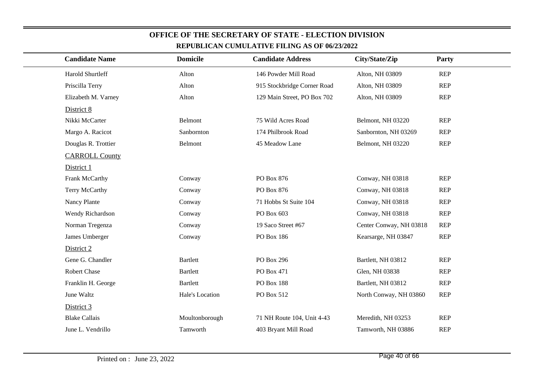| REPUBLICAN CUMULATIVE FILING AS OF 00/23/2022 |                 |                             |                         |            |  |  |  |  |
|-----------------------------------------------|-----------------|-----------------------------|-------------------------|------------|--|--|--|--|
| <b>Candidate Name</b>                         | <b>Domicile</b> | <b>Candidate Address</b>    | City/State/Zip          | Party      |  |  |  |  |
| Harold Shurtleff                              | Alton           | 146 Powder Mill Road        | Alton, NH 03809         | <b>REP</b> |  |  |  |  |
| Priscilla Terry                               | Alton           | 915 Stockbridge Corner Road | Alton, NH 03809         | <b>REP</b> |  |  |  |  |
| Elizabeth M. Varney                           | Alton           | 129 Main Street, PO Box 702 | Alton, NH 03809         | <b>REP</b> |  |  |  |  |
| District 8                                    |                 |                             |                         |            |  |  |  |  |
| Nikki McCarter                                | Belmont         | 75 Wild Acres Road          | Belmont, NH 03220       | <b>REP</b> |  |  |  |  |
| Margo A. Racicot                              | Sanbornton      | 174 Philbrook Road          | Sanbornton, NH 03269    | <b>REP</b> |  |  |  |  |
| Douglas R. Trottier                           | Belmont         | 45 Meadow Lane              | Belmont, NH 03220       | <b>REP</b> |  |  |  |  |
| <b>CARROLL County</b>                         |                 |                             |                         |            |  |  |  |  |
| District 1                                    |                 |                             |                         |            |  |  |  |  |
| Frank McCarthy                                | Conway          | PO Box 876                  | Conway, NH 03818        | <b>REP</b> |  |  |  |  |
| Terry McCarthy                                | Conway          | PO Box 876                  | Conway, NH 03818        | <b>REP</b> |  |  |  |  |
| Nancy Plante                                  | Conway          | 71 Hobbs St Suite 104       | Conway, NH 03818        | <b>REP</b> |  |  |  |  |
| Wendy Richardson                              | Conway          | PO Box 603                  | Conway, NH 03818        | <b>REP</b> |  |  |  |  |
| Norman Tregenza                               | Conway          | 19 Saco Street #67          | Center Conway, NH 03818 | <b>REP</b> |  |  |  |  |
| James Umberger                                | Conway          | PO Box 186                  | Kearsarge, NH 03847     | <b>REP</b> |  |  |  |  |
| District 2                                    |                 |                             |                         |            |  |  |  |  |
| Gene G. Chandler                              | <b>Bartlett</b> | PO Box 296                  | Bartlett, NH 03812      | <b>REP</b> |  |  |  |  |
| Robert Chase                                  | <b>Bartlett</b> | PO Box 471                  | Glen, NH 03838          | <b>REP</b> |  |  |  |  |
| Franklin H. George                            | <b>Bartlett</b> | PO Box 188                  | Bartlett, NH 03812      | <b>REP</b> |  |  |  |  |
| June Waltz                                    | Hale's Location | PO Box 512                  | North Conway, NH 03860  | <b>REP</b> |  |  |  |  |
| District 3                                    |                 |                             |                         |            |  |  |  |  |
| <b>Blake Callais</b>                          | Moultonborough  | 71 NH Route 104, Unit 4-43  | Meredith, NH 03253      | <b>REP</b> |  |  |  |  |
| June L. Vendrillo                             | Tamworth        | 403 Bryant Mill Road        | Tamworth, NH 03886      | <b>REP</b> |  |  |  |  |
|                                               |                 |                             |                         |            |  |  |  |  |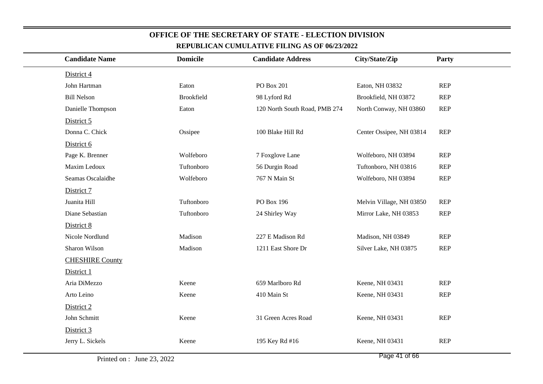| <b>Candidate Name</b>  | <b>Domicile</b>   | <b>Candidate Address</b>      | City/State/Zip           | Party      |
|------------------------|-------------------|-------------------------------|--------------------------|------------|
| District 4             |                   |                               |                          |            |
| John Hartman           | Eaton             | PO Box 201                    | Eaton, NH 03832          | REP        |
| <b>Bill Nelson</b>     | <b>Brookfield</b> | 98 Lyford Rd                  | Brookfield, NH 03872     | <b>REP</b> |
| Danielle Thompson      | Eaton             | 120 North South Road, PMB 274 | North Conway, NH 03860   | <b>REP</b> |
| District 5             |                   |                               |                          |            |
| Donna C. Chick         | Ossipee           | 100 Blake Hill Rd             | Center Ossipee, NH 03814 | REP        |
| District 6             |                   |                               |                          |            |
| Page K. Brenner        | Wolfeboro         | 7 Foxglove Lane               | Wolfeboro, NH 03894      | <b>REP</b> |
| Maxim Ledoux           | Tuftonboro        | 56 Durgin Road                | Tuftonboro, NH 03816     | <b>REP</b> |
| Seamas Oscalaidhe      | Wolfeboro         | 767 N Main St                 | Wolfeboro, NH 03894      | REP        |
| District 7             |                   |                               |                          |            |
| Juanita Hill           | Tuftonboro        | PO Box 196                    | Melvin Village, NH 03850 | <b>REP</b> |
| Diane Sebastian        | Tuftonboro        | 24 Shirley Way                | Mirror Lake, NH 03853    | <b>REP</b> |
| District 8             |                   |                               |                          |            |
| Nicole Nordlund        | Madison           | 227 E Madison Rd              | Madison, NH 03849        | <b>REP</b> |
| Sharon Wilson          | Madison           | 1211 East Shore Dr            | Silver Lake, NH 03875    | <b>REP</b> |
| <b>CHESHIRE County</b> |                   |                               |                          |            |
| District 1             |                   |                               |                          |            |
| Aria DiMezzo           | Keene             | 659 Marlboro Rd               | Keene, NH 03431          | <b>REP</b> |
| Arto Leino             | Keene             | 410 Main St                   | Keene, NH 03431          | <b>REP</b> |
| District 2             |                   |                               |                          |            |
| John Schmitt           | Keene             | 31 Green Acres Road           | Keene, NH 03431          | <b>REP</b> |
| District 3             |                   |                               |                          |            |
| Jerry L. Sickels       | Keene             | 195 Key Rd #16                | Keene, NH 03431          | REP        |
|                        |                   |                               |                          |            |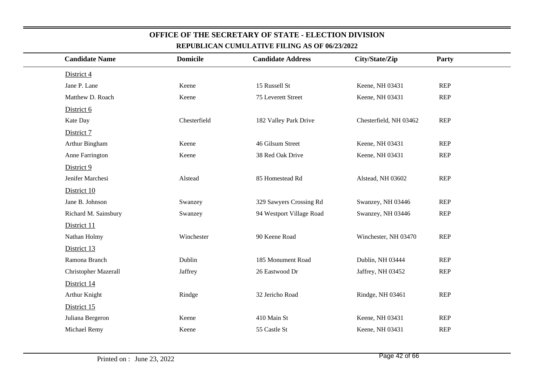| <b>Candidate Name</b>       | <b>Domicile</b> | <b>Candidate Address</b> | City/State/Zip         | Party      |
|-----------------------------|-----------------|--------------------------|------------------------|------------|
| District 4                  |                 |                          |                        |            |
| Jane P. Lane                | Keene           | 15 Russell St            | Keene, NH 03431        | <b>REP</b> |
| Matthew D. Roach            | Keene           | 75 Leverett Street       | Keene, NH 03431        | <b>REP</b> |
| District 6                  |                 |                          |                        |            |
| Kate Day                    | Chesterfield    | 182 Valley Park Drive    | Chesterfield, NH 03462 | REP        |
| District 7                  |                 |                          |                        |            |
| Arthur Bingham              | Keene           | 46 Gilsum Street         | Keene, NH 03431        | REP        |
| Anne Farrington             | Keene           | 38 Red Oak Drive         | Keene, NH 03431        | <b>REP</b> |
| District 9                  |                 |                          |                        |            |
| Jenifer Marchesi            | Alstead         | 85 Homestead Rd          | Alstead, NH 03602      | <b>REP</b> |
| District 10                 |                 |                          |                        |            |
| Jane B. Johnson             | Swanzey         | 329 Sawyers Crossing Rd  | Swanzey, NH 03446      | <b>REP</b> |
| Richard M. Sainsbury        | Swanzey         | 94 Westport Village Road | Swanzey, NH 03446      | <b>REP</b> |
| District 11                 |                 |                          |                        |            |
| Nathan Holmy                | Winchester      | 90 Keene Road            | Winchester, NH 03470   | <b>REP</b> |
| District 13                 |                 |                          |                        |            |
| Ramona Branch               | Dublin          | 185 Monument Road        | Dublin, NH 03444       | REP        |
| <b>Christopher Mazerall</b> | Jaffrey         | 26 Eastwood Dr           | Jaffrey, NH 03452      | <b>REP</b> |
| District 14                 |                 |                          |                        |            |
| Arthur Knight               | Rindge          | 32 Jericho Road          | Rindge, NH 03461       | <b>REP</b> |
| District 15                 |                 |                          |                        |            |
| Juliana Bergeron            | Keene           | 410 Main St              | Keene, NH 03431        | REP        |
| Michael Remy                | Keene           | 55 Castle St             | Keene, NH 03431        | <b>REP</b> |
|                             |                 |                          |                        |            |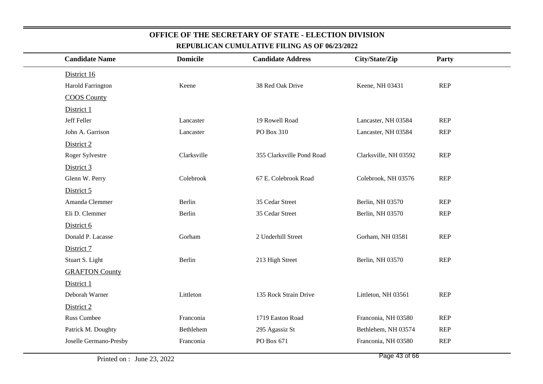| <u>KEI ODERAN COMOLATI VE FILING AD OF WALDZU </u> |                 |                           |                       |            |  |
|----------------------------------------------------|-----------------|---------------------------|-----------------------|------------|--|
| <b>Candidate Name</b>                              | <b>Domicile</b> | <b>Candidate Address</b>  | City/State/Zip        | Party      |  |
| District 16                                        |                 |                           |                       |            |  |
| <b>Harold Farrington</b>                           | Keene           | 38 Red Oak Drive          | Keene, NH 03431       | REP        |  |
| <b>COOS County</b>                                 |                 |                           |                       |            |  |
| District 1                                         |                 |                           |                       |            |  |
| Jeff Feller                                        | Lancaster       | 19 Rowell Road            | Lancaster, NH 03584   | <b>REP</b> |  |
| John A. Garrison                                   | Lancaster       | PO Box 310                | Lancaster, NH 03584   | <b>REP</b> |  |
| District 2                                         |                 |                           |                       |            |  |
| Roger Sylvestre                                    | Clarksville     | 355 Clarksville Pond Road | Clarksville, NH 03592 | <b>REP</b> |  |
| District 3                                         |                 |                           |                       |            |  |
| Glenn W. Perry                                     | Colebrook       | 67 E. Colebrook Road      | Colebrook, NH 03576   | REP        |  |
| District 5                                         |                 |                           |                       |            |  |
| Amanda Clemmer                                     | Berlin          | 35 Cedar Street           | Berlin, NH 03570      | <b>REP</b> |  |
| Eli D. Clemmer                                     | Berlin          | 35 Cedar Street           | Berlin, NH 03570      | <b>REP</b> |  |
| District 6                                         |                 |                           |                       |            |  |
| Donald P. Lacasse                                  | Gorham          | 2 Underhill Street        | Gorham, NH 03581      | <b>REP</b> |  |
| District 7                                         |                 |                           |                       |            |  |
| Stuart S. Light                                    | Berlin          | 213 High Street           | Berlin, NH 03570      | <b>REP</b> |  |
| <b>GRAFTON County</b>                              |                 |                           |                       |            |  |
| District 1                                         |                 |                           |                       |            |  |
| Deborah Warner                                     | Littleton       | 135 Rock Strain Drive     | Littleton, NH 03561   | <b>REP</b> |  |
| District 2                                         |                 |                           |                       |            |  |
| <b>Russ Cumbee</b>                                 | Franconia       | 1719 Easton Road          | Franconia, NH 03580   | REP        |  |
| Patrick M. Doughty                                 | Bethlehem       | 295 Agassiz St            | Bethlehem, NH 03574   | <b>REP</b> |  |
| Joselle Germano-Presby                             | Franconia       | PO Box 671                | Franconia, NH 03580   | <b>REP</b> |  |
|                                                    |                 |                           |                       |            |  |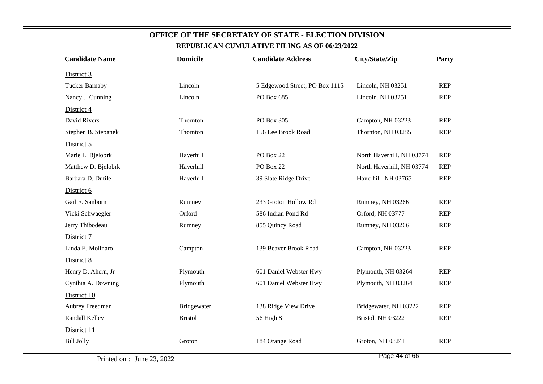| <b>Candidate Name</b> | <b>Domicile</b> | <b>Candidate Address</b>       | City/State/Zip            | Party      |  |
|-----------------------|-----------------|--------------------------------|---------------------------|------------|--|
| District 3            |                 |                                |                           |            |  |
| <b>Tucker Barnaby</b> | Lincoln         | 5 Edgewood Street, PO Box 1115 | Lincoln, NH 03251         | <b>REP</b> |  |
| Nancy J. Cunning      | Lincoln         | PO Box 685                     | Lincoln, NH 03251         | <b>REP</b> |  |
| District 4            |                 |                                |                           |            |  |
| David Rivers          | Thornton        | PO Box 305                     | Campton, NH 03223         | <b>REP</b> |  |
| Stephen B. Stepanek   | Thornton        | 156 Lee Brook Road             | Thornton, NH 03285        | <b>REP</b> |  |
| District 5            |                 |                                |                           |            |  |
| Marie L. Bjelobrk     | Haverhill       | <b>PO Box 22</b>               | North Haverhill, NH 03774 | <b>REP</b> |  |
| Matthew D. Bjelobrk   | Haverhill       | PO Box 22                      | North Haverhill, NH 03774 | <b>REP</b> |  |
| Barbara D. Dutile     | Haverhill       | 39 Slate Ridge Drive           | Haverhill, NH 03765       | <b>REP</b> |  |
| District 6            |                 |                                |                           |            |  |
| Gail E. Sanborn       | Rumney          | 233 Groton Hollow Rd           | Rumney, NH 03266          | <b>REP</b> |  |
| Vicki Schwaegler      | Orford          | 586 Indian Pond Rd             | Orford, NH 03777          | <b>REP</b> |  |
| Jerry Thibodeau       | Rumney          | 855 Quincy Road                | Rumney, NH 03266          | <b>REP</b> |  |
| District 7            |                 |                                |                           |            |  |
| Linda E. Molinaro     | Campton         | 139 Beaver Brook Road          | Campton, NH 03223         | <b>REP</b> |  |
| District 8            |                 |                                |                           |            |  |
| Henry D. Ahern, Jr    | Plymouth        | 601 Daniel Webster Hwy         | Plymouth, NH 03264        | <b>REP</b> |  |
| Cynthia A. Downing    | Plymouth        | 601 Daniel Webster Hwy         | Plymouth, NH 03264        | <b>REP</b> |  |
| District 10           |                 |                                |                           |            |  |
| Aubrey Freedman       | Bridgewater     | 138 Ridge View Drive           | Bridgewater, NH 03222     | <b>REP</b> |  |
| Randall Kelley        | <b>Bristol</b>  | 56 High St                     | Bristol, NH 03222         | <b>REP</b> |  |
| District 11           |                 |                                |                           |            |  |
| <b>Bill Jolly</b>     | Groton          | 184 Orange Road                | Groton, NH 03241          | <b>REP</b> |  |
|                       |                 |                                |                           |            |  |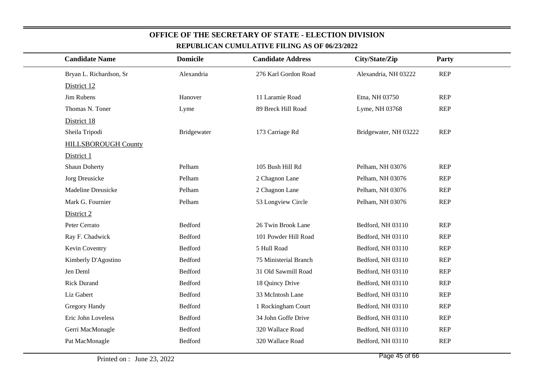| <b>Candidate Name</b>      | <b>Domicile</b> | <b>Candidate Address</b> | City/State/Zip        | Party      |
|----------------------------|-----------------|--------------------------|-----------------------|------------|
| Bryan L. Richardson, Sr    | Alexandria      | 276 Karl Gordon Road     | Alexandria, NH 03222  | <b>REP</b> |
| District 12                |                 |                          |                       |            |
| Jim Rubens                 | Hanover         | 11 Laramie Road          | Etna, NH 03750        | <b>REP</b> |
| Thomas N. Toner            | Lyme            | 89 Breck Hill Road       | Lyme, NH 03768        | <b>REP</b> |
| District 18                |                 |                          |                       |            |
| Sheila Tripodi             | Bridgewater     | 173 Carriage Rd          | Bridgewater, NH 03222 | <b>REP</b> |
| <b>HILLSBOROUGH County</b> |                 |                          |                       |            |
| District 1                 |                 |                          |                       |            |
| <b>Shaun Doherty</b>       | Pelham          | 105 Bush Hill Rd         | Pelham, NH 03076      | <b>REP</b> |
| Jorg Dreusicke             | Pelham          | 2 Chagnon Lane           | Pelham, NH 03076      | <b>REP</b> |
| <b>Madeline Dreusicke</b>  | Pelham          | 2 Chagnon Lane           | Pelham, NH 03076      | <b>REP</b> |
| Mark G. Fournier           | Pelham          | 53 Longview Circle       | Pelham, NH 03076      | <b>REP</b> |
| District 2                 |                 |                          |                       |            |
| Peter Cerrato              | Bedford         | 26 Twin Brook Lane       | Bedford, NH 03110     | <b>REP</b> |
| Ray F. Chadwick            | Bedford         | 101 Powder Hill Road     | Bedford, NH 03110     | <b>REP</b> |
| Kevin Coventry             | Bedford         | 5 Hull Road              | Bedford, NH 03110     | <b>REP</b> |
| Kimberly D'Agostino        | Bedford         | 75 Ministerial Branch    | Bedford, NH 03110     | <b>REP</b> |
| Jen Deml                   | Bedford         | 31 Old Sawmill Road      | Bedford, NH 03110     | <b>REP</b> |
| <b>Rick Durand</b>         | Bedford         | 18 Quincy Drive          | Bedford, NH 03110     | <b>REP</b> |
| Liz Gabert                 | Bedford         | 33 McIntosh Lane         | Bedford, NH 03110     | <b>REP</b> |
| Gregory Handy              | Bedford         | 1 Rockingham Court       | Bedford, NH 03110     | <b>REP</b> |
| Eric John Loveless         | Bedford         | 34 John Goffe Drive      | Bedford, NH 03110     | <b>REP</b> |
| Gerri MacMonagle           | Bedford         | 320 Wallace Road         | Bedford, NH 03110     | <b>REP</b> |
| Pat MacMonagle             | Bedford         | 320 Wallace Road         | Bedford, NH 03110     | <b>REP</b> |
|                            |                 |                          |                       |            |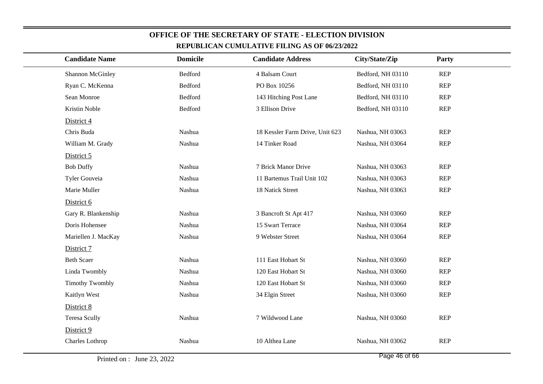| <b>Candidate Name</b>  | <b>Domicile</b> | <b>Candidate Address</b>        | City/State/Zip    | Party      |  |  |
|------------------------|-----------------|---------------------------------|-------------------|------------|--|--|
| Shannon McGinley       | Bedford         | 4 Balsam Court                  | Bedford, NH 03110 | <b>REP</b> |  |  |
| Ryan C. McKenna        | Bedford         | PO Box 10256                    | Bedford, NH 03110 | <b>REP</b> |  |  |
| Sean Monroe            | Bedford         | 143 Hitching Post Lane          | Bedford, NH 03110 | <b>REP</b> |  |  |
| Kristin Noble          | Bedford         | 3 Ellison Drive                 | Bedford, NH 03110 | <b>REP</b> |  |  |
| District 4             |                 |                                 |                   |            |  |  |
| Chris Buda             | Nashua          | 18 Kessler Farm Drive, Unit 623 | Nashua, NH 03063  | <b>REP</b> |  |  |
| William M. Grady       | Nashua          | 14 Tinker Road                  | Nashua, NH 03064  | <b>REP</b> |  |  |
| District 5             |                 |                                 |                   |            |  |  |
| <b>Bob Duffy</b>       | Nashua          | 7 Brick Manor Drive             | Nashua, NH 03063  | <b>REP</b> |  |  |
| Tyler Gouveia          | Nashua          | 11 Bartemus Trail Unit 102      | Nashua, NH 03063  | <b>REP</b> |  |  |
| Marie Muller           | Nashua          | 18 Natick Street                | Nashua, NH 03063  | <b>REP</b> |  |  |
| District 6             |                 |                                 |                   |            |  |  |
| Gary R. Blankenship    | Nashua          | 3 Bancroft St Apt 417           | Nashua, NH 03060  | <b>REP</b> |  |  |
| Doris Hohensee         | Nashua          | 15 Swart Terrace                | Nashua, NH 03064  | <b>REP</b> |  |  |
| Mariellen J. MacKay    | Nashua          | 9 Webster Street                | Nashua, NH 03064  | <b>REP</b> |  |  |
| District 7             |                 |                                 |                   |            |  |  |
| <b>Beth Scaer</b>      | Nashua          | 111 East Hobart St              | Nashua, NH 03060  | <b>REP</b> |  |  |
| Linda Twombly          | Nashua          | 120 East Hobart St              | Nashua, NH 03060  | <b>REP</b> |  |  |
| <b>Timothy Twombly</b> | Nashua          | 120 East Hobart St              | Nashua, NH 03060  | <b>REP</b> |  |  |
| Kaitlyn West           | Nashua          | 34 Elgin Street                 | Nashua, NH 03060  | <b>REP</b> |  |  |
| District 8             |                 |                                 |                   |            |  |  |
| <b>Teresa Scully</b>   | Nashua          | 7 Wildwood Lane                 | Nashua, NH 03060  | <b>REP</b> |  |  |
| District 9             |                 |                                 |                   |            |  |  |
| Charles Lothrop        | Nashua          | 10 Althea Lane                  | Nashua, NH 03062  | <b>REP</b> |  |  |
|                        |                 |                                 |                   |            |  |  |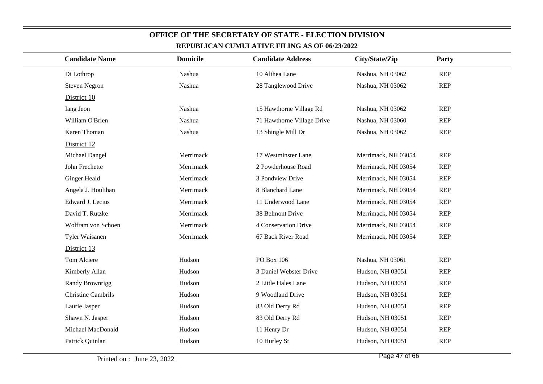| <b>Candidate Name</b>     | <b>Domicile</b> | <b>Candidate Address</b>   | City/State/Zip      | Party      |
|---------------------------|-----------------|----------------------------|---------------------|------------|
| Di Lothrop                | Nashua          | 10 Althea Lane             | Nashua, NH 03062    | <b>REP</b> |
| <b>Steven Negron</b>      | Nashua          | 28 Tanglewood Drive        | Nashua, NH 03062    | <b>REP</b> |
| District 10               |                 |                            |                     |            |
| Iang Jeon                 | Nashua          | 15 Hawthorne Village Rd    | Nashua, NH 03062    | <b>REP</b> |
| William O'Brien           | Nashua          | 71 Hawthorne Village Drive | Nashua, NH 03060    | <b>REP</b> |
| Karen Thoman              | Nashua          | 13 Shingle Mill Dr         | Nashua, NH 03062    | <b>REP</b> |
| District 12               |                 |                            |                     |            |
| Michael Dangel            | Merrimack       | 17 Westminster Lane        | Merrimack, NH 03054 | <b>REP</b> |
| John Frechette            | Merrimack       | 2 Powderhouse Road         | Merrimack, NH 03054 | <b>REP</b> |
| <b>Ginger Heald</b>       | Merrimack       | 3 Pondview Drive           | Merrimack, NH 03054 | <b>REP</b> |
| Angela J. Houlihan        | Merrimack       | 8 Blanchard Lane           | Merrimack, NH 03054 | <b>REP</b> |
| Edward J. Lecius          | Merrimack       | 11 Underwood Lane          | Merrimack, NH 03054 | <b>REP</b> |
| David T. Rutzke           | Merrimack       | 38 Belmont Drive           | Merrimack, NH 03054 | <b>REP</b> |
| Wolfram von Schoen        | Merrimack       | 4 Conservation Drive       | Merrimack, NH 03054 | <b>REP</b> |
| Tyler Waisanen            | Merrimack       | 67 Back River Road         | Merrimack, NH 03054 | <b>REP</b> |
| District 13               |                 |                            |                     |            |
| Tom Alciere               | Hudson          | PO Box 106                 | Nashua, NH 03061    | <b>REP</b> |
| Kimberly Allan            | Hudson          | 3 Daniel Webster Drive     | Hudson, NH 03051    | <b>REP</b> |
| Randy Brownrigg           | Hudson          | 2 Little Hales Lane        | Hudson, NH 03051    | <b>REP</b> |
| <b>Christine Cambrils</b> | Hudson          | 9 Woodland Drive           | Hudson, NH 03051    | <b>REP</b> |
| Laurie Jasper             | Hudson          | 83 Old Derry Rd            | Hudson, NH 03051    | <b>REP</b> |
| Shawn N. Jasper           | Hudson          | 83 Old Derry Rd            | Hudson, NH 03051    | <b>REP</b> |
| Michael MacDonald         | Hudson          | 11 Henry Dr                | Hudson, NH 03051    | <b>REP</b> |
| Patrick Quinlan           | Hudson          | 10 Hurley St               | Hudson, NH 03051    | <b>REP</b> |
|                           |                 |                            |                     |            |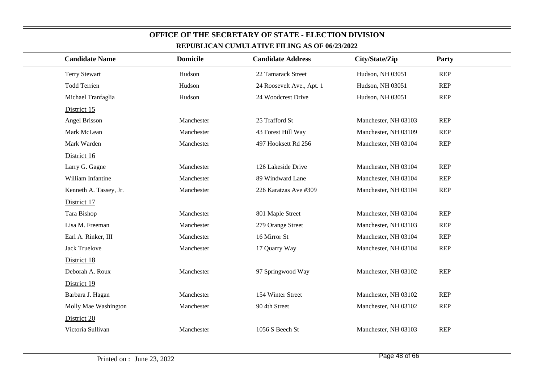| <b>Candidate Name</b>  | <b>Domicile</b> | <b>Candidate Address</b>  | City/State/Zip       | Party      |  |
|------------------------|-----------------|---------------------------|----------------------|------------|--|
| <b>Terry Stewart</b>   | Hudson          | 22 Tamarack Street        | Hudson, NH 03051     | <b>REP</b> |  |
| <b>Todd Terrien</b>    | Hudson          | 24 Roosevelt Ave., Apt. 1 | Hudson, NH 03051     | <b>REP</b> |  |
| Michael Tranfaglia     | Hudson          | 24 Woodcrest Drive        | Hudson, NH 03051     | <b>REP</b> |  |
| District 15            |                 |                           |                      |            |  |
| Angel Brisson          | Manchester      | 25 Trafford St            | Manchester, NH 03103 | <b>REP</b> |  |
| Mark McLean            | Manchester      | 43 Forest Hill Way        | Manchester, NH 03109 | <b>REP</b> |  |
| Mark Warden            | Manchester      | 497 Hooksett Rd 256       | Manchester, NH 03104 | <b>REP</b> |  |
| District 16            |                 |                           |                      |            |  |
| Larry G. Gagne         | Manchester      | 126 Lakeside Drive        | Manchester, NH 03104 | <b>REP</b> |  |
| William Infantine      | Manchester      | 89 Windward Lane          | Manchester, NH 03104 | <b>REP</b> |  |
| Kenneth A. Tassey, Jr. | Manchester      | 226 Karatzas Ave #309     | Manchester, NH 03104 | <b>REP</b> |  |
| District 17            |                 |                           |                      |            |  |
| Tara Bishop            | Manchester      | 801 Maple Street          | Manchester, NH 03104 | <b>REP</b> |  |
| Lisa M. Freeman        | Manchester      | 279 Orange Street         | Manchester, NH 03103 | <b>REP</b> |  |
| Earl A. Rinker, III    | Manchester      | 16 Mirror St              | Manchester, NH 03104 | <b>REP</b> |  |
| <b>Jack Truelove</b>   | Manchester      | 17 Quarry Way             | Manchester, NH 03104 | <b>REP</b> |  |
| District 18            |                 |                           |                      |            |  |
| Deborah A. Roux        | Manchester      | 97 Springwood Way         | Manchester, NH 03102 | <b>REP</b> |  |
| District 19            |                 |                           |                      |            |  |
| Barbara J. Hagan       | Manchester      | 154 Winter Street         | Manchester, NH 03102 | <b>REP</b> |  |
| Molly Mae Washington   | Manchester      | 90 4th Street             | Manchester, NH 03102 | <b>REP</b> |  |
| District 20            |                 |                           |                      |            |  |
| Victoria Sullivan      | Manchester      | 1056 S Beech St           | Manchester, NH 03103 | <b>REP</b> |  |
|                        |                 |                           |                      |            |  |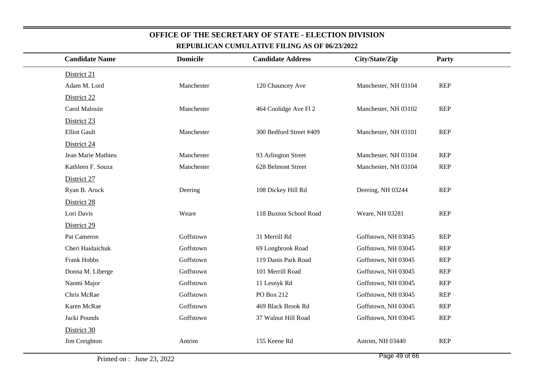| <b>Candidate Name</b> | <b>Domicile</b> | <b>Candidate Address</b> | City/State/Zip       | Party      |
|-----------------------|-----------------|--------------------------|----------------------|------------|
| District 21           |                 |                          |                      |            |
| Adam M. Lord          | Manchester      | 120 Chauncey Ave         | Manchester, NH 03104 | <b>REP</b> |
| District 22           |                 |                          |                      |            |
| Carol Malouin         | Manchester      | 464 Coolidge Ave Fl 2    | Manchester, NH 03102 | REP        |
| District 23           |                 |                          |                      |            |
| <b>Elliot Gault</b>   | Manchester      | 300 Bedford Street #409  | Manchester, NH 03101 | <b>REP</b> |
| District 24           |                 |                          |                      |            |
| Jean Marie Mathieu    | Manchester      | 93 Arlington Street      | Manchester, NH 03104 | <b>REP</b> |
| Kathleen F. Souza     | Manchester      | 628 Belmont Street       | Manchester, NH 03104 | <b>REP</b> |
| District 27           |                 |                          |                      |            |
| Ryan B. Aruck         | Deering         | 108 Dickey Hill Rd       | Deering, NH 03244    | REP        |
| District 28           |                 |                          |                      |            |
| Lori Davis            | Weare           | 118 Buxton School Road   | Weare, NH 03281      | REP        |
| District 29           |                 |                          |                      |            |
| Pat Cameron           | Goffstown       | 31 Merrill Rd            | Goffstown, NH 03045  | REP        |
| Cheri Haidaichuk      | Goffstown       | 69 Longbrook Road        | Goffstown, NH 03045  | <b>REP</b> |
| Frank Hobbs           | Goffstown       | 119 Danis Park Road      | Goffstown, NH 03045  | <b>REP</b> |
| Donna M. Liberge      | Goffstown       | 101 Merrill Road         | Goffstown, NH 03045  | <b>REP</b> |
| Naomi Major           | Goffstown       | 11 Lesnyk Rd             | Goffstown, NH 03045  | <b>REP</b> |
| Chris McRae           | Goffstown       | PO Box 212               | Goffstown, NH 03045  | <b>REP</b> |
| Karen McRae           | Goffstown       | 469 Black Brook Rd       | Goffstown, NH 03045  | <b>REP</b> |
| Jacki Pounds          | Goffstown       | 37 Walnut Hill Road      | Goffstown, NH 03045  | <b>REP</b> |
| District 30           |                 |                          |                      |            |
| Jim Creighton         | Antrim          | 155 Keene Rd             | Antrim, NH 03440     | <b>REP</b> |
|                       |                 |                          |                      |            |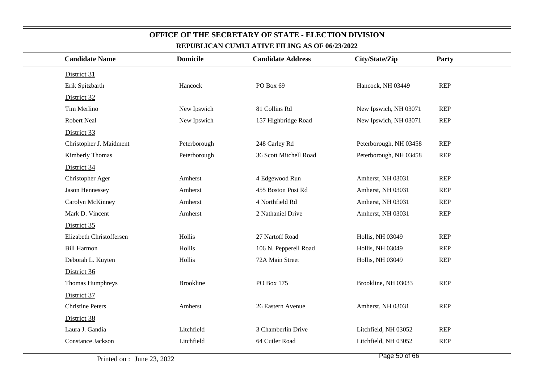| <b>Candidate Name</b>    | <b>Domicile</b>  | <b>Candidate Address</b> | City/State/Zip         | Party      |  |
|--------------------------|------------------|--------------------------|------------------------|------------|--|
| District 31              |                  |                          |                        |            |  |
| Erik Spitzbarth          | Hancock          | PO Box 69                | Hancock, NH 03449      | <b>REP</b> |  |
| District 32              |                  |                          |                        |            |  |
| Tim Merlino              | New Ipswich      | 81 Collins Rd            | New Ipswich, NH 03071  | <b>REP</b> |  |
| <b>Robert Neal</b>       | New Ipswich      | 157 Highbridge Road      | New Ipswich, NH 03071  | <b>REP</b> |  |
| District 33              |                  |                          |                        |            |  |
| Christopher J. Maidment  | Peterborough     | 248 Carley Rd            | Peterborough, NH 03458 | <b>REP</b> |  |
| Kimberly Thomas          | Peterborough     | 36 Scott Mitchell Road   | Peterborough, NH 03458 | <b>REP</b> |  |
| District 34              |                  |                          |                        |            |  |
| Christopher Ager         | Amherst          | 4 Edgewood Run           | Amherst, NH 03031      | <b>REP</b> |  |
| Jason Hennessey          | Amherst          | 455 Boston Post Rd       | Amherst, NH 03031      | <b>REP</b> |  |
| Carolyn McKinney         | Amherst          | 4 Northfield Rd          | Amherst, NH 03031      | <b>REP</b> |  |
| Mark D. Vincent          | Amherst          | 2 Nathaniel Drive        | Amherst, NH 03031      | <b>REP</b> |  |
| District 35              |                  |                          |                        |            |  |
| Elizabeth Christoffersen | Hollis           | 27 Nartoff Road          | Hollis, NH 03049       | <b>REP</b> |  |
| <b>Bill Harmon</b>       | Hollis           | 106 N. Pepperell Road    | Hollis, NH 03049       | <b>REP</b> |  |
| Deborah L. Kuyten        | Hollis           | 72A Main Street          | Hollis, NH 03049       | <b>REP</b> |  |
| District 36              |                  |                          |                        |            |  |
| Thomas Humphreys         | <b>Brookline</b> | PO Box 175               | Brookline, NH 03033    | REP        |  |
| District 37              |                  |                          |                        |            |  |
| <b>Christine Peters</b>  | Amherst          | 26 Eastern Avenue        | Amherst, NH 03031      | <b>REP</b> |  |
| District 38              |                  |                          |                        |            |  |
| Laura J. Gandia          | Litchfield       | 3 Chamberlin Drive       | Litchfield, NH 03052   | <b>REP</b> |  |
| Constance Jackson        | Litchfield       | 64 Cutler Road           | Litchfield, NH 03052   | <b>REP</b> |  |
|                          |                  |                          |                        |            |  |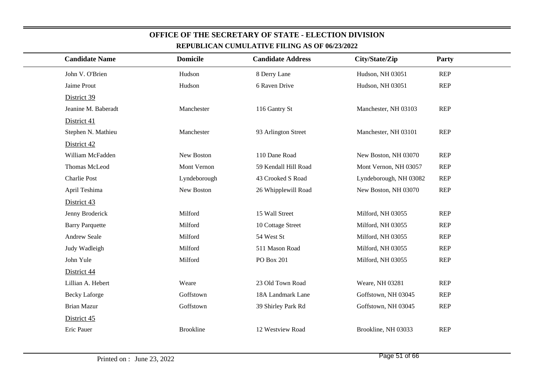| <b>Candidate Name</b>  | <b>Domicile</b>  | <b>Candidate Address</b> | City/State/Zip         | Party      |
|------------------------|------------------|--------------------------|------------------------|------------|
| John V. O'Brien        | Hudson           | 8 Derry Lane             | Hudson, NH 03051       | <b>REP</b> |
| Jaime Prout            | Hudson           | 6 Raven Drive            | Hudson, NH 03051       | <b>REP</b> |
| District 39            |                  |                          |                        |            |
| Jeanine M. Baberadt    | Manchester       | 116 Gantry St            | Manchester, NH 03103   | <b>REP</b> |
| District 41            |                  |                          |                        |            |
| Stephen N. Mathieu     | Manchester       | 93 Arlington Street      | Manchester, NH 03101   | <b>REP</b> |
| District 42            |                  |                          |                        |            |
| William McFadden       | New Boston       | 110 Dane Road            | New Boston, NH 03070   | <b>REP</b> |
| Thomas McLeod          | Mont Vernon      | 59 Kendall Hill Road     | Mont Vernon, NH 03057  | <b>REP</b> |
| Charlie Post           | Lyndeborough     | 43 Crooked S Road        | Lyndeborough, NH 03082 | <b>REP</b> |
| April Teshima          | New Boston       | 26 Whipplewill Road      | New Boston, NH 03070   | <b>REP</b> |
| District 43            |                  |                          |                        |            |
| Jenny Broderick        | Milford          | 15 Wall Street           | Milford, NH 03055      | <b>REP</b> |
| <b>Barry Parquette</b> | Milford          | 10 Cottage Street        | Milford, NH 03055      | <b>REP</b> |
| Andrew Seale           | Milford          | 54 West St               | Milford, NH 03055      | <b>REP</b> |
| Judy Wadleigh          | Milford          | 511 Mason Road           | Milford, NH 03055      | <b>REP</b> |
| John Yule              | Milford          | <b>PO Box 201</b>        | Milford, NH 03055      | <b>REP</b> |
| District 44            |                  |                          |                        |            |
| Lillian A. Hebert      | Weare            | 23 Old Town Road         | Weare, NH 03281        | <b>REP</b> |
| <b>Becky Laforge</b>   | Goffstown        | 18A Landmark Lane        | Goffstown, NH 03045    | <b>REP</b> |
| <b>Brian Mazur</b>     | Goffstown        | 39 Shirley Park Rd       | Goffstown, NH 03045    | <b>REP</b> |
| District 45            |                  |                          |                        |            |
| Eric Pauer             | <b>Brookline</b> | 12 Westview Road         | Brookline, NH 03033    | <b>REP</b> |
|                        |                  |                          |                        |            |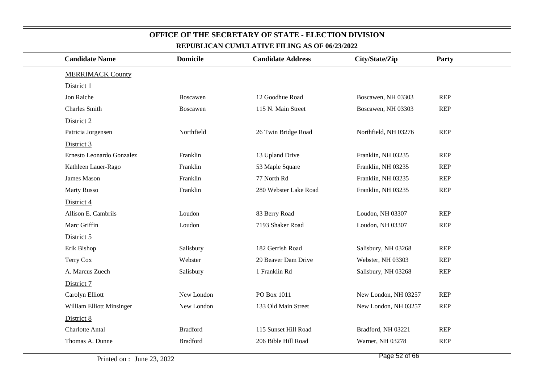| <b>Candidate Name</b>     | <b>Domicile</b> | <b>Candidate Address</b> | City/State/Zip       | Party      |  |
|---------------------------|-----------------|--------------------------|----------------------|------------|--|
| <b>MERRIMACK County</b>   |                 |                          |                      |            |  |
| District 1                |                 |                          |                      |            |  |
| Jon Raiche                | Boscawen        | 12 Goodhue Road          | Boscawen, NH 03303   | <b>REP</b> |  |
| <b>Charles Smith</b>      | Boscawen        | 115 N. Main Street       | Boscawen, NH 03303   | <b>REP</b> |  |
| District 2                |                 |                          |                      |            |  |
| Patricia Jorgensen        | Northfield      | 26 Twin Bridge Road      | Northfield, NH 03276 | <b>REP</b> |  |
| District 3                |                 |                          |                      |            |  |
| Ernesto Leonardo Gonzalez | Franklin        | 13 Upland Drive          | Franklin, NH 03235   | <b>REP</b> |  |
| Kathleen Lauer-Rago       | Franklin        | 53 Maple Square          | Franklin, NH 03235   | <b>REP</b> |  |
| James Mason               | Franklin        | 77 North Rd              | Franklin, NH 03235   | <b>REP</b> |  |
| <b>Marty Russo</b>        | Franklin        | 280 Webster Lake Road    | Franklin, NH 03235   | <b>REP</b> |  |
| District 4                |                 |                          |                      |            |  |
| Allison E. Cambrils       | Loudon          | 83 Berry Road            | Loudon, NH 03307     | <b>REP</b> |  |
| Marc Griffin              | Loudon          | 7193 Shaker Road         | Loudon, NH 03307     | <b>REP</b> |  |
| District 5                |                 |                          |                      |            |  |
| Erik Bishop               | Salisbury       | 182 Gerrish Road         | Salisbury, NH 03268  | <b>REP</b> |  |
| Terry Cox                 | Webster         | 29 Beaver Dam Drive      | Webster, NH 03303    | <b>REP</b> |  |
| A. Marcus Zuech           | Salisbury       | 1 Franklin Rd            | Salisbury, NH 03268  | <b>REP</b> |  |
| District 7                |                 |                          |                      |            |  |
| Carolyn Elliott           | New London      | PO Box 1011              | New London, NH 03257 | <b>REP</b> |  |
| William Elliott Minsinger | New London      | 133 Old Main Street      | New London, NH 03257 | <b>REP</b> |  |
| District 8                |                 |                          |                      |            |  |
| <b>Charlotte Antal</b>    | <b>Bradford</b> | 115 Sunset Hill Road     | Bradford, NH 03221   | <b>REP</b> |  |
| Thomas A. Dunne           | <b>Bradford</b> | 206 Bible Hill Road      | Warner, NH 03278     | <b>REP</b> |  |
|                           |                 |                          |                      |            |  |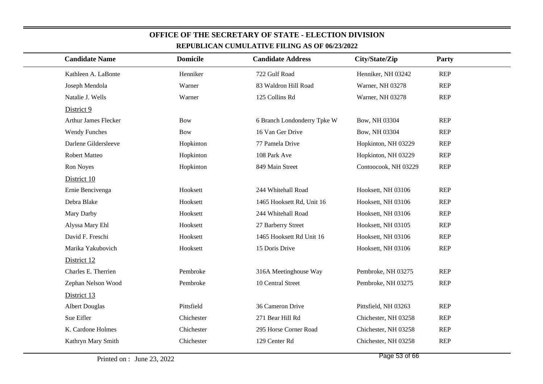| <b>Candidate Name</b>       | <b>Domicile</b> | <b>Candidate Address</b>    | City/State/Zip       | Party      |
|-----------------------------|-----------------|-----------------------------|----------------------|------------|
| Kathleen A. LaBonte         | Henniker        | 722 Gulf Road               | Henniker, NH 03242   | <b>REP</b> |
| Joseph Mendola              | Warner          | 83 Waldron Hill Road        | Warner, NH 03278     | <b>REP</b> |
| Natalie J. Wells            | Warner          | 125 Collins Rd              | Warner, NH 03278     | <b>REP</b> |
| District 9                  |                 |                             |                      |            |
| <b>Arthur James Flecker</b> | <b>Bow</b>      | 6 Branch Londonderry Tpke W | Bow, NH 03304        | <b>REP</b> |
| <b>Wendy Funches</b>        | <b>Bow</b>      | 16 Van Ger Drive            | Bow, NH 03304        | <b>REP</b> |
| Darlene Gildersleeve        | Hopkinton       | 77 Pamela Drive             | Hopkinton, NH 03229  | <b>REP</b> |
| Robert Matteo               | Hopkinton       | 108 Park Ave                | Hopkinton, NH 03229  | <b>REP</b> |
| Ron Noyes                   | Hopkinton       | 849 Main Street             | Contoocook, NH 03229 | <b>REP</b> |
| District 10                 |                 |                             |                      |            |
| Ernie Bencivenga            | Hooksett        | 244 Whitehall Road          | Hooksett, NH 03106   | <b>REP</b> |
| Debra Blake                 | Hooksett        | 1465 Hooksett Rd, Unit 16   | Hooksett, NH 03106   | <b>REP</b> |
| Mary Darby                  | Hooksett        | 244 Whitehall Road          | Hooksett, NH 03106   | <b>REP</b> |
| Alyssa Mary Ehl             | Hooksett        | 27 Barberry Street          | Hooksett, NH 03105   | <b>REP</b> |
| David F. Freschi            | Hooksett        | 1465 Hooksett Rd Unit 16    | Hooksett, NH 03106   | <b>REP</b> |
| Marika Yakubovich           | Hooksett        | 15 Doris Drive              | Hooksett, NH 03106   | REP        |
| District 12                 |                 |                             |                      |            |
| Charles E. Therrien         | Pembroke        | 316A Meetinghouse Way       | Pembroke, NH 03275   | <b>REP</b> |
| Zephan Nelson Wood          | Pembroke        | 10 Central Street           | Pembroke, NH 03275   | <b>REP</b> |
| District 13                 |                 |                             |                      |            |
| <b>Albert Douglas</b>       | Pittsfield      | 36 Cameron Drive            | Pittsfield, NH 03263 | REP        |
| Sue Eifler                  | Chichester      | 271 Bear Hill Rd            | Chichester, NH 03258 | <b>REP</b> |
| K. Cardone Holmes           | Chichester      | 295 Horse Corner Road       | Chichester, NH 03258 | REP        |
| Kathryn Mary Smith          | Chichester      | 129 Center Rd               | Chichester, NH 03258 | REP        |
|                             |                 |                             |                      |            |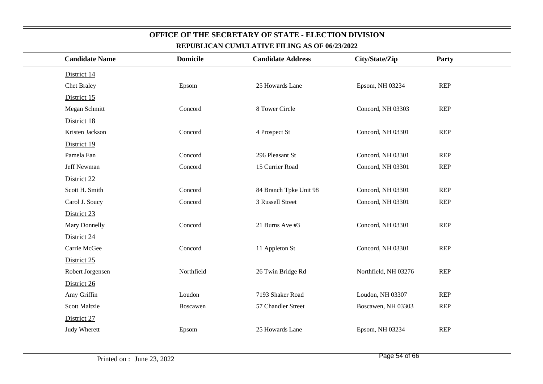| <b>Candidate Name</b> | <b>Domicile</b> | <b>Candidate Address</b> | City/State/Zip       | Party      |  |
|-----------------------|-----------------|--------------------------|----------------------|------------|--|
| District 14           |                 |                          |                      |            |  |
| <b>Chet Braley</b>    | Epsom           | 25 Howards Lane          | Epsom, NH 03234      | <b>REP</b> |  |
| District 15           |                 |                          |                      |            |  |
| Megan Schmitt         | Concord         | 8 Tower Circle           | Concord, NH 03303    | <b>REP</b> |  |
| District 18           |                 |                          |                      |            |  |
| Kristen Jackson       | Concord         | 4 Prospect St            | Concord, NH 03301    | <b>REP</b> |  |
| District 19           |                 |                          |                      |            |  |
| Pamela Ean            | Concord         | 296 Pleasant St          | Concord, NH 03301    | <b>REP</b> |  |
| Jeff Newman           | Concord         | 15 Currier Road          | Concord, NH 03301    | <b>REP</b> |  |
| District 22           |                 |                          |                      |            |  |
| Scott H. Smith        | Concord         | 84 Branch Tpke Unit 98   | Concord, NH 03301    | <b>REP</b> |  |
| Carol J. Soucy        | Concord         | 3 Russell Street         | Concord, NH 03301    | <b>REP</b> |  |
| District 23           |                 |                          |                      |            |  |
| Mary Donnelly         | Concord         | 21 Burns Ave #3          | Concord, NH 03301    | <b>REP</b> |  |
| District 24           |                 |                          |                      |            |  |
| Carrie McGee          | Concord         | 11 Appleton St           | Concord, NH 03301    | <b>REP</b> |  |
| District 25           |                 |                          |                      |            |  |
| Robert Jorgensen      | Northfield      | 26 Twin Bridge Rd        | Northfield, NH 03276 | <b>REP</b> |  |
| District 26           |                 |                          |                      |            |  |
| Amy Griffin           | Loudon          | 7193 Shaker Road         | Loudon, NH 03307     | <b>REP</b> |  |
| <b>Scott Maltzie</b>  | Boscawen        | 57 Chandler Street       | Boscawen, NH 03303   | <b>REP</b> |  |
| District 27           |                 |                          |                      |            |  |
| Judy Wherett          | Epsom           | 25 Howards Lane          | Epsom, NH 03234      | <b>REP</b> |  |
|                       |                 |                          |                      |            |  |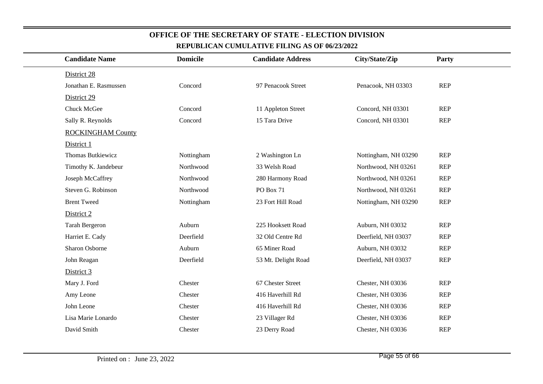| <b>Candidate Name</b>    | <b>Domicile</b> | <b>Candidate Address</b> | City/State/Zip       | Party      |
|--------------------------|-----------------|--------------------------|----------------------|------------|
| District 28              |                 |                          |                      |            |
| Jonathan E. Rasmussen    | Concord         | 97 Penacook Street       | Penacook, NH 03303   | REP        |
| District 29              |                 |                          |                      |            |
| Chuck McGee              | Concord         | 11 Appleton Street       | Concord, NH 03301    | <b>REP</b> |
| Sally R. Reynolds        | Concord         | 15 Tara Drive            | Concord, NH 03301    | <b>REP</b> |
| <b>ROCKINGHAM County</b> |                 |                          |                      |            |
| District 1               |                 |                          |                      |            |
| Thomas Butkiewicz        | Nottingham      | 2 Washington Ln          | Nottingham, NH 03290 | <b>REP</b> |
| Timothy K. Jandebeur     | Northwood       | 33 Welsh Road            | Northwood, NH 03261  | <b>REP</b> |
| Joseph McCaffrey         | Northwood       | 280 Harmony Road         | Northwood, NH 03261  | <b>REP</b> |
| Steven G. Robinson       | Northwood       | <b>PO Box 71</b>         | Northwood, NH 03261  | <b>REP</b> |
| <b>Brent Tweed</b>       | Nottingham      | 23 Fort Hill Road        | Nottingham, NH 03290 | <b>REP</b> |
| District 2               |                 |                          |                      |            |
| <b>Tarah Bergeron</b>    | Auburn          | 225 Hooksett Road        | Auburn, NH 03032     | <b>REP</b> |
| Harriet E. Cady          | Deerfield       | 32 Old Centre Rd         | Deerfield, NH 03037  | <b>REP</b> |
| Sharon Osborne           | Auburn          | 65 Miner Road            | Auburn, NH 03032     | <b>REP</b> |
| John Reagan              | Deerfield       | 53 Mt. Delight Road      | Deerfield, NH 03037  | <b>REP</b> |
| District 3               |                 |                          |                      |            |
| Mary J. Ford             | Chester         | 67 Chester Street        | Chester, NH 03036    | <b>REP</b> |
| Amy Leone                | Chester         | 416 Haverhill Rd         | Chester, NH 03036    | <b>REP</b> |
| John Leone               | Chester         | 416 Haverhill Rd         | Chester, NH 03036    | <b>REP</b> |
| Lisa Marie Lonardo       | Chester         | 23 Villager Rd           | Chester, NH 03036    | <b>REP</b> |
| David Smith              | Chester         | 23 Derry Road            | Chester, NH 03036    | <b>REP</b> |
|                          |                 |                          |                      |            |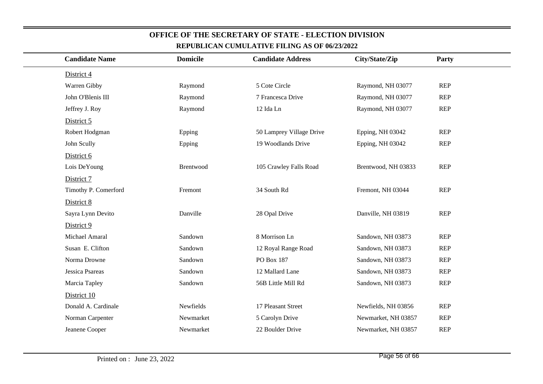|                   | <b>Candidate Name</b> | <b>Domicile</b> | <b>Candidate Address</b> | City/State/Zip      | <b>Party</b> |
|-------------------|-----------------------|-----------------|--------------------------|---------------------|--------------|
| District 4        |                       |                 |                          |                     |              |
| Warren Gibby      |                       | Raymond         | 5 Cote Circle            | Raymond, NH 03077   | <b>REP</b>   |
| John O'Blenis III |                       | Raymond         | 7 Francesca Drive        | Raymond, NH 03077   | <b>REP</b>   |
| Jeffrey J. Roy    |                       | Raymond         | 12 Ida Ln                | Raymond, NH 03077   | <b>REP</b>   |
| District 5        |                       |                 |                          |                     |              |
| Robert Hodgman    |                       | Epping          | 50 Lamprey Village Drive | Epping, NH 03042    | <b>REP</b>   |
| John Scully       |                       | Epping          | 19 Woodlands Drive       | Epping, NH 03042    | <b>REP</b>   |
| District 6        |                       |                 |                          |                     |              |
| Lois DeYoung      |                       | Brentwood       | 105 Crawley Falls Road   | Brentwood, NH 03833 | <b>REP</b>   |
| District 7        |                       |                 |                          |                     |              |
|                   | Timothy P. Comerford  | Fremont         | 34 South Rd              | Fremont, NH 03044   | <b>REP</b>   |
| District 8        |                       |                 |                          |                     |              |
|                   | Sayra Lynn Devito     | Danville        | 28 Opal Drive            | Danville, NH 03819  | <b>REP</b>   |
| District 9        |                       |                 |                          |                     |              |
| Michael Amaral    |                       | Sandown         | 8 Morrison Ln            | Sandown, NH 03873   | <b>REP</b>   |
| Susan E. Clifton  |                       | Sandown         | 12 Royal Range Road      | Sandown, NH 03873   | <b>REP</b>   |
| Norma Drowne      |                       | Sandown         | PO Box 187               | Sandown, NH 03873   | <b>REP</b>   |
| Jessica Psareas   |                       | Sandown         | 12 Mallard Lane          | Sandown, NH 03873   | <b>REP</b>   |
| Marcia Tapley     |                       | Sandown         | 56B Little Mill Rd       | Sandown, NH 03873   | <b>REP</b>   |
| District 10       |                       |                 |                          |                     |              |
|                   | Donald A. Cardinale   | Newfields       | 17 Pleasant Street       | Newfields, NH 03856 | <b>REP</b>   |
|                   | Norman Carpenter      | Newmarket       | 5 Carolyn Drive          | Newmarket, NH 03857 | <b>REP</b>   |
| Jeanene Cooper    |                       | Newmarket       | 22 Boulder Drive         | Newmarket, NH 03857 | <b>REP</b>   |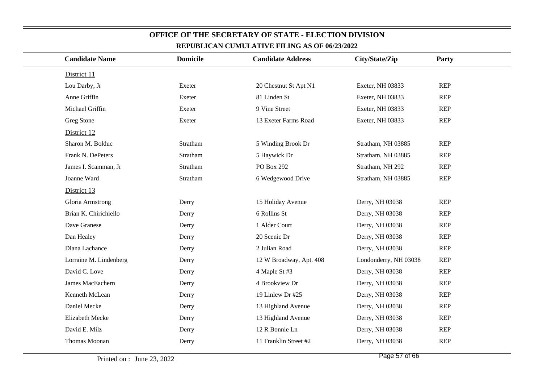| <b>Candidate Name</b>  | <b>Domicile</b> | <b>Candidate Address</b> | City/State/Zip        | Party      |
|------------------------|-----------------|--------------------------|-----------------------|------------|
| District 11            |                 |                          |                       |            |
| Lou Darby, Jr          | Exeter          | 20 Chestnut St Apt N1    | Exeter, NH 03833      | <b>REP</b> |
| Anne Griffin           | Exeter          | 81 Linden St             | Exeter, NH 03833      | <b>REP</b> |
| Michael Griffin        | Exeter          | 9 Vine Street            | Exeter, NH 03833      | <b>REP</b> |
| Greg Stone             | Exeter          | 13 Exeter Farms Road     | Exeter, NH 03833      | <b>REP</b> |
| District 12            |                 |                          |                       |            |
| Sharon M. Bolduc       | Stratham        | 5 Winding Brook Dr       | Stratham, NH 03885    | <b>REP</b> |
| Frank N. DePeters      | Stratham        | 5 Haywick Dr             | Stratham, NH 03885    | <b>REP</b> |
| James I. Scamman, Jr   | Stratham        | PO Box 292               | Stratham, NH 292      | <b>REP</b> |
| Joanne Ward            | Stratham        | 6 Wedgewood Drive        | Stratham, NH 03885    | <b>REP</b> |
| District 13            |                 |                          |                       |            |
| Gloria Armstrong       | Derry           | 15 Holiday Avenue        | Derry, NH 03038       | <b>REP</b> |
| Brian K. Chirichiello  | Derry           | 6 Rollins St             | Derry, NH 03038       | <b>REP</b> |
| Dave Granese           | Derry           | 1 Alder Court            | Derry, NH 03038       | <b>REP</b> |
| Dan Healey             | Derry           | 20 Scenic Dr             | Derry, NH 03038       | <b>REP</b> |
| Diana Lachance         | Derry           | 2 Julian Road            | Derry, NH 03038       | <b>REP</b> |
| Lorraine M. Lindenberg | Derry           | 12 W Broadway, Apt. 408  | Londonderry, NH 03038 | <b>REP</b> |
| David C. Love          | Derry           | 4 Maple St #3            | Derry, NH 03038       | <b>REP</b> |
| James MacEachern       | Derry           | 4 Brookview Dr           | Derry, NH 03038       | <b>REP</b> |
| Kenneth McLean         | Derry           | 19 Linlew Dr #25         | Derry, NH 03038       | <b>REP</b> |
| Daniel Mecke           | Derry           | 13 Highland Avenue       | Derry, NH 03038       | <b>REP</b> |
| Elizabeth Mecke        | Derry           | 13 Highland Avenue       | Derry, NH 03038       | <b>REP</b> |
| David E. Milz          | Derry           | 12 R Bonnie Ln           | Derry, NH 03038       | <b>REP</b> |
| Thomas Moonan          | Derry           | 11 Franklin Street #2    | Derry, NH 03038       | <b>REP</b> |
|                        |                 |                          |                       |            |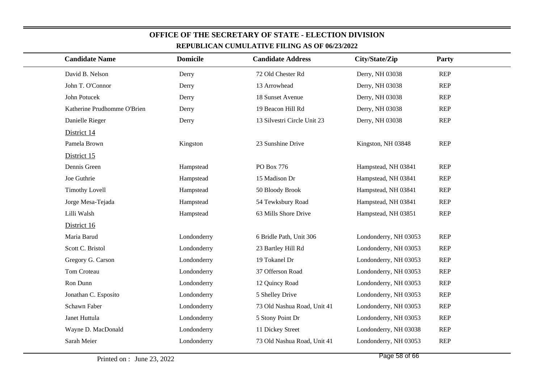| <b>Candidate Name</b>       | <b>Domicile</b> | REPUBLICAN CUMULATIVE FILING AS OF 06/23/2022<br><b>Candidate Address</b> | City/State/Zip        | <b>Party</b> |  |
|-----------------------------|-----------------|---------------------------------------------------------------------------|-----------------------|--------------|--|
|                             |                 |                                                                           |                       |              |  |
| David B. Nelson             | Derry           | 72 Old Chester Rd                                                         | Derry, NH 03038       | <b>REP</b>   |  |
| John T. O'Connor            | Derry           | 13 Arrowhead                                                              | Derry, NH 03038       | <b>REP</b>   |  |
| John Potucek                | Derry           | 18 Sunset Avenue                                                          | Derry, NH 03038       | <b>REP</b>   |  |
| Katherine Prudhomme O'Brien | Derry           | 19 Beacon Hill Rd                                                         | Derry, NH 03038       | <b>REP</b>   |  |
| Danielle Rieger             | Derry           | 13 Silvestri Circle Unit 23                                               | Derry, NH 03038       | <b>REP</b>   |  |
| District 14                 |                 |                                                                           |                       |              |  |
| Pamela Brown                | Kingston        | 23 Sunshine Drive                                                         | Kingston, NH 03848    | <b>REP</b>   |  |
| District 15                 |                 |                                                                           |                       |              |  |
| Dennis Green                | Hampstead       | PO Box 776                                                                | Hampstead, NH 03841   | <b>REP</b>   |  |
| Joe Guthrie                 | Hampstead       | 15 Madison Dr                                                             | Hampstead, NH 03841   | <b>REP</b>   |  |
| <b>Timothy Lovell</b>       | Hampstead       | 50 Bloody Brook                                                           | Hampstead, NH 03841   | <b>REP</b>   |  |
| Jorge Mesa-Tejada           | Hampstead       | 54 Tewksbury Road                                                         | Hampstead, NH 03841   | <b>REP</b>   |  |
| Lilli Walsh                 | Hampstead       | 63 Mills Shore Drive                                                      | Hampstead, NH 03851   | <b>REP</b>   |  |
| District 16                 |                 |                                                                           |                       |              |  |
| Maria Barud                 | Londonderry     | 6 Bridle Path, Unit 306                                                   | Londonderry, NH 03053 | <b>REP</b>   |  |
| Scott C. Bristol            | Londonderry     | 23 Bartley Hill Rd                                                        | Londonderry, NH 03053 | <b>REP</b>   |  |
| Gregory G. Carson           | Londonderry     | 19 Tokanel Dr                                                             | Londonderry, NH 03053 | <b>REP</b>   |  |
| Tom Croteau                 | Londonderry     | 37 Offerson Road                                                          | Londonderry, NH 03053 | <b>REP</b>   |  |
| Ron Dunn                    | Londonderry     | 12 Quincy Road                                                            | Londonderry, NH 03053 | <b>REP</b>   |  |
| Jonathan C. Esposito        | Londonderry     | 5 Shelley Drive                                                           | Londonderry, NH 03053 | <b>REP</b>   |  |
| Schawn Faber                | Londonderry     | 73 Old Nashua Road, Unit 41                                               | Londonderry, NH 03053 | <b>REP</b>   |  |
| Janet Huttula               | Londonderry     | 5 Stony Point Dr                                                          | Londonderry, NH 03053 | <b>REP</b>   |  |
| Wayne D. MacDonald          | Londonderry     | 11 Dickey Street                                                          | Londonderry, NH 03038 | <b>REP</b>   |  |
| Sarah Meier                 | Londonderry     | 73 Old Nashua Road, Unit 41                                               | Londonderry, NH 03053 | <b>REP</b>   |  |
|                             |                 |                                                                           |                       |              |  |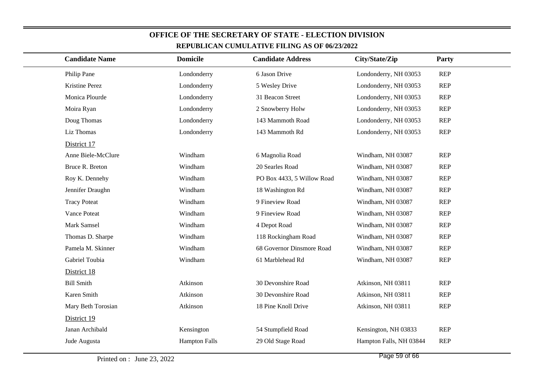| REPUDLICAN CUMULATIVE FILING AS OF 00/25/2022 |                      |                            |                         |            |  |  |
|-----------------------------------------------|----------------------|----------------------------|-------------------------|------------|--|--|
| <b>Candidate Name</b>                         | <b>Domicile</b>      | <b>Candidate Address</b>   | City/State/Zip          | Party      |  |  |
| Philip Pane                                   | Londonderry          | 6 Jason Drive              | Londonderry, NH 03053   | <b>REP</b> |  |  |
| Kristine Perez                                | Londonderry          | 5 Wesley Drive             | Londonderry, NH 03053   | <b>REP</b> |  |  |
| Monica Plourde                                | Londonderry          | 31 Beacon Street           | Londonderry, NH 03053   | <b>REP</b> |  |  |
| Moira Ryan                                    | Londonderry          | 2 Snowberry Holw           | Londonderry, NH 03053   | <b>REP</b> |  |  |
| Doug Thomas                                   | Londonderry          | 143 Mammoth Road           | Londonderry, NH 03053   | <b>REP</b> |  |  |
| Liz Thomas                                    | Londonderry          | 143 Mammoth Rd             | Londonderry, NH 03053   | <b>REP</b> |  |  |
| District 17                                   |                      |                            |                         |            |  |  |
| Anne Biele-McClure                            | Windham              | 6 Magnolia Road            | Windham, NH 03087       | <b>REP</b> |  |  |
| Bruce R. Breton                               | Windham              | 20 Searles Road            | Windham, NH 03087       | <b>REP</b> |  |  |
| Roy K. Dennehy                                | Windham              | PO Box 4433, 5 Willow Road | Windham, NH 03087       | <b>REP</b> |  |  |
| Jennifer Draughn                              | Windham              | 18 Washington Rd           | Windham, NH 03087       | <b>REP</b> |  |  |
| <b>Tracy Poteat</b>                           | Windham              | 9 Fineview Road            | Windham, NH 03087       | <b>REP</b> |  |  |
| Vance Poteat                                  | Windham              | 9 Fineview Road            | Windham, NH 03087       | <b>REP</b> |  |  |
| Mark Samsel                                   | Windham              | 4 Depot Road               | Windham, NH 03087       | <b>REP</b> |  |  |
| Thomas D. Sharpe                              | Windham              | 118 Rockingham Road        | Windham, NH 03087       | <b>REP</b> |  |  |
| Pamela M. Skinner                             | Windham              | 68 Governor Dinsmore Road  | Windham, NH 03087       | <b>REP</b> |  |  |
| Gabriel Toubia                                | Windham              | 61 Marblehead Rd           | Windham, NH 03087       | <b>REP</b> |  |  |
| District 18                                   |                      |                            |                         |            |  |  |
| <b>Bill Smith</b>                             | Atkinson             | 30 Devonshire Road         | Atkinson, NH 03811      | <b>REP</b> |  |  |
| Karen Smith                                   | Atkinson             | 30 Devonshire Road         | Atkinson, NH 03811      | <b>REP</b> |  |  |
| Mary Beth Torosian                            | Atkinson             | 18 Pine Knoll Drive        | Atkinson, NH 03811      | <b>REP</b> |  |  |
| District 19                                   |                      |                            |                         |            |  |  |
| Janan Archibald                               | Kensington           | 54 Stumpfield Road         | Kensington, NH 03833    | <b>REP</b> |  |  |
| Jude Augusta                                  | <b>Hampton Falls</b> | 29 Old Stage Road          | Hampton Falls, NH 03844 | <b>REP</b> |  |  |
|                                               |                      |                            |                         |            |  |  |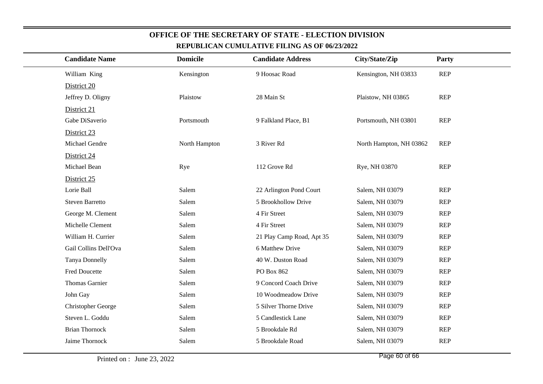| <b>Candidate Name</b>  | <b>Domicile</b> | <b>Candidate Address</b>  | City/State/Zip          | Party      |
|------------------------|-----------------|---------------------------|-------------------------|------------|
| William King           | Kensington      | 9 Hoosac Road             | Kensington, NH 03833    | <b>REP</b> |
| District 20            |                 |                           |                         |            |
| Jeffrey D. Oligny      | Plaistow        | 28 Main St                | Plaistow, NH 03865      | <b>REP</b> |
| District 21            |                 |                           |                         |            |
| Gabe DiSaverio         | Portsmouth      | 9 Falkland Place, B1      | Portsmouth, NH 03801    | <b>REP</b> |
| District 23            |                 |                           |                         |            |
| Michael Gendre         | North Hampton   | 3 River Rd                | North Hampton, NH 03862 | <b>REP</b> |
| District 24            |                 |                           |                         |            |
| Michael Bean           | Rye             | 112 Grove Rd              | Rye, NH 03870           | <b>REP</b> |
| District 25            |                 |                           |                         |            |
| Lorie Ball             | Salem           | 22 Arlington Pond Court   | Salem, NH 03079         | <b>REP</b> |
| <b>Steven Barretto</b> | Salem           | 5 Brookhollow Drive       | Salem, NH 03079         | <b>REP</b> |
| George M. Clement      | Salem           | 4 Fir Street              | Salem, NH 03079         | <b>REP</b> |
| Michelle Clement       | Salem           | 4 Fir Street              | Salem, NH 03079         | <b>REP</b> |
| William H. Currier     | Salem           | 21 Play Camp Road, Apt 35 | Salem, NH 03079         | <b>REP</b> |
| Gail Collins Dell'Ova  | Salem           | 6 Matthew Drive           | Salem, NH 03079         | <b>REP</b> |
| Tanya Donnelly         | Salem           | 40 W. Duston Road         | Salem, NH 03079         | <b>REP</b> |
| <b>Fred Doucette</b>   | Salem           | PO Box 862                | Salem, NH 03079         | <b>REP</b> |
| <b>Thomas Garnier</b>  | Salem           | 9 Concord Coach Drive     | Salem, NH 03079         | <b>REP</b> |
| John Gay               | Salem           | 10 Woodmeadow Drive       | Salem, NH 03079         | <b>REP</b> |
| Christopher George     | Salem           | 5 Silver Thorne Drive     | Salem, NH 03079         | <b>REP</b> |
| Steven L. Goddu        | Salem           | 5 Candlestick Lane        | Salem, NH 03079         | <b>REP</b> |
| <b>Brian Thornock</b>  | Salem           | 5 Brookdale Rd            | Salem, NH 03079         | <b>REP</b> |
| Jaime Thornock         | Salem           | 5 Brookdale Road          | Salem, NH 03079         | <b>REP</b> |
|                        |                 |                           |                         |            |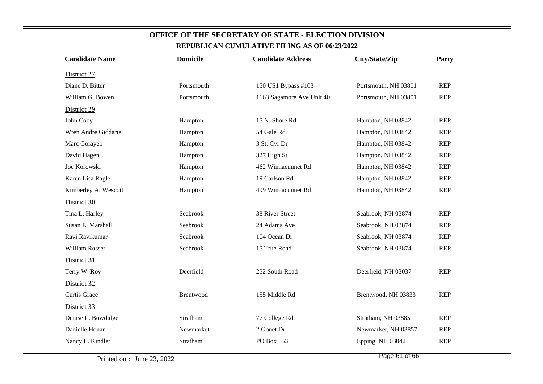| <b>Candidate Name</b> | <b>Domicile</b> | <b>Candidate Address</b>  | City/State/Zip       | <b>Party</b> |
|-----------------------|-----------------|---------------------------|----------------------|--------------|
| District 27           |                 |                           |                      |              |
| Diane D. Bitter       | Portsmouth      | 150 US1 Bypass #103       | Portsmouth, NH 03801 | REP          |
| William G. Bowen      | Portsmouth      | 1163 Sagamore Ave Unit 40 | Portsmouth, NH 03801 | <b>REP</b>   |
| District 29           |                 |                           |                      |              |
| John Cody             | Hampton         | 15 N. Shore Rd            | Hampton, NH 03842    | <b>REP</b>   |
| Wren Andre Giddarie   | Hampton         | 54 Gale Rd                | Hampton, NH 03842    | REP          |
| Marc Gorayeb          | Hampton         | 3 St. Cyr Dr              | Hampton, NH 03842    | <b>REP</b>   |
| David Hagen           | Hampton         | 327 High St               | Hampton, NH 03842    | REP          |
| Joe Korowski          | Hampton         | 462 Winnacunnet Rd        | Hampton, NH 03842    | <b>REP</b>   |
| Karen Lisa Ragle      | Hampton         | 19 Carlson Rd             | Hampton, NH 03842    | <b>REP</b>   |
| Kimberley A. Wescott  | Hampton         | 499 Winnacunnet Rd        | Hampton, NH 03842    | <b>REP</b>   |
| District 30           |                 |                           |                      |              |
| Tina L. Harley        | Seabrook        | 38 River Street           | Seabrook, NH 03874   | <b>REP</b>   |
| Susan E. Marshall     | Seabrook        | 24 Adams Ave              | Seabrook, NH 03874   | <b>REP</b>   |
| Ravi Ravikumar        | Seabrook        | 104 Ocean Dr              | Seabrook, NH 03874   | <b>REP</b>   |
| William Rosser        | Seabrook        | 15 True Road              | Seabrook, NH 03874   | REP          |
| District 31           |                 |                           |                      |              |
| Terry W. Roy          | Deerfield       | 252 South Road            | Deerfield, NH 03037  | <b>REP</b>   |
| District 32           |                 |                           |                      |              |
| Curtis Grace          | Brentwood       | 155 Middle Rd             | Brentwood, NH 03833  | <b>REP</b>   |
| District 33           |                 |                           |                      |              |
| Denise L. Bowdidge    | Stratham        | 77 College Rd             | Stratham, NH 03885   | <b>REP</b>   |
| Danielle Honan        | Newmarket       | 2 Gonet Dr                | Newmarket, NH 03857  | REP          |
| Nancy L. Kindler      | Stratham        | PO Box 553                | Epping, NH 03042     | <b>REP</b>   |
|                       |                 |                           |                      |              |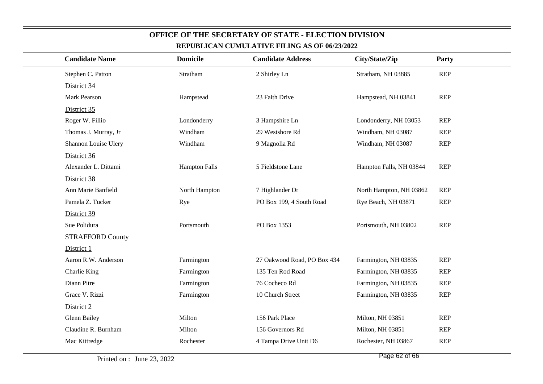| <b>Candidate Name</b>   | <b>Domicile</b>      | <b>Candidate Address</b>    | City/State/Zip          | Party      |
|-------------------------|----------------------|-----------------------------|-------------------------|------------|
| Stephen C. Patton       | Stratham             | 2 Shirley Ln                | Stratham, NH 03885      | <b>REP</b> |
| District 34             |                      |                             |                         |            |
| Mark Pearson            | Hampstead            | 23 Faith Drive              | Hampstead, NH 03841     | <b>REP</b> |
| District 35             |                      |                             |                         |            |
| Roger W. Fillio         | Londonderry          | 3 Hampshire Ln              | Londonderry, NH 03053   | <b>REP</b> |
| Thomas J. Murray, Jr    | Windham              | 29 Westshore Rd             | Windham, NH 03087       | <b>REP</b> |
| Shannon Louise Ulery    | Windham              | 9 Magnolia Rd               | Windham, NH 03087       | <b>REP</b> |
| District 36             |                      |                             |                         |            |
| Alexander L. Dittami    | <b>Hampton Falls</b> | 5 Fieldstone Lane           | Hampton Falls, NH 03844 | <b>REP</b> |
| District 38             |                      |                             |                         |            |
| Ann Marie Banfield      | North Hampton        | 7 Highlander Dr             | North Hampton, NH 03862 | <b>REP</b> |
| Pamela Z. Tucker        | Rye                  | PO Box 199, 4 South Road    | Rye Beach, NH 03871     | <b>REP</b> |
| District 39             |                      |                             |                         |            |
| Sue Polidura            | Portsmouth           | PO Box 1353                 | Portsmouth, NH 03802    | REP        |
| <b>STRAFFORD County</b> |                      |                             |                         |            |
| District 1              |                      |                             |                         |            |
| Aaron R.W. Anderson     | Farmington           | 27 Oakwood Road, PO Box 434 | Farmington, NH 03835    | <b>REP</b> |
| Charlie King            | Farmington           | 135 Ten Rod Road            | Farmington, NH 03835    | <b>REP</b> |
| Diann Pitre             | Farmington           | 76 Cocheco Rd               | Farmington, NH 03835    | <b>REP</b> |
| Grace V. Rizzi          | Farmington           | 10 Church Street            | Farmington, NH 03835    | <b>REP</b> |
| District 2              |                      |                             |                         |            |
| <b>Glenn Bailey</b>     | Milton               | 156 Park Place              | Milton, NH 03851        | <b>REP</b> |
| Claudine R. Burnham     | Milton               | 156 Governors Rd            | Milton, NH 03851        | <b>REP</b> |
| Mac Kittredge           | Rochester            | 4 Tampa Drive Unit D6       | Rochester, NH 03867     | <b>REP</b> |
|                         |                      |                             |                         |            |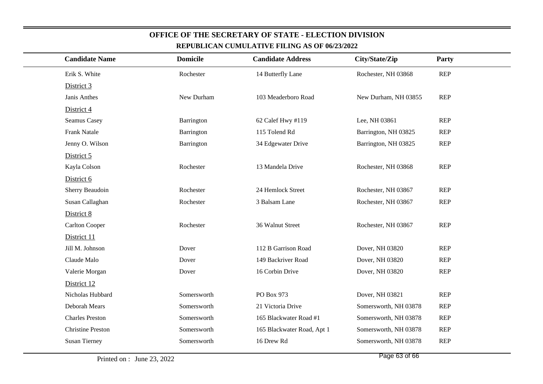| <b>Candidate Name</b>    | <b>Domicile</b> | <b>Candidate Address</b>   | City/State/Zip        | Party      |
|--------------------------|-----------------|----------------------------|-----------------------|------------|
| Erik S. White            | Rochester       | 14 Butterfly Lane          | Rochester, NH 03868   | <b>REP</b> |
| District 3               |                 |                            |                       |            |
| Janis Anthes             | New Durham      | 103 Meaderboro Road        | New Durham, NH 03855  | <b>REP</b> |
| District 4               |                 |                            |                       |            |
| Seamus Casey             | Barrington      | 62 Calef Hwy #119          | Lee, NH 03861         | <b>REP</b> |
| <b>Frank Natale</b>      | Barrington      | 115 Tolend Rd              | Barrington, NH 03825  | <b>REP</b> |
| Jenny O. Wilson          | Barrington      | 34 Edgewater Drive         | Barrington, NH 03825  | <b>REP</b> |
| District 5               |                 |                            |                       |            |
| Kayla Colson             | Rochester       | 13 Mandela Drive           | Rochester, NH 03868   | <b>REP</b> |
| District 6               |                 |                            |                       |            |
| Sherry Beaudoin          | Rochester       | 24 Hemlock Street          | Rochester, NH 03867   | <b>REP</b> |
| Susan Callaghan          | Rochester       | 3 Balsam Lane              | Rochester, NH 03867   | <b>REP</b> |
| District 8               |                 |                            |                       |            |
| <b>Carlton Cooper</b>    | Rochester       | 36 Walnut Street           | Rochester, NH 03867   | <b>REP</b> |
| District 11              |                 |                            |                       |            |
| Jill M. Johnson          | Dover           | 112 B Garrison Road        | Dover, NH 03820       | <b>REP</b> |
| Claude Malo              | Dover           | 149 Backriver Road         | Dover, NH 03820       | <b>REP</b> |
| Valerie Morgan           | Dover           | 16 Corbin Drive            | Dover, NH 03820       | <b>REP</b> |
| District 12              |                 |                            |                       |            |
| Nicholas Hubbard         | Somersworth     | PO Box 973                 | Dover, NH 03821       | <b>REP</b> |
| Deborah Mears            | Somersworth     | 21 Victoria Drive          | Somersworth, NH 03878 | <b>REP</b> |
| <b>Charles Preston</b>   | Somersworth     | 165 Blackwater Road #1     | Somersworth, NH 03878 | <b>REP</b> |
| <b>Christine Preston</b> | Somersworth     | 165 Blackwater Road, Apt 1 | Somersworth, NH 03878 | <b>REP</b> |
| <b>Susan Tierney</b>     | Somersworth     | 16 Drew Rd                 | Somersworth, NH 03878 | <b>REP</b> |
|                          |                 |                            |                       |            |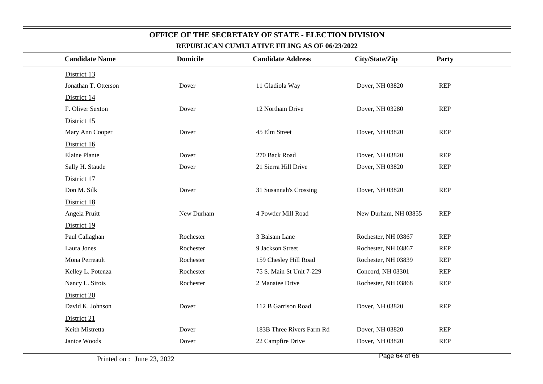| <b>Candidate Name</b> | <b>Domicile</b> | <b>Candidate Address</b>  | City/State/Zip       | Party      |
|-----------------------|-----------------|---------------------------|----------------------|------------|
| District 13           |                 |                           |                      |            |
| Jonathan T. Otterson  | Dover           | 11 Gladiola Way           | Dover, NH 03820      | <b>REP</b> |
| District 14           |                 |                           |                      |            |
| F. Oliver Sexton      | Dover           | 12 Northam Drive          | Dover, NH 03280      | <b>REP</b> |
| District 15           |                 |                           |                      |            |
| Mary Ann Cooper       | Dover           | 45 Elm Street             | Dover, NH 03820      | <b>REP</b> |
| District 16           |                 |                           |                      |            |
| <b>Elaine Plante</b>  | Dover           | 270 Back Road             | Dover, NH 03820      | <b>REP</b> |
| Sally H. Staude       | Dover           | 21 Sierra Hill Drive      | Dover, NH 03820      | <b>REP</b> |
| District 17           |                 |                           |                      |            |
| Don M. Silk           | Dover           | 31 Susannah's Crossing    | Dover, NH 03820      | <b>REP</b> |
| District 18           |                 |                           |                      |            |
| Angela Pruitt         | New Durham      | 4 Powder Mill Road        | New Durham, NH 03855 | REP        |
| District 19           |                 |                           |                      |            |
| Paul Callaghan        | Rochester       | 3 Balsam Lane             | Rochester, NH 03867  | <b>REP</b> |
| Laura Jones           | Rochester       | 9 Jackson Street          | Rochester, NH 03867  | <b>REP</b> |
| Mona Perreault        | Rochester       | 159 Chesley Hill Road     | Rochester, NH 03839  | <b>REP</b> |
| Kelley L. Potenza     | Rochester       | 75 S. Main St Unit 7-229  | Concord, NH 03301    | <b>REP</b> |
| Nancy L. Sirois       | Rochester       | 2 Manatee Drive           | Rochester, NH 03868  | <b>REP</b> |
| District 20           |                 |                           |                      |            |
| David K. Johnson      | Dover           | 112 B Garrison Road       | Dover, NH 03820      | REP        |
| District 21           |                 |                           |                      |            |
| Keith Mistretta       | Dover           | 183B Three Rivers Farm Rd | Dover, NH 03820      | REP        |
| Janice Woods          | Dover           | 22 Campfire Drive         | Dover, NH 03820      | <b>REP</b> |
|                       |                 |                           |                      |            |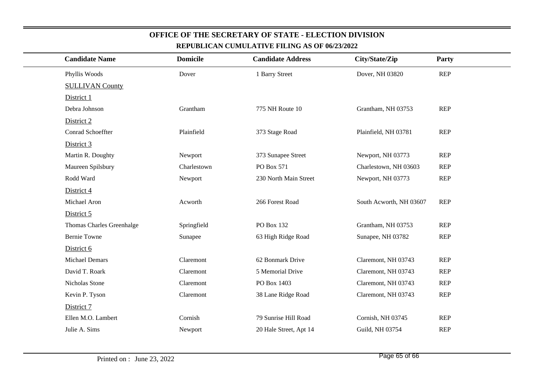| <b>Candidate Name</b>     | <b>Domicile</b> | <b>Candidate Address</b> | City/State/Zip          | Party      |
|---------------------------|-----------------|--------------------------|-------------------------|------------|
| Phyllis Woods             | Dover           | 1 Barry Street           | Dover, NH 03820         | <b>REP</b> |
| <b>SULLIVAN County</b>    |                 |                          |                         |            |
| District 1                |                 |                          |                         |            |
| Debra Johnson             | Grantham        | 775 NH Route 10          | Grantham, NH 03753      | <b>REP</b> |
| District 2                |                 |                          |                         |            |
| Conrad Schoeffter         | Plainfield      | 373 Stage Road           | Plainfield, NH 03781    | <b>REP</b> |
| District 3                |                 |                          |                         |            |
| Martin R. Doughty         | Newport         | 373 Sunapee Street       | Newport, NH 03773       | <b>REP</b> |
| Maureen Spilsbury         | Charlestown     | PO Box 571               | Charlestown, NH 03603   | <b>REP</b> |
| Rodd Ward                 | Newport         | 230 North Main Street    | Newport, NH 03773       | <b>REP</b> |
| District 4                |                 |                          |                         |            |
| Michael Aron              | Acworth         | 266 Forest Road          | South Acworth, NH 03607 | <b>REP</b> |
| District 5                |                 |                          |                         |            |
| Thomas Charles Greenhalge | Springfield     | PO Box 132               | Grantham, NH 03753      | <b>REP</b> |
| <b>Bernie Towne</b>       | Sunapee         | 63 High Ridge Road       | Sunapee, NH 03782       | <b>REP</b> |
| District 6                |                 |                          |                         |            |
| <b>Michael Demars</b>     | Claremont       | 62 Bonmark Drive         | Claremont, NH 03743     | <b>REP</b> |
| David T. Roark            | Claremont       | 5 Memorial Drive         | Claremont, NH 03743     | <b>REP</b> |
| Nicholas Stone            | Claremont       | PO Box 1403              | Claremont, NH 03743     | <b>REP</b> |
| Kevin P. Tyson            | Claremont       | 38 Lane Ridge Road       | Claremont, NH 03743     | <b>REP</b> |
| District 7                |                 |                          |                         |            |
| Ellen M.O. Lambert        | Cornish         | 79 Sunrise Hill Road     | Cornish, NH 03745       | <b>REP</b> |
| Julie A. Sims             | Newport         | 20 Hale Street, Apt 14   | Guild, NH 03754         | <b>REP</b> |
|                           |                 |                          |                         |            |